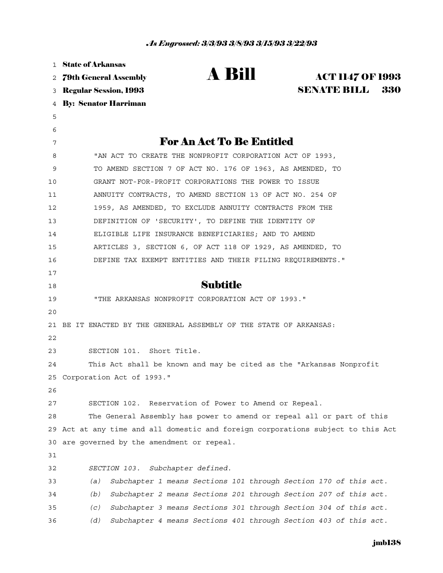| $\mathbf{1}$ | <b>State of Arkansas</b>                                                      |  |  |  |
|--------------|-------------------------------------------------------------------------------|--|--|--|
| 2            | A Bill<br><b>ACT 1147 OF 1993</b><br><b>79th General Assembly</b>             |  |  |  |
| 3            | <b>SENATE BILL</b><br>-330<br><b>Regular Session, 1993</b>                    |  |  |  |
| 4            | <b>By: Senator Harriman</b>                                                   |  |  |  |
| 5            |                                                                               |  |  |  |
| 6            |                                                                               |  |  |  |
| 7            | <b>For An Act To Be Entitled</b>                                              |  |  |  |
| 8            | "AN ACT TO CREATE THE NONPROFIT CORPORATION ACT OF 1993,                      |  |  |  |
| 9            | TO AMEND SECTION 7 OF ACT NO. 176 OF 1963, AS AMENDED, TO                     |  |  |  |
| 10           | GRANT NOT-FOR-PROFIT CORPORATIONS THE POWER TO ISSUE                          |  |  |  |
| 11           | ANNUITY CONTRACTS, TO AMEND SECTION 13 OF ACT NO. 254 OF                      |  |  |  |
| 12           | 1959, AS AMENDED, TO EXCLUDE ANNUITY CONTRACTS FROM THE                       |  |  |  |
| 13           | DEFINITION OF 'SECURITY', TO DEFINE THE IDENTITY OF                           |  |  |  |
| 14           | ELIGIBLE LIFE INSURANCE BENEFICIARIES; AND TO AMEND                           |  |  |  |
| 15           | ARTICLES 3, SECTION 6, OF ACT 118 OF 1929, AS AMENDED, TO                     |  |  |  |
| 16           | DEFINE TAX EXEMPT ENTITIES AND THEIR FILING REQUIREMENTS."                    |  |  |  |
| 17           |                                                                               |  |  |  |
| 18           | <b>Subtitle</b>                                                               |  |  |  |
| 19           | "THE ARKANSAS NONPROFIT CORPORATION ACT OF 1993."                             |  |  |  |
| 20           |                                                                               |  |  |  |
|              | 21 BE IT ENACTED BY THE GENERAL ASSEMBLY OF THE STATE OF ARKANSAS:            |  |  |  |
| 22           |                                                                               |  |  |  |
| 23           | SECTION 101. Short Title.                                                     |  |  |  |
| 24           | This Act shall be known and may be cited as the "Arkansas Nonprofit           |  |  |  |
|              | 25 Corporation Act of 1993."                                                  |  |  |  |
| 26           |                                                                               |  |  |  |
| 27           | SECTION 102. Reservation of Power to Amend or Repeal.                         |  |  |  |
| 28           | The General Assembly has power to amend or repeal all or part of this         |  |  |  |
| 29           | Act at any time and all domestic and foreign corporations subject to this Act |  |  |  |
| 30           | are governed by the amendment or repeal.                                      |  |  |  |
| 31           |                                                                               |  |  |  |
| 32           | Subchapter defined.<br>SECTION 103.                                           |  |  |  |
| 33           | Subchapter 1 means Sections 101 through Section 170 of this act.<br>(a)       |  |  |  |
| 34           | Subchapter 2 means Sections 201 through Section 207 of this act.<br>(b)       |  |  |  |
| 35           | Subchapter 3 means Sections 301 through Section 304 of this act.<br>(C)       |  |  |  |
| 36           | Subchapter 4 means Sections 401 through Section 403 of this act.<br>(d)       |  |  |  |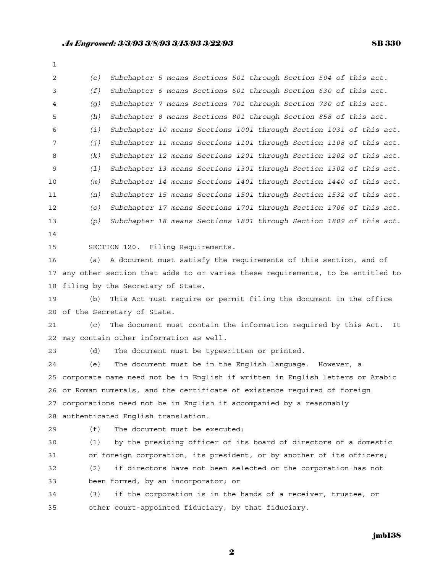| 1  |                                                                                  |
|----|----------------------------------------------------------------------------------|
| 2  | Subchapter 5 means Sections 501 through Section 504 of this act.<br>(e)          |
| 3  | (f)<br>Subchapter 6 means Sections 601 through Section 630 of this act.          |
| 4  | Subchapter 7 means Sections 701 through Section 730 of this act.<br>(q)          |
| 5  | Subchapter 8 means Sections 801 through Section 858 of this act.<br>(h)          |
| 6  | (i)<br>Subchapter 10 means Sections 1001 through Section 1031 of this act.       |
| 7  | (j)<br>Subchapter 11 means Sections 1101 through Section 1108 of this act.       |
| 8  | (k)<br>Subchapter 12 means Sections 1201 through Section 1202 of this act.       |
| 9  | (1)<br>Subchapter 13 means Sections 1301 through Section 1302 of this act.       |
| 10 | Subchapter 14 means Sections 1401 through Section 1440 of this act.<br>(m)       |
| 11 | Subchapter 15 means Sections 1501 through Section 1532 of this act.<br>(n)       |
| 12 | Subchapter 17 means Sections 1701 through Section 1706 of this act.<br>(O)       |
| 13 | Subchapter 18 means Sections 1801 through Section 1809 of this act.<br>(p)       |
| 14 |                                                                                  |
| 15 | SECTION 120. Filing Requirements.                                                |
| 16 | A document must satisfy the requirements of this section, and of<br>(a)          |
| 17 | any other section that adds to or varies these requirements, to be entitled to   |
|    | 18 filing by the Secretary of State.                                             |
| 19 | This Act must require or permit filing the document in the office<br>(b)         |
|    | 20 of the Secretary of State.                                                    |
| 21 | The document must contain the information required by this Act.<br>(c)<br>It     |
|    | 22 may contain other information as well.                                        |
| 23 | The document must be typewritten or printed.<br>(d)                              |
| 24 | The document must be in the English language. However, a<br>(e)                  |
|    | 25 corporate name need not be in English if written in English letters or Arabic |
|    | 26 or Roman numerals, and the certificate of existence required of foreign       |
|    | 27 corporations need not be in English if accompanied by a reasonably            |
|    | 28 authenticated English translation.                                            |
| 29 | The document must be executed:<br>(f)                                            |
| 30 | by the presiding officer of its board of directors of a domestic<br>(1)          |
| 31 | or foreign corporation, its president, or by another of its officers;            |
| 32 | if directors have not been selected or the corporation has not<br>(2)            |
| 33 | been formed, by an incorporator; or                                              |
|    |                                                                                  |
| 34 | if the corporation is in the hands of a receiver, trustee, or<br>(3)             |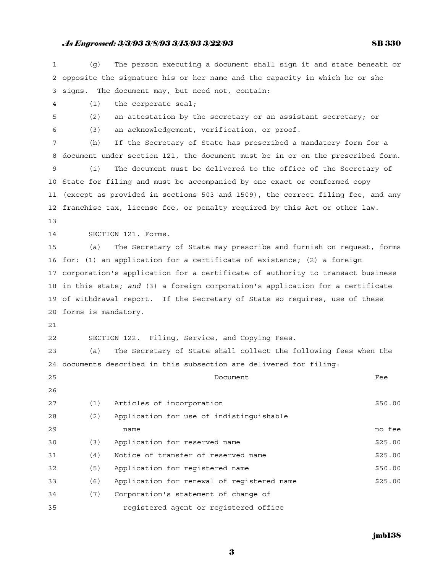1 (g) The person executing a document shall sign it and state beneath or 2 opposite the signature his or her name and the capacity in which he or she 3 signs. The document may, but need not, contain: 4 (1) the corporate seal; 5 (2) an attestation by the secretary or an assistant secretary; or 6 (3) an acknowledgement, verification, or proof. 7 (h) If the Secretary of State has prescribed a mandatory form for a 8 document under section 121, the document must be in or on the prescribed form. 9 (i) The document must be delivered to the office of the Secretary of 10 State for filing and must be accompanied by one exact or conformed copy 11 (except as provided in sections 503 and 1509), the correct filing fee, and any 12 franchise tax, license fee, or penalty required by this Act or other law. 13 14 SECTION 121. Forms. 15 (a) The Secretary of State may prescribe and furnish on request, forms 16 for: (1) an application for a certificate of existence; (2) a foreign 17 corporation's application for a certificate of authority to transact business 18 in this state; *and* (3) a foreign corporation's application for a certificate 19 of withdrawal report. If the Secretary of State so requires, use of these 20 forms is mandatory. 21 22 SECTION 122. Filing, Service, and Copying Fees. 23 (a) The Secretary of State shall collect the following fees when the 24 documents described in this subsection are delivered for filing: 25 Document Fee 26 27 (1) Articles of incorporation **1200 COV 1200 COV 1200 COV** \$50.00 28 (2) Application for use of indistinguishable 29 name no fee and the set of the set of the set of the set of the set of the set of the set of the set of the set of the set of the set of the set of the set of the set of the set of the set of the set of the set of the s 30 (3) Application for reserved name \$25.00 31 (4) Notice of transfer of reserved name \$25.00 32 (5) Application for registered name \$50.00 33 (6) Application for renewal of registered name \$25.00 34 (7) Corporation's statement of change of 35 registered agent or registered office

SB 330

imb138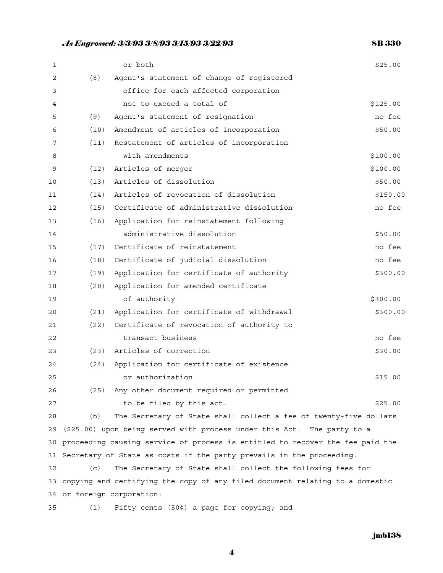SB 330

| 1  |      | or both                                                                       | \$25.00  |
|----|------|-------------------------------------------------------------------------------|----------|
| 2  | (8)  | Agent's statement of change of registered                                     |          |
| 3  |      | office for each affected corporation                                          |          |
| 4  |      | not to exceed a total of                                                      | \$125.00 |
| 5  | (9)  | Agent's statement of resignation                                              | no fee   |
| 6  | (10) | Amendment of articles of incorporation                                        | \$50.00  |
| 7  | (11) | Restatement of articles of incorporation                                      |          |
| 8  |      | with amendments                                                               | \$100.00 |
| 9  | (12) | Articles of merger                                                            | \$100.00 |
| 10 | (13) | Articles of dissolution                                                       | \$50.00  |
| 11 | (14) | Articles of revocation of dissolution                                         | \$150.00 |
| 12 | (15) | Certificate of administrative dissolution                                     | no fee   |
| 13 | (16) | Application for reinstatement following                                       |          |
| 14 |      | administrative dissolution                                                    | \$50.00  |
| 15 | (17) | Certificate of reinstatement                                                  | no fee   |
| 16 | (18) | Certificate of judicial dissolution                                           | no fee   |
| 17 | (19) | Application for certificate of authority                                      | \$300.00 |
| 18 | (20) | Application for amended certificate                                           |          |
| 19 |      | of authority                                                                  | \$300.00 |
| 20 | (21) | Application for certificate of withdrawal                                     | \$300.00 |
| 21 | (22) | Certificate of revocation of authority to                                     |          |
| 22 |      | transact business                                                             | no fee   |
| 23 | (23) | Articles of correction                                                        | \$30.00  |
| 24 | (24) | Application for certificate of existence                                      |          |
| 25 |      | or authorization                                                              | \$15.00  |
| 26 | (25) | Any other document required or permitted                                      |          |
| 27 |      | to be filed by this act.                                                      | \$25.00  |
| 28 | (b)  | The Secretary of State shall collect a fee of twenty-five dollars             |          |
| 29 |      | (\$25.00) upon being served with process under this Act. The party to a       |          |
| 30 |      | proceeding causing service of process is entitled to recover the fee paid the |          |
| 31 |      | Secretary of State as costs if the party prevails in the proceeding.          |          |
| 32 | (c)  | The Secretary of State shall collect the following fees for                   |          |
| 33 |      | copying and certifying the copy of any filed document relating to a domestic  |          |
|    |      | 34 or foreign corporation:                                                    |          |
| 35 | (1)  | Fifty cents (50¢) a page for copying; and                                     |          |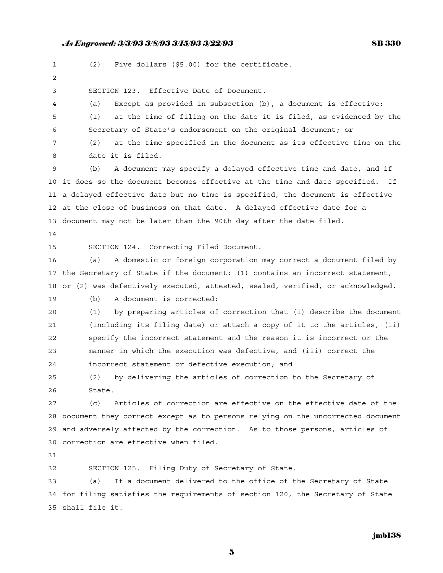1 (2) Five dollars (\$5.00) for the certificate. 2 3 SECTION 123. Effective Date of Document. 4 (a) Except as provided in subsection (b), a document is effective: 5 (1) at the time of filing on the date it is filed, as evidenced by the 6 Secretary of State's endorsement on the original document; or 7 (2) at the time specified in the document as its effective time on the 8 date it is filed. 9 (b) A document may specify a delayed effective time and date, and if 10 it does so the document becomes effective at the time and date specified. If 11 a delayed effective date but no time is specified, the document is effective 12 at the close of business on that date. A delayed effective date for a 13 document may not be later than the 90th day after the date filed. 14 15 SECTION 124. Correcting Filed Document. 16 (a) A domestic or foreign corporation may correct a document filed by 17 the Secretary of State if the document: (1) contains an incorrect statement, 18 or (2) was defectively executed, attested, sealed, verified, or acknowledged. 19 (b) A document is corrected: 20 (1) by preparing articles of correction that (i) describe the document 21 (including its filing date) or attach a copy of it to the articles, (ii) 22 specify the incorrect statement and the reason it is incorrect or the 23 manner in which the execution was defective, and (iii) correct the 24 incorrect statement or defective execution; and 25 (2) by delivering the articles of correction to the Secretary of 26 State. 27 (c) Articles of correction are effective on the effective date of the 28 document they correct except as to persons relying on the uncorrected document 29 and adversely affected by the correction. As to those persons, articles of 30 correction are effective when filed. 31 32 SECTION 125. Filing Duty of Secretary of State. 33 (a) If a document delivered to the office of the Secretary of State 34 for filing satisfies the requirements of section 120, the Secretary of State 35 shall file it.

SB 330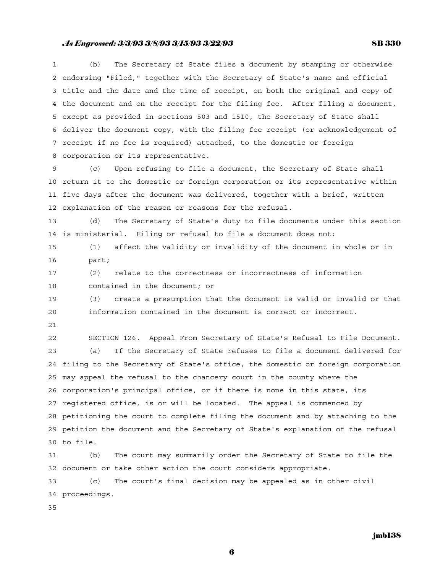1 (b) The Secretary of State files a document by stamping or otherwise 2 endorsing "Filed," together with the Secretary of State's name and official 3 title and the date and the time of receipt, on both the original and copy of 4 the document and on the receipt for the filing fee. After filing a document, 5 except as provided in sections 503 and 1510, the Secretary of State shall 6 deliver the document copy, with the filing fee receipt (or acknowledgement of 7 receipt if no fee is required) attached, to the domestic or foreign 8 corporation or its representative.

9 (c) Upon refusing to file a document, the Secretary of State shall 10 return it to the domestic or foreign corporation or its representative within 11 five days after the document was delivered, together with a brief, written 12 explanation of the reason or reasons for the refusal.

13 (d) The Secretary of State's duty to file documents under this section 14 is ministerial. Filing or refusal to file a document does not:

15 (1) affect the validity or invalidity of the document in whole or in 16 part;

17 (2) relate to the correctness or incorrectness of information 18 contained in the document; or

19 (3) create a presumption that the document is valid or invalid or that 20 information contained in the document is correct or incorrect.

21

22 SECTION 126. Appeal From Secretary of State's Refusal to File Document. 23 (a) If the Secretary of State refuses to file a document delivered for 24 filing to the Secretary of State's office, the domestic or foreign corporation 25 may appeal the refusal to the chancery court in the county where the 26 corporation's principal office, or if there is none in this state, its 27 registered office, is or will be located. The appeal is commenced by 28 petitioning the court to complete filing the document and by attaching to the 29 petition the document and the Secretary of State's explanation of the refusal 30 to file.

31 (b) The court may summarily order the Secretary of State to file the 32 document or take other action the court considers appropriate.

33 (c) The court's final decision may be appealed as in other civil 34 proceedings.

35

SB 330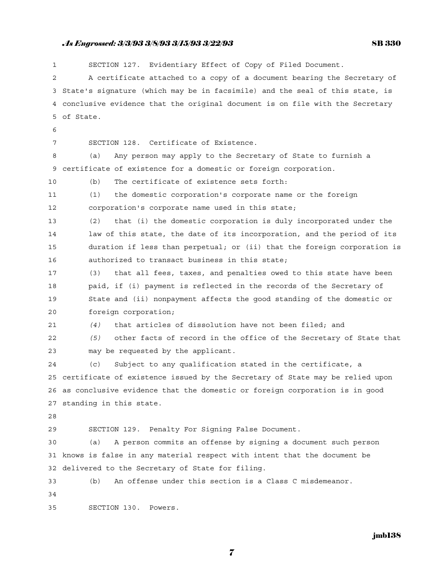SB 330

1 SECTION 127. Evidentiary Effect of Copy of Filed Document. 2 A certificate attached to a copy of a document bearing the Secretary of 3 State's signature (which may be in facsimile) and the seal of this state, is 4 conclusive evidence that the original document is on file with the Secretary 5 of State. 6 7 SECTION 128. Certificate of Existence. 8 (a) Any person may apply to the Secretary of State to furnish a 9 certificate of existence for a domestic or foreign corporation. 10 (b) The certificate of existence sets forth: 11 (1) the domestic corporation's corporate name or the foreign 12 corporation's corporate name used in this state; 13 (2) that (i) the domestic corporation is duly incorporated under the 14 law of this state, the date of its incorporation, and the period of its 15 duration if less than perpetual; or (ii) that the foreign corporation is 16 authorized to transact business in this state; 17 (3) that all fees, taxes, and penalties owed to this state have been 18 paid, if (i) payment is reflected in the records of the Secretary of 19 State and (ii) nonpayment affects the good standing of the domestic or 20 foreign corporation; 21 *(4)* that articles of dissolution have not been filed; and 22 *(5)* other facts of record in the office of the Secretary of State that 23 may be requested by the applicant. 24 (c) Subject to any qualification stated in the certificate, a 25 certificate of existence issued by the Secretary of State may be relied upon 26 as conclusive evidence that the domestic or foreign corporation is in good 27 standing in this state. 28 29 SECTION 129. Penalty For Signing False Document. 30 (a) A person commits an offense by signing a document such person 31 knows is false in any material respect with intent that the document be 32 delivered to the Secretary of State for filing. 33 (b) An offense under this section is a Class C misdemeanor. 34 35 SECTION 130. Powers.

imb138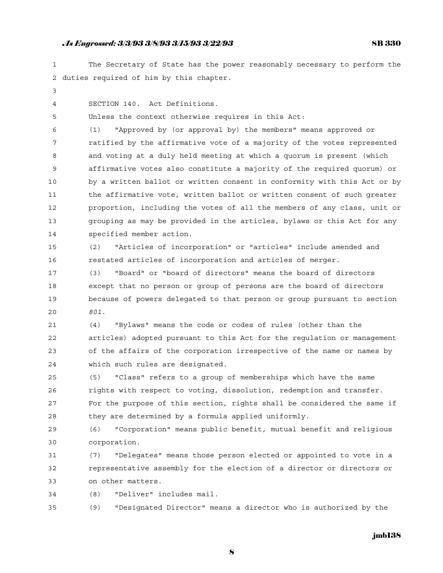SB 330

1 The Secretary of State has the power reasonably necessary to perform the 2 duties required of him by this chapter. 3 4 SECTION 140. Act Definitions. 5 Unless the context otherwise requires in this Act: 6 (1) "Approved by (or approval by) the members" means approved or 7 ratified by the affirmative vote of a majority of the votes represented 8 and voting at a duly held meeting at which a quorum is present (which 9 affirmative votes also constitute a majority of the required quorum) or 10 by a written ballot or written consent in conformity with this Act or by 11 the affirmative vote, written ballot or written consent of such greater 12 proportion, including the votes of all the members of any class, unit or 13 grouping as may be provided in the articles, bylaws or this Act for any 14 specified member action. 15 (2) "Articles of incorporation" or "articles" include amended and 16 restated articles of incorporation and articles of merger. 17 (3) "Board" or "board of directors" means the board of directors 18 except that no person or group of persons are the board of directors 19 because of powers delegated to that person or group pursuant to section 20 *801*. 21 (4) "Bylaws" means the code or codes of rules (other than the 22 articles) adopted pursuant to this Act for the regulation or management 23 of the affairs of the corporation irrespective of the name or names by 24 which such rules are designated. 25 (5) "Class" refers to a group of memberships which have the same 26 rights with respect to voting, dissolution, redemption and transfer. 27 For the purpose of this section, rights shall be considered the same if 28 they are determined by a formula applied uniformly. 29 (6) "Corporation" means public benefit, mutual benefit and religious 30 corporation. 31 (7) "Delegates" means those person elected or appointed to vote in a 32 representative assembly for the election of a director or directors or 33 on other matters. 34 (8) "Deliver" includes mail. 35 (9) "Designated Director" means a director who is authorized by the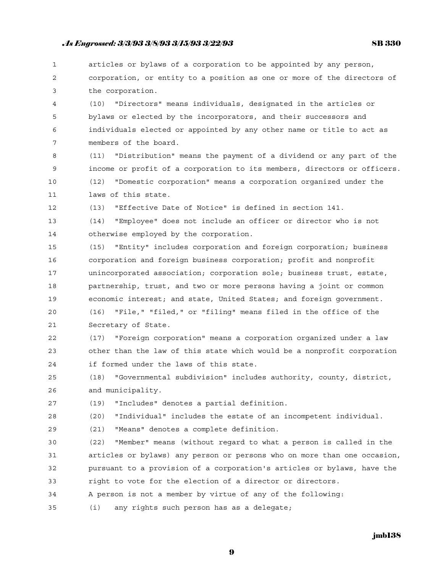SB 330

1 articles or bylaws of a corporation to be appointed by any person, 2 corporation, or entity to a position as one or more of the directors of 3 the corporation. 4 (10) "Directors" means individuals, designated in the articles or 5 bylaws or elected by the incorporators, and their successors and 6 individuals elected or appointed by any other name or title to act as 7 members of the board. 8 (11) "Distribution" means the payment of a dividend or any part of the 9 income or profit of a corporation to its members, directors or officers. 10 (12) "Domestic corporation" means a corporation organized under the 11 laws of this state. 12 (13) "Effective Date of Notice" is defined in section 141. 13 (14) "Employee" does not include an officer or director who is not 14 otherwise employed by the corporation. 15 (15) "Entity" includes corporation and foreign corporation; business 16 corporation and foreign business corporation; profit and nonprofit 17 unincorporated association; corporation sole; business trust, estate, 18 partnership, trust, and two or more persons having a joint or common 19 economic interest; and state, United States; and foreign government. 20 (16) "File," "filed," or "filing" means filed in the office of the 21 Secretary of State. 22 (17) "Foreign corporation" means a corporation organized under a law 23 other than the law of this state which would be a nonprofit corporation 24 if formed under the laws of this state. 25 (18) "Governmental subdivision" includes authority, county, district, 26 and municipality. 27 (19) "Includes" denotes a partial definition. 28 (20) "Individual" includes the estate of an incompetent individual. 29 (21) "Means" denotes a complete definition. 30 (22) "Member" means (without regard to what a person is called in the 31 articles or bylaws) any person or persons who on more than one occasion, 32 pursuant to a provision of a corporation's articles or bylaws, have the 33 right to vote for the election of a director or directors. 34 A person is not a member by virtue of any of the following: 35 (i) any rights such person has as a delegate;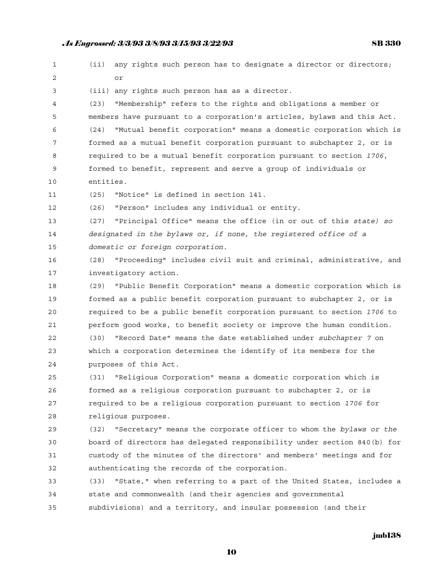SB 330

| 1  | any rights such person has to designate a director or directors;<br>(iii)  |  |  |
|----|----------------------------------------------------------------------------|--|--|
| 2  | or                                                                         |  |  |
| 3  | (iii) any rights such person has as a director.                            |  |  |
| 4  | "Membership" refers to the rights and obligations a member or<br>(23)      |  |  |
| 5  | members have pursuant to a corporation's articles, bylaws and this Act.    |  |  |
| 6  | "Mutual benefit corporation" means a domestic corporation which is<br>(24) |  |  |
| 7  | formed as a mutual benefit corporation pursuant to subchapter 2, or is     |  |  |
| 8  | required to be a mutual benefit corporation pursuant to section 1706,      |  |  |
| 9  | formed to benefit, represent and serve a group of individuals or           |  |  |
| 10 | entities.                                                                  |  |  |
| 11 | "Notice" is defined in section 141.<br>(25)                                |  |  |
| 12 | "Person" includes any individual or entity.<br>(26)                        |  |  |
| 13 | "Principal Office" means the office (in or out of this state) so<br>(27)   |  |  |
| 14 | designated in the bylaws or, if none, the registered office of a           |  |  |
| 15 | domestic or foreign corporation.                                           |  |  |
| 16 | (28) "Proceeding" includes civil suit and criminal, administrative, and    |  |  |
| 17 | investigatory action.                                                      |  |  |
| 18 | "Public Benefit Corporation" means a domestic corporation which is<br>(29) |  |  |
| 19 | formed as a public benefit corporation pursuant to subchapter 2, or is     |  |  |
| 20 | required to be a public benefit corporation pursuant to section 1706 to    |  |  |
| 21 | perform good works, to benefit society or improve the human condition.     |  |  |
| 22 | "Record Date" means the date established under subchapter 7 on<br>(30)     |  |  |
| 23 | which a corporation determines the identify of its members for the         |  |  |
| 24 | purposes of this Act.                                                      |  |  |
| 25 | "Religious Corporation" means a domestic corporation which is<br>(31)      |  |  |
| 26 | formed as a religious corporation pursuant to subchapter 2, or is          |  |  |
| 27 | required to be a religious corporation pursuant to section 1706 for        |  |  |
| 28 | religious purposes.                                                        |  |  |
| 29 | "Secretary" means the corporate officer to whom the bylaws or the<br>(32)  |  |  |
| 30 | board of directors has delegated responsibility under section 840(b) for   |  |  |
| 31 | custody of the minutes of the directors' and members' meetings and for     |  |  |
| 32 | authenticating the records of the corporation.                             |  |  |
| 33 | "State," when referring to a part of the United States, includes a<br>(33) |  |  |
| 34 | state and commonwealth (and their agencies and governmental                |  |  |
| 35 | subdivisions) and a territory, and insular possession (and their           |  |  |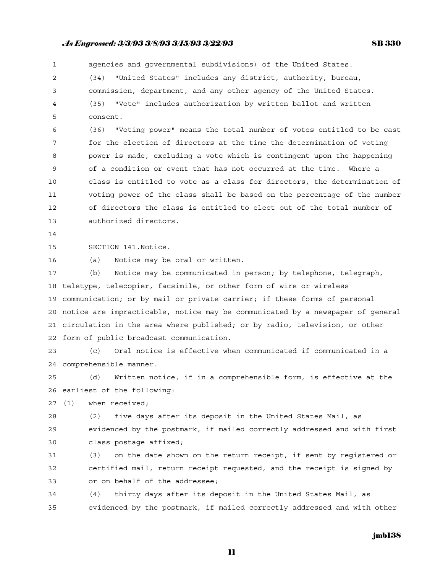SB 330

1 agencies and governmental subdivisions) of the United States. 2 (34) "United States" includes any district, authority, bureau, 3 commission, department, and any other agency of the United States. 4 (35) "Vote" includes authorization by written ballot and written 5 consent. 6 (36) "Voting power" means the total number of votes entitled to be cast 7 for the election of directors at the time the determination of voting 8 power is made, excluding a vote which is contingent upon the happening 9 of a condition or event that has not occurred at the time. Where a 10 class is entitled to vote as a class for directors, the determination of 11 voting power of the class shall be based on the percentage of the number 12 of directors the class is entitled to elect out of the total number of 13 authorized directors. 14 15 SECTION 141.Notice. 16 (a) Notice may be oral or written. 17 (b) Notice may be communicated in person; by telephone, telegraph, 18 teletype, telecopier, facsimile, or other form of wire or wireless 19 communication; or by mail or private carrier; if these forms of personal 20 notice are impracticable, notice may be communicated by a newspaper of general 21 circulation in the area where published; or by radio, television, or other 22 form of public broadcast communication. 23 (c) Oral notice is effective when communicated if communicated in a 24 comprehensible manner. 25 (d) Written notice, if in a comprehensible form, is effective at the 26 earliest of the following: 27 (1) when received; 28 (2) five days after its deposit in the United States Mail, as 29 evidenced by the postmark, if mailed correctly addressed and with first 30 class postage affixed; 31 (3) on the date shown on the return receipt, if sent by registered or 32 certified mail, return receipt requested, and the receipt is signed by 33 or on behalf of the addressee; 34 (4) thirty days after its deposit in the United States Mail, as 35 evidenced by the postmark, if mailed correctly addressed and with other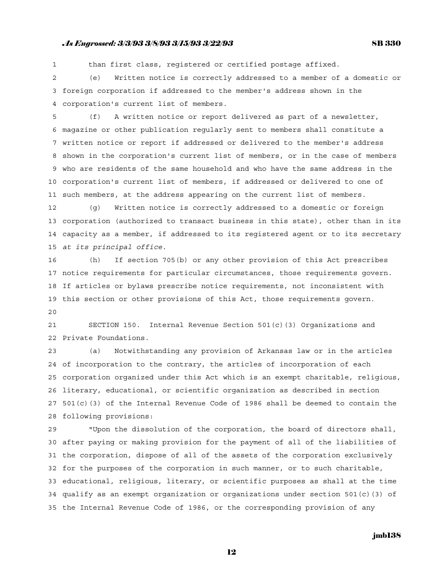SB 330

1 than first class, registered or certified postage affixed.

2 (e) Written notice is correctly addressed to a member of a domestic or 3 foreign corporation if addressed to the member's address shown in the 4 corporation's current list of members.

5 (f) A written notice or report delivered as part of a newsletter, 6 magazine or other publication regularly sent to members shall constitute a 7 written notice or report if addressed or delivered to the member's address 8 shown in the corporation's current list of members, or in the case of members 9 who are residents of the same household and who have the same address in the 10 corporation's current list of members, if addressed or delivered to one of 11 such members, at the address appearing on the current list of members.

12 (g) Written notice is correctly addressed to a domestic or foreign 13 corporation (authorized to transact business in this state), other than in its 14 capacity as a member, if addressed to its registered agent or to its secretary 15 *at its principal office.*

16 (h) If section 705(b) or any other provision of this Act prescribes 17 notice requirements for particular circumstances, those requirements govern. 18 If articles or bylaws prescribe notice requirements, not inconsistent with 19 this section or other provisions of this Act, those requirements govern. 20

21 SECTION 150. Internal Revenue Section 501(c)(3) Organizations and 22 Private Foundations.

23 (a) Notwithstanding any provision of Arkansas law or in the articles 24 of incorporation to the contrary, the articles of incorporation of each 25 corporation organized under this Act which is an exempt charitable, religious, 26 literary, educational, or scientific organization as described in section 27  $501(c)(3)$  of the Internal Revenue Code of 1986 shall be deemed to contain the 28 following provisions:

29 "Upon the dissolution of the corporation, the board of directors shall, 30 after paying or making provision for the payment of all of the liabilities of 31 the corporation, dispose of all of the assets of the corporation exclusively 32 for the purposes of the corporation in such manner, or to such charitable, 33 educational, religious, literary, or scientific purposes as shall at the time 34 qualify as an exempt organization or organizations under section 501(c)(3) of 35 the Internal Revenue Code of 1986, or the corresponding provision of any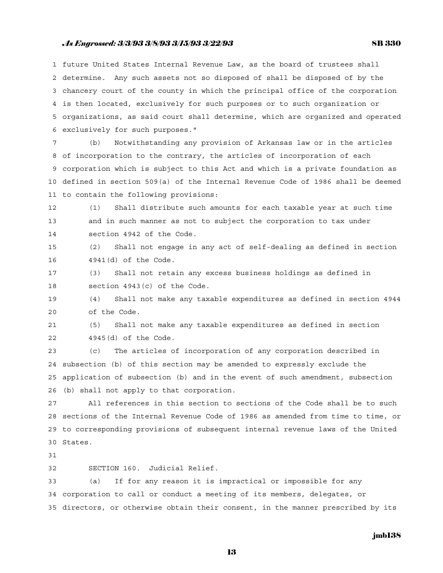SB 330

1 future United States Internal Revenue Law, as the board of trustees shall 2 determine. Any such assets not so disposed of shall be disposed of by the 3 chancery court of the county in which the principal office of the corporation 4 is then located, exclusively for such purposes or to such organization or 5 organizations, as said court shall determine, which are organized and operated 6 exclusively for such purposes."

7 (b) Notwithstanding any provision of Arkansas law or in the articles 8 of incorporation to the contrary, the articles of incorporation of each 9 corporation which is subject to this Act and which is a private foundation as 10 defined in section 509(a) of the Internal Revenue Code of 1986 shall be deemed 11 to contain the following provisions:

12 (1) Shall distribute such amounts for each taxable year at such time 13 and in such manner as not to subject the corporation to tax under 14 section 4942 of the Code.

15 (2) Shall not engage in any act of self-dealing as defined in section 16 4941(d) of the Code.

17 (3) Shall not retain any excess business holdings as defined in 18 section 4943(c) of the Code.

19 (4) Shall not make any taxable expenditures as defined in section 4944 20 of the Code.

21 (5) Shall not make any taxable expenditures as defined in section 22 4945(d) of the Code.

23 (c) The articles of incorporation of any corporation described in 24 subsection (b) of this section may be amended to expressly exclude the 25 application of subsection (b) and in the event of such amendment, subsection 26 (b) shall not apply to that corporation.

27 All references in this section to sections of the Code shall be to such 28 sections of the Internal Revenue Code of 1986 as amended from time to time, or 29 to corresponding provisions of subsequent internal revenue laws of the United 30 States.

31

32 SECTION 160. Judicial Relief.

33 (a) If for any reason it is impractical or impossible for any 34 corporation to call or conduct a meeting of its members, delegates, or 35 directors, or otherwise obtain their consent, in the manner prescribed by its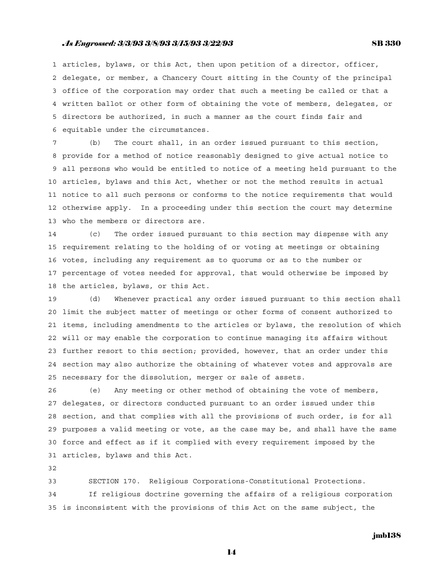1 articles, bylaws, or this Act, then upon petition of a director, officer, 2 delegate, or member, a Chancery Court sitting in the County of the principal 3 office of the corporation may order that such a meeting be called or that a 4 written ballot or other form of obtaining the vote of members, delegates, or 5 directors be authorized, in such a manner as the court finds fair and 6 equitable under the circumstances.

7 (b) The court shall, in an order issued pursuant to this section, 8 provide for a method of notice reasonably designed to give actual notice to 9 all persons who would be entitled to notice of a meeting held pursuant to the 10 articles, bylaws and this Act, whether or not the method results in actual 11 notice to all such persons or conforms to the notice requirements that would 12 otherwise apply. In a proceeding under this section the court may determine 13 who the members or directors are.

14 (c) The order issued pursuant to this section may dispense with any 15 requirement relating to the holding of or voting at meetings or obtaining 16 votes, including any requirement as to quorums or as to the number or 17 percentage of votes needed for approval, that would otherwise be imposed by 18 the articles, bylaws, or this Act.

19 (d) Whenever practical any order issued pursuant to this section shall 20 limit the subject matter of meetings or other forms of consent authorized to 21 items, including amendments to the articles or bylaws, the resolution of which 22 will or may enable the corporation to continue managing its affairs without 23 further resort to this section; provided, however, that an order under this 24 section may also authorize the obtaining of whatever votes and approvals are 25 necessary for the dissolution, merger or sale of assets.

26 (e) Any meeting or other method of obtaining the vote of members, 27 delegates, or directors conducted pursuant to an order issued under this 28 section, and that complies with all the provisions of such order, is for all 29 purposes a valid meeting or vote, as the case may be, and shall have the same 30 force and effect as if it complied with every requirement imposed by the 31 articles, bylaws and this Act.

32

33 SECTION 170. Religious Corporations-Constitutional Protections. 34 If religious doctrine governing the affairs of a religious corporation 35 is inconsistent with the provisions of this Act on the same subject, the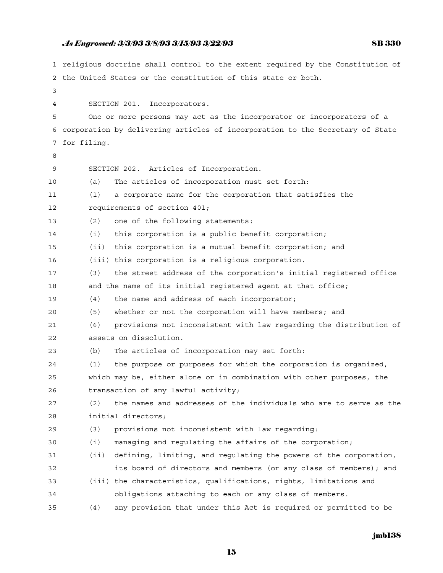|    | 1 religious doctrine shall control to the extent required by the Constitution of |                                                                       |  |  |
|----|----------------------------------------------------------------------------------|-----------------------------------------------------------------------|--|--|
|    | 2 the United States or the constitution of this state or both.                   |                                                                       |  |  |
| 3  |                                                                                  |                                                                       |  |  |
| 4  | SECTION 201.<br>Incorporators.                                                   |                                                                       |  |  |
| 5  | One or more persons may act as the incorporator or incorporators of a            |                                                                       |  |  |
| 6  | corporation by delivering articles of incorporation to the Secretary of State    |                                                                       |  |  |
| 7  | for filing.                                                                      |                                                                       |  |  |
| 8  |                                                                                  |                                                                       |  |  |
| 9  | SECTION 202. Articles of Incorporation.                                          |                                                                       |  |  |
| 10 | (a)                                                                              | The articles of incorporation must set forth:                         |  |  |
| 11 | (1)                                                                              | a corporate name for the corporation that satisfies the               |  |  |
| 12 |                                                                                  | requirements of section 401;                                          |  |  |
| 13 | (2)                                                                              | one of the following statements:                                      |  |  |
| 14 | (i)                                                                              | this corporation is a public benefit corporation;                     |  |  |
| 15 | (iii)                                                                            | this corporation is a mutual benefit corporation; and                 |  |  |
| 16 |                                                                                  | (iii) this corporation is a religious corporation.                    |  |  |
| 17 | (3)                                                                              | the street address of the corporation's initial registered office     |  |  |
| 18 |                                                                                  | and the name of its initial registered agent at that office;          |  |  |
| 19 | (4)                                                                              | the name and address of each incorporator;                            |  |  |
| 20 | (5)                                                                              | whether or not the corporation will have members; and                 |  |  |
| 21 | (6)                                                                              | provisions not inconsistent with law regarding the distribution of    |  |  |
| 22 |                                                                                  | assets on dissolution.                                                |  |  |
| 23 | (b)                                                                              | The articles of incorporation may set forth:                          |  |  |
| 24 | (1)                                                                              | the purpose or purposes for which the corporation is organized,       |  |  |
| 25 |                                                                                  | which may be, either alone or in combination with other purposes, the |  |  |
| 26 |                                                                                  | transaction of any lawful activity;                                   |  |  |
| 27 | (2)                                                                              | the names and addresses of the individuals who are to serve as the    |  |  |
| 28 |                                                                                  | initial directors;                                                    |  |  |
| 29 | (3)                                                                              | provisions not inconsistent with law regarding:                       |  |  |
| 30 | (i)                                                                              | managing and regulating the affairs of the corporation;               |  |  |
| 31 | (iii)                                                                            | defining, limiting, and regulating the powers of the corporation,     |  |  |
| 32 |                                                                                  | its board of directors and members (or any class of members); and     |  |  |
| 33 |                                                                                  | (iii) the characteristics, qualifications, rights, limitations and    |  |  |
| 34 |                                                                                  | obligations attaching to each or any class of members.                |  |  |
| 35 | (4)                                                                              | any provision that under this Act is required or permitted to be      |  |  |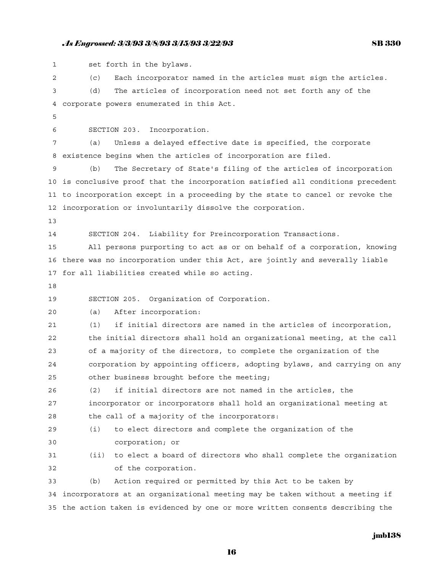1 set forth in the bylaws. 2 (c) Each incorporator named in the articles must sign the articles. 3 (d) The articles of incorporation need not set forth any of the 4 corporate powers enumerated in this Act. 5 6 SECTION 203. Incorporation. 7 (a) Unless a delayed effective date is specified, the corporate 8 existence begins when the articles of incorporation are filed. 9 (b) The Secretary of State's filing of the articles of incorporation 10 is conclusive proof that the incorporation satisfied all conditions precedent 11 to incorporation except in a proceeding by the state to cancel or revoke the 12 incorporation or involuntarily dissolve the corporation. 13 14 SECTION 204. Liability for Preincorporation Transactions. 15 All persons purporting to act as or on behalf of a corporation, knowing 16 there was no incorporation under this Act, are jointly and severally liable 17 for all liabilities created while so acting. 18 19 SECTION 205. Organization of Corporation. 20 (a) After incorporation: 21 (1) if initial directors are named in the articles of incorporation, 22 the initial directors shall hold an organizational meeting, at the call 23 of a majority of the directors, to complete the organization of the 24 corporation by appointing officers, adopting bylaws, and carrying on any 25 other business brought before the meeting; 26 (2) if initial directors are not named in the articles, the 27 incorporator or incorporators shall hold an organizational meeting at 28 the call of a majority of the incorporators: 29 (i) to elect directors and complete the organization of the 30 corporation; or 31 (ii) to elect a board of directors who shall complete the organization 32 of the corporation. 33 (b) Action required or permitted by this Act to be taken by 34 incorporators at an organizational meeting may be taken without a meeting if 35 the action taken is evidenced by one or more written consents describing the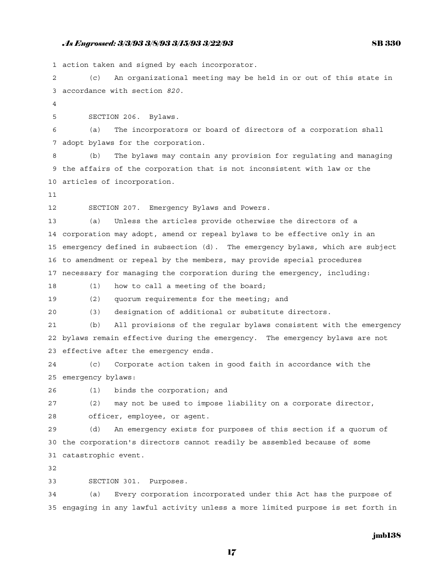1 action taken and signed by each incorporator. 2 (c) An organizational meeting may be held in or out of this state in 3 accordance with section *820.* 4 5 SECTION 206. Bylaws. 6 (a) The incorporators or board of directors of a corporation shall 7 adopt bylaws for the corporation. 8 (b) The bylaws may contain any provision for regulating and managing 9 the affairs of the corporation that is not inconsistent with law or the 10 articles of incorporation. 11 12 SECTION 207. Emergency Bylaws and Powers. 13 (a) Unless the articles provide otherwise the directors of a 14 corporation may adopt, amend or repeal bylaws to be effective only in an 15 emergency defined in subsection (d). The emergency bylaws, which are subject 16 to amendment or repeal by the members, may provide special procedures 17 necessary for managing the corporation during the emergency, including: 18 (1) how to call a meeting of the board; 19 (2) quorum requirements for the meeting; and 20 (3) designation of additional or substitute directors. 21 (b) All provisions of the regular bylaws consistent with the emergency 22 bylaws remain effective during the emergency. The emergency bylaws are not 23 effective after the emergency ends. 24 (c) Corporate action taken in good faith in accordance with the 25 emergency bylaws: 26 (1) binds the corporation; and 27 (2) may not be used to impose liability on a corporate director, 28 officer, employee, or agent. 29 (d) An emergency exists for purposes of this section if a quorum of 30 the corporation's directors cannot readily be assembled because of some 31 catastrophic event. 32 33 SECTION 301. Purposes. 34 (a) Every corporation incorporated under this Act has the purpose of 35 engaging in any lawful activity unless a more limited purpose is set forth in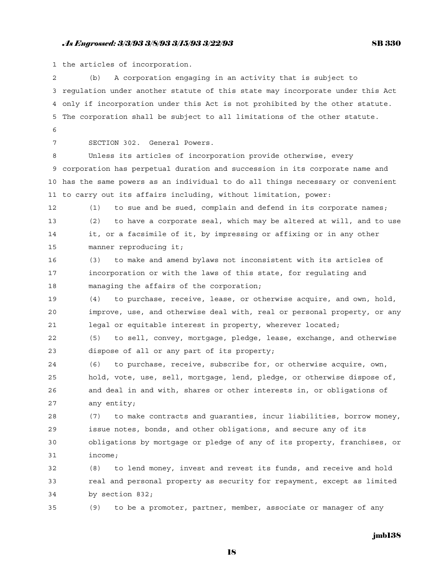1 the articles of incorporation.

2 (b) A corporation engaging in an activity that is subject to 3 regulation under another statute of this state may incorporate under this Act 4 only if incorporation under this Act is not prohibited by the other statute. 5 The corporation shall be subject to all limitations of the other statute. 6

7 SECTION 302. General Powers.

8 Unless its articles of incorporation provide otherwise, every 9 corporation has perpetual duration and succession in its corporate name and 10 has the same powers as an individual to do all things necessary or convenient 11 to carry out its affairs including, without limitation, power:

12 (1) to sue and be sued, complain and defend in its corporate names; 13 (2) to have a corporate seal, which may be altered at will, and to use 14 it, or a facsimile of it, by impressing or affixing or in any other 15 manner reproducing it;

16 (3) to make and amend bylaws not inconsistent with its articles of 17 incorporation or with the laws of this state, for regulating and 18 managing the affairs of the corporation;

19 (4) to purchase, receive, lease, or otherwise acquire, and own, hold, 20 improve, use, and otherwise deal with, real or personal property, or any 21 legal or equitable interest in property, wherever located;

22 (5) to sell, convey, mortgage, pledge, lease, exchange, and otherwise 23 dispose of all or any part of its property;

24 (6) to purchase, receive, subscribe for, or otherwise acquire, own, 25 hold, vote, use, sell, mortgage, lend, pledge, or otherwise dispose of, 26 and deal in and with, shares or other interests in, or obligations of 27 any entity;

28 (7) to make contracts and guaranties, incur liabilities, borrow money, 29 issue notes, bonds, and other obligations, and secure any of its 30 obligations by mortgage or pledge of any of its property, franchises, or 31 income;

32 (8) to lend money, invest and revest its funds, and receive and hold 33 real and personal property as security for repayment, except as limited 34 by section 832;

35 (9) to be a promoter, partner, member, associate or manager of any

## imb138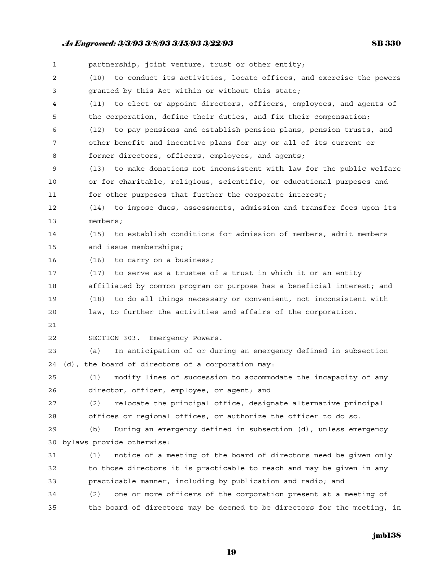SB 330

| 1  | partnership, joint venture, trust or other entity;                       |  |  |
|----|--------------------------------------------------------------------------|--|--|
| 2  | (10) to conduct its activities, locate offices, and exercise the powers  |  |  |
| 3  | granted by this Act within or without this state;                        |  |  |
| 4  | (11) to elect or appoint directors, officers, employees, and agents of   |  |  |
| 5  | the corporation, define their duties, and fix their compensation;        |  |  |
| 6  | (12) to pay pensions and establish pension plans, pension trusts, and    |  |  |
| 7  | other benefit and incentive plans for any or all of its current or       |  |  |
| 8  | former directors, officers, employees, and agents;                       |  |  |
| 9  | (13) to make donations not inconsistent with law for the public welfare  |  |  |
| 10 | or for charitable, religious, scientific, or educational purposes and    |  |  |
| 11 | for other purposes that further the corporate interest;                  |  |  |
| 12 | (14) to impose dues, assessments, admission and transfer fees upon its   |  |  |
| 13 | members;                                                                 |  |  |
| 14 | (15) to establish conditions for admission of members, admit members     |  |  |
| 15 | and issue memberships;                                                   |  |  |
| 16 | $(16)$ to carry on a business;                                           |  |  |
| 17 | (17) to serve as a trustee of a trust in which it or an entity           |  |  |
| 18 | affiliated by common program or purpose has a beneficial interest; and   |  |  |
| 19 | (18) to do all things necessary or convenient, not inconsistent with     |  |  |
| 20 | law, to further the activities and affairs of the corporation.           |  |  |
| 21 |                                                                          |  |  |
| 22 | SECTION 303. Emergency Powers.                                           |  |  |
| 23 | In anticipation of or during an emergency defined in subsection<br>(a)   |  |  |
| 24 | (d), the board of directors of a corporation may:                        |  |  |
| 25 | modify lines of succession to accommodate the incapacity of any<br>(1)   |  |  |
| 26 | director, officer, employee, or agent; and                               |  |  |
| 27 | relocate the principal office, designate alternative principal<br>(2)    |  |  |
| 28 | offices or regional offices, or authorize the officer to do so.          |  |  |
| 29 | During an emergency defined in subsection (d), unless emergency<br>(b)   |  |  |
| 30 | bylaws provide otherwise:                                                |  |  |
| 31 | notice of a meeting of the board of directors need be given only<br>(1)  |  |  |
| 32 | to those directors it is practicable to reach and may be given in any    |  |  |
| 33 | practicable manner, including by publication and radio; and              |  |  |
| 34 | (2)<br>one or more officers of the corporation present at a meeting of   |  |  |
| 35 | the board of directors may be deemed to be directors for the meeting, in |  |  |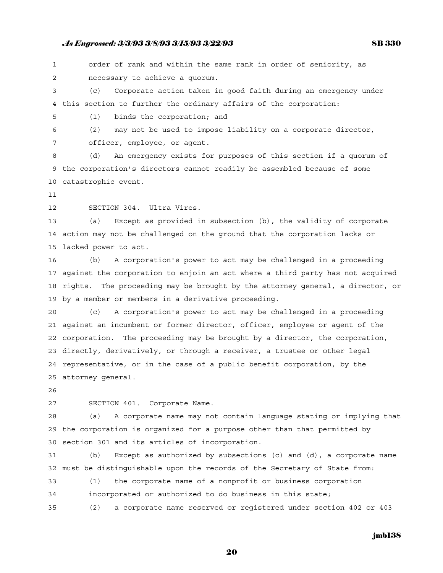SB 330

1 order of rank and within the same rank in order of seniority, as 2 necessary to achieve a quorum.

3 (c) Corporate action taken in good faith during an emergency under 4 this section to further the ordinary affairs of the corporation:

5 (1) binds the corporation; and

6 (2) may not be used to impose liability on a corporate director,

7 officer, employee, or agent.

8 (d) An emergency exists for purposes of this section if a quorum of 9 the corporation's directors cannot readily be assembled because of some 10 catastrophic event.

11

12 SECTION 304. Ultra Vires.

13 (a) Except as provided in subsection (b), the validity of corporate 14 action may not be challenged on the ground that the corporation lacks or 15 lacked power to act.

16 (b) A corporation's power to act may be challenged in a proceeding 17 against the corporation to enjoin an act where a third party has not acquired 18 rights. The proceeding may be brought by the attorney general, a director, or 19 by a member or members in a derivative proceeding.

20 (c) A corporation's power to act may be challenged in a proceeding 21 against an incumbent or former director, officer, employee or agent of the 22 corporation. The proceeding may be brought by a director, the corporation, 23 directly, derivatively, or through a receiver, a trustee or other legal 24 representative, or in the case of a public benefit corporation, by the 25 attorney general.

26

27 SECTION 401. Corporate Name.

28 (a) A corporate name may not contain language stating or implying that 29 the corporation is organized for a purpose other than that permitted by 30 section 301 and its articles of incorporation.

31 (b) Except as authorized by subsections (c) and (d), a corporate name 32 must be distinguishable upon the records of the Secretary of State from:

33 (1) the corporate name of a nonprofit or business corporation 34 incorporated or authorized to do business in this state;

35 (2) a corporate name reserved or registered under section 402 or 403

imb138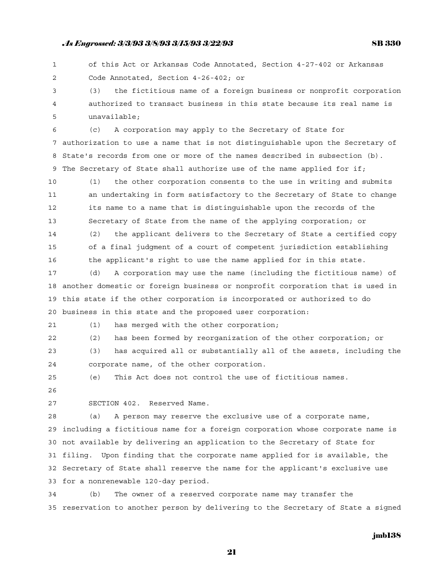SB 330

1 of this Act or Arkansas Code Annotated, Section 4-27-402 or Arkansas 2 Code Annotated, Section 4-26-402; or

3 (3) the fictitious name of a foreign business or nonprofit corporation 4 authorized to transact business in this state because its real name is 5 unavailable;

6 (c) A corporation may apply to the Secretary of State for 7 authorization to use a name that is not distinguishable upon the Secretary of 8 State's records from one or more of the names described in subsection (b). 9 The Secretary of State shall authorize use of the name applied for if;

10 (1) the other corporation consents to the use in writing and submits 11 an undertaking in form satisfactory to the Secretary of State to change 12 its name to a name that is distinguishable upon the records of the 13 Secretary of State from the name of the applying corporation; or 14 (2) the applicant delivers to the Secretary of State a certified copy 15 of a final judgment of a court of competent jurisdiction establishing 16 the applicant's right to use the name applied for in this state.

17 (d) A corporation may use the name (including the fictitious name) of 18 another domestic or foreign business or nonprofit corporation that is used in 19 this state if the other corporation is incorporated or authorized to do 20 business in this state and the proposed user corporation:

21 (1) has merged with the other corporation;

22 (2) has been formed by reorganization of the other corporation; or 23 (3) has acquired all or substantially all of the assets, including the 24 corporate name, of the other corporation.

25 (e) This Act does not control the use of fictitious names.

26

27 SECTION 402. Reserved Name.

28 (a) A person may reserve the exclusive use of a corporate name, 29 including a fictitious name for a foreign corporation whose corporate name is 30 not available by delivering an application to the Secretary of State for 31 filing. Upon finding that the corporate name applied for is available, the 32 Secretary of State shall reserve the name for the applicant's exclusive use 33 for a nonrenewable 120-day period.

34 (b) The owner of a reserved corporate name may transfer the 35 reservation to another person by delivering to the Secretary of State a signed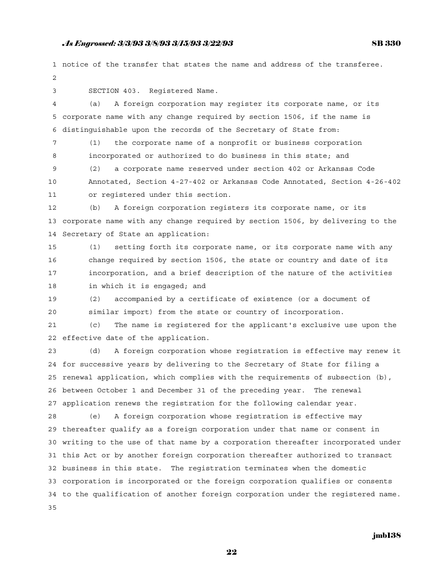SB 330

1 notice of the transfer that states the name and address of the transferee. 2 3 SECTION 403. Registered Name. 4 (a) A foreign corporation may register its corporate name, or its 5 corporate name with any change required by section 1506, if the name is 6 distinguishable upon the records of the Secretary of State from: 7 (1) the corporate name of a nonprofit or business corporation 8 incorporated or authorized to do business in this state; and 9 (2) a corporate name reserved under section 402 or Arkansas Code 10 Annotated, Section 4-27-402 or Arkansas Code Annotated, Section 4-26-402 11 or registered under this section. 12 (b) A foreign corporation registers its corporate name, or its 13 corporate name with any change required by section 1506, by delivering to the 14 Secretary of State an application: 15 (1) setting forth its corporate name, or its corporate name with any 16 change required by section 1506, the state or country and date of its 17 incorporation, and a brief description of the nature of the activities 18 in which it is engaged; and 19 (2) accompanied by a certificate of existence (or a document of 20 similar import) from the state or country of incorporation. 21 (c) The name is registered for the applicant's exclusive use upon the 22 effective date of the application. 23 (d) A foreign corporation whose registration is effective may renew it 24 for successive years by delivering to the Secretary of State for filing a 25 renewal application, which complies with the requirements of subsection (b), 26 between October 1 and December 31 of the preceding year. The renewal 27 application renews the registration for the following calendar year. 28 (e) A foreign corporation whose registration is effective may 29 thereafter qualify as a foreign corporation under that name or consent in 30 writing to the use of that name by a corporation thereafter incorporated under 31 this Act or by another foreign corporation thereafter authorized to transact 32 business in this state. The registration terminates when the domestic 33 corporation is incorporated or the foreign corporation qualifies or consents 34 to the qualification of another foreign corporation under the registered name. 35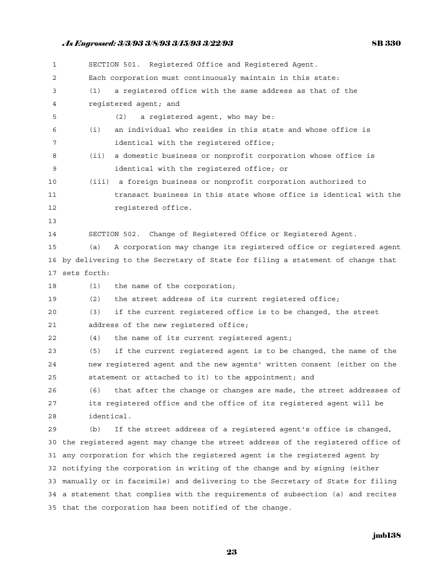1 SECTION 501. Registered Office and Registered Agent. 2 Each corporation must continuously maintain in this state: 3 (1) a registered office with the same address as that of the 4 registered agent; and 5 (2) a registered agent, who may be: 6 (i) an individual who resides in this state and whose office is 7 identical with the registered office; 8 (ii) a domestic business or nonprofit corporation whose office is 9 identical with the registered office; or 10 (iii) a foreign business or nonprofit corporation authorized to 11 transact business in this state whose office is identical with the 12 registered office. 13 14 SECTION 502. Change of Registered Office or Registered Agent. 15 (a) A corporation may change its registered office or registered agent 16 by delivering to the Secretary of State for filing a statement of change that 17 sets forth: 18 (1) the name of the corporation; 19 (2) the street address of its current registered office; 20 (3) if the current registered office is to be changed, the street 21 address of the new registered office; 22 (4) the name of its current registered agent; 23 (5) if the current registered agent is to be changed, the name of the 24 new registered agent and the new agents' written consent (either on the 25 statement or attached to it) to the appointment; and 26 (6) that after the change or changes are made, the street addresses of 27 its registered office and the office of its registered agent will be 28 identical. 29 (b) If the street address of a registered agent's office is changed, 30 the registered agent may change the street address of the registered office of 31 any corporation for which the registered agent is the registered agent by 32 notifying the corporation in writing of the change and by signing (either 33 manually or in facsimile) and delivering to the Secretary of State for filing 34 a statement that complies with the requirements of subsection (a) and recites 35 that the corporation has been notified of the change.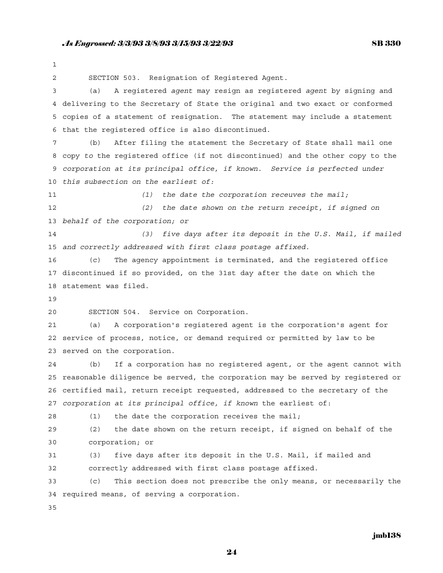1 2 SECTION 503. Resignation of Registered Agent. 3 (a) A registered *agent* may resign as registered *agent* by signing and 4 delivering to the Secretary of State the original and two exact or conformed 5 copies of a statement of resignation. The statement may include a statement 6 that the registered office is also discontinued. 7 (b) After filing the statement the Secretary of State shall mail one 8 copy *to* the registered office (if not discontinued) and the other copy to the 9 *corporation at its principal office, if known. Service is perfected under*  10 *this subsection on the earliest of:*  11 *(1) the date the corporation receuves the mail;*  12 *(2) the date shown on the return receipt, if signed on*  13 *behalf of the corporation; or*  14 *(3) five days after its deposit in the U.S. Mail, if mailed*  15 *and correctly addressed with first class postage affixed.* 16 (c) The agency appointment is terminated, and the registered office 17 discontinued if so provided, on the 31st day after the date on which the 18 statement was filed. 19 20 SECTION 504. Service on Corporation. 21 (a) A corporation's registered agent is the corporation's agent for 22 service of process, notice, or demand required or permitted by law to be 23 served on the corporation. 24 (b) If a corporation has no registered agent, or the agent cannot with 25 reasonable diligence be served, the corporation may be served by registered or 26 certified mail, return receipt requested, addressed to the secretary of the 27 *corporation at its principal office, if known* the earliest of: 28 (1) the date the corporation receives the mail; 29 (2) the date shown on the return receipt, if signed on behalf of the 30 corporation; or 31 (3) five days after its deposit in the U.S. Mail, if mailed and 32 correctly addressed with first class postage affixed. 33 (c) This section does not prescribe the only means, or necessarily the 34 required means, of serving a corporation. 35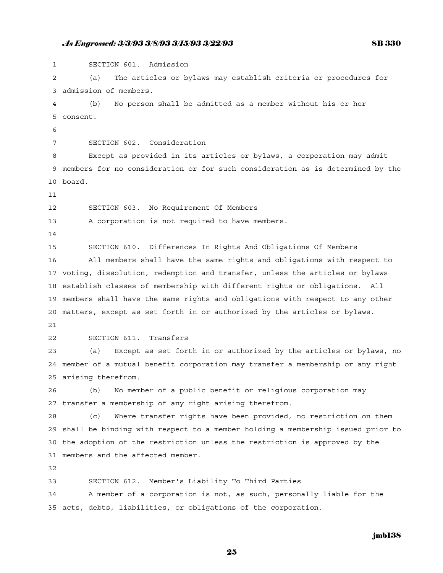1 SECTION 601. Admission 2 (a) The articles or bylaws may establish criteria or procedures for 3 admission of members. 4 (b) No person shall be admitted as a member without his or her 5 consent. 6 7 SECTION 602. Consideration 8 Except as provided in its articles or bylaws, a corporation may admit 9 members for no consideration or for such consideration as is determined by the 10 board. 11 12 SECTION 603. No Requirement Of Members 13 A corporation is not required to have members. 14 15 SECTION 610. Differences In Rights And Obligations Of Members 16 All members shall have the same rights and obligations with respect to 17 voting, dissolution, redemption and transfer, unless the articles or bylaws 18 establish classes of membership with different rights or obligations. All 19 members shall have the same rights and obligations with respect to any other 20 matters, except as set forth in or authorized by the articles or bylaws. 21 22 SECTION 611. Transfers 23 (a) Except as set forth in or authorized by the articles or bylaws, no 24 member of a mutual benefit corporation may transfer a membership or any right 25 arising therefrom. 26 (b) No member of a public benefit or religious corporation may 27 transfer a membership of any right arising therefrom. 28 (c) Where transfer rights have been provided, no restriction on them 29 shall be binding with respect to a member holding a membership issued prior to 30 the adoption of the restriction unless the restriction is approved by the 31 members and the affected member. 32 33 SECTION 612. Member's Liability To Third Parties 34 A member of a corporation is not, as such, personally liable for the 35 acts, debts, liabilities, or obligations of the corporation.

SB 330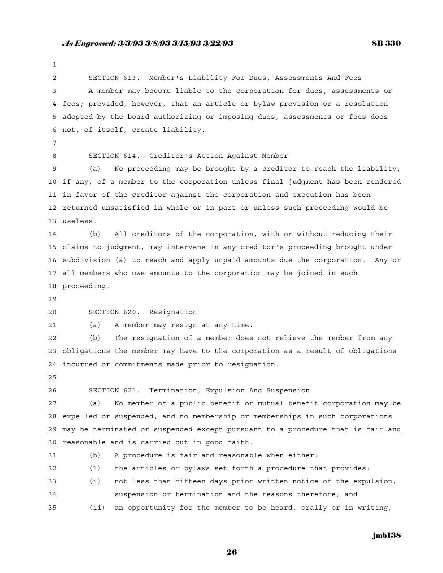SB 330

```
1 
2 SECTION 613. Member's Liability For Dues, Assessments And Fees 
 3 A member may become liable to the corporation for dues, assessments or 
 4 fees; provided, however, that an article or bylaw provision or a resolution 
 5 adopted by the board authorizing or imposing dues, assessments or fees does 
 6 not, of itself, create liability. 
 7 
 8 SECTION 614. Creditor's Action Against Member 
9 (a) No proceeding may be brought by a creditor to reach the liability, 
10 if any, of a member to the corporation unless final judgment has been rendered 
11 in favor of the creditor against the corporation and execution has been 
12 returned unsatisfied in whole or in part or unless such proceeding would be 
13 useless. 
14 (b) All creditors of the corporation, with or without reducing their 
15 claims to judgment, may intervene in any creditor's proceeding brought under 
16 subdivision (a) to reach and apply unpaid amounts due the corporation. Any or 
17 all members who owe amounts to the corporation may be joined in such 
18 proceeding. 
19 
20 SECTION 620. Resignation 
21 (a) A member may resign at any time. 
22 (b) The resignation of a member does not relieve the member from any 
23 obligations the member may have to the corporation as a result of obligations 
24 incurred or commitments made prior to resignation. 
2526 SECTION 621. Termination, Expulsion And Suspension 
27 (a) No member of a public benefit or mutual benefit corporation may be 
28 expelled or suspended, and no membership or memberships in such corporations 
29 may be terminated or suspended except pursuant to a procedure that is fair and 
30 reasonable and is carried out in good faith. 
31 (b) A procedure is fair and reasonable when either: 
32 (1) the articles or bylaws set forth a procedure that provides: 
33 (i) not less than fifteen days prior written notice of the expulsion, 
34 suspension or termination and the reasons therefore; and 
35 (ii) an opportunity for the member to be heard, orally or in writing,
```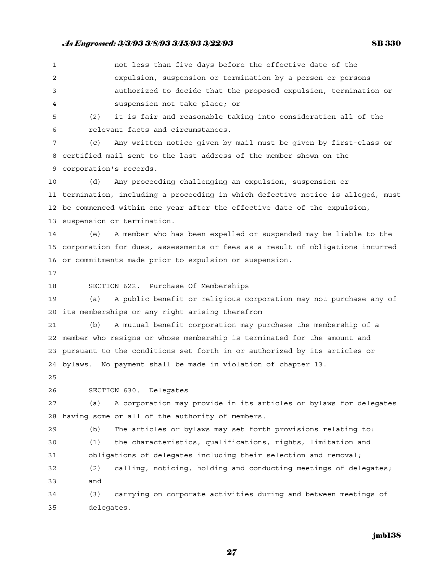1 not less than five days before the effective date of the 2 expulsion, suspension or termination by a person or persons 3 authorized to decide that the proposed expulsion, termination or 4 suspension not take place; or 5 (2) it is fair and reasonable taking into consideration all of the 6 relevant facts and circumstances. 7 (c) Any written notice given by mail must be given by first-class or 8 certified mail sent to the last address of the member shown on the 9 corporation's records. 10 (d) Any proceeding challenging an expulsion, suspension or 11 termination, including a proceeding in which defective notice is alleged, must 12 be commenced within one year after the effective date of the expulsion, 13 suspension or termination. 14 (e) A member who has been expelled or suspended may be liable to the 15 corporation for dues, assessments or fees as a result of obligations incurred 16 or commitments made prior to expulsion or suspension. 17 18 SECTION 622. Purchase Of Memberships 19 (a) A public benefit or religious corporation may not purchase any of 20 its memberships or any right arising therefrom 21 (b) A mutual benefit corporation may purchase the membership of a 22 member who resigns or whose membership is terminated for the amount and 23 pursuant to the conditions set forth in or authorized by its articles or 24 bylaws. No payment shall be made in violation of chapter 13.  $25$ 26 SECTION 630. Delegates 27 (a) A corporation may provide in its articles or bylaws for delegates 28 having some or all of the authority of members. 29 (b) The articles or bylaws may set forth provisions relating to: 30 (1) the characteristics, qualifications, rights, limitation and 31 obligations of delegates including their selection and removal; 32 (2) calling, noticing, holding and conducting meetings of delegates; 33 and 34 (3) carrying on corporate activities during and between meetings of 35 delegates.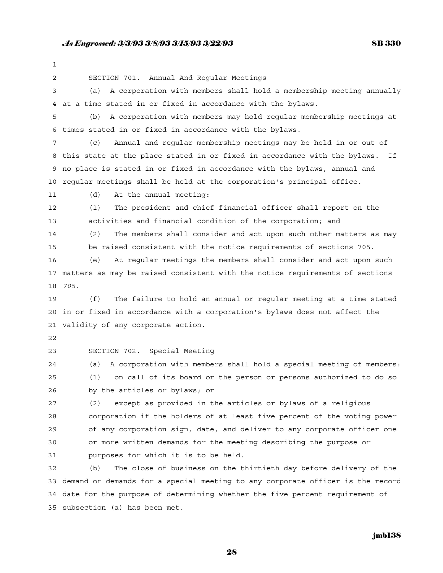1 2 SECTION 701. Annual And Regular Meetings 3 (a) A corporation with members shall hold a membership meeting annually 4 at a time stated in or fixed in accordance with the bylaws. 5 (b) A corporation with members may hold regular membership meetings at 6 times stated in or fixed in accordance with the bylaws. 7 (c) Annual and regular membership meetings may be held in or out of 8 this state at the place stated in or fixed in accordance with the bylaws. If 9 no place is stated in or fixed in accordance with the bylaws, annual and 10 regular meetings shall be held at the corporation's principal office. 11 (d) At the annual meeting: 12 (1) The president and chief financial officer shall report on the 13 activities and financial condition of the corporation; and 14 (2) The members shall consider and act upon such other matters as may 15 be raised consistent with the notice requirements of sections 705. 16 (e) At regular meetings the members shall consider and act upon such 17 matters as may be raised consistent with the notice requirements of sections 18 *705.* 19 (f) The failure to hold an annual or regular meeting at a time stated 20 in or fixed in accordance with a corporation's bylaws does not affect the 21 validity of any corporate action. 22 23 SECTION 702. Special Meeting 24 (a) A corporation with members shall hold a special meeting of members: 25 (1) on call of its board or the person or persons authorized to do so 26 by the articles or bylaws; or 27 (2) except as provided in the articles or bylaws of a religious 28 corporation if the holders of at least five percent of the voting power 29 of any corporation sign, date, and deliver to any corporate officer one 30 or more written demands for the meeting describing the purpose or 31 purposes for which it is to be held. 32 (b) The close of business on the thirtieth day before delivery of the 33 demand or demands for a special meeting to any corporate officer is the record 34 date for the purpose of determining whether the five percent requirement of 35 subsection (a) has been met.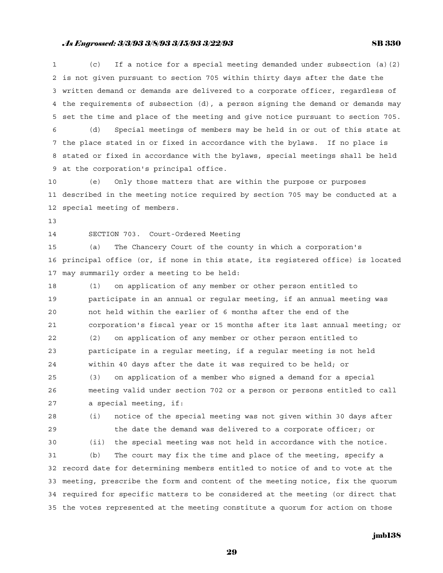1 (c) If a notice for a special meeting demanded under subsection (a)(2) 2 is not given pursuant to section 705 within thirty days after the date the 3 written demand or demands are delivered to a corporate officer, regardless of 4 the requirements of subsection (d), a person signing the demand or demands may 5 set the time and place of the meeting and give notice pursuant to section 705. 6 (d) Special meetings of members may be held in or out of this state at 7 the place stated in or fixed in accordance with the bylaws. If no place is 8 stated or fixed in accordance with the bylaws, special meetings shall be held 9 at the corporation's principal office.

10 (e) Only those matters that are within the purpose or purposes 11 described in the meeting notice required by section 705 may be conducted at a 12 special meeting of members.

13

14 SECTION 703. Court-Ordered Meeting

15 (a) The Chancery Court of the county in which a corporation's 16 principal office (or, if none in this state, its registered office) is located 17 may summarily order a meeting to be held:

18 (1) on application of any member or other person entitled to 19 participate in an annual or regular meeting, if an annual meeting was 20 not held within the earlier of 6 months after the end of the 21 corporation's fiscal year or 15 months after its last annual meeting; or 22 (2) on application of any member or other person entitled to 23 participate in a regular meeting, if a regular meeting is not held 24 within 40 days after the date it was required to be held; or 25 (3) on application of a member who signed a demand for a special 26 meeting valid under section 702 or a person or persons entitled to call 27 a special meeting, if:

28 (i) notice of the special meeting was not given within 30 days after 29 the date the demand was delivered to a corporate officer; or 30 (ii) the special meeting was not held in accordance with the notice. 31 (b) The court may fix the time and place of the meeting, specify a

32 record date for determining members entitled to notice of and to vote at the 33 meeting, prescribe the form and content of the meeting notice, fix the quorum 34 required for specific matters to be considered at the meeting (or direct that 35 the votes represented at the meeting constitute a quorum for action on those

SB 330

imb138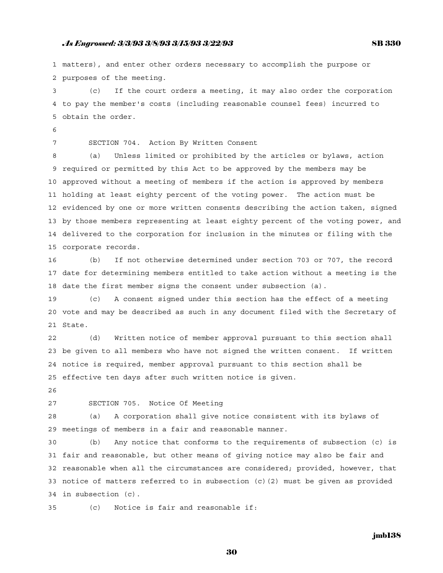SB 330

1 matters), and enter other orders necessary to accomplish the purpose or 2 purposes of the meeting.

3 (c) If the court orders a meeting, it may also order the corporation 4 to pay the member's costs (including reasonable counsel fees) incurred to 5 obtain the order.

- 6
- 

7 SECTION 704. Action By Written Consent

8 (a) Unless limited or prohibited by the articles or bylaws, action 9 required or permitted by this Act to be approved by the members may be 10 approved without a meeting of members if the action is approved by members 11 holding at least eighty percent of the voting power. The action must be 12 evidenced by one or more written consents describing the action taken, signed 13 by those members representing at least eighty percent of the voting power, and 14 delivered to the corporation for inclusion in the minutes or filing with the 15 corporate records.

16 (b) If not otherwise determined under section 703 or 707, the record 17 date for determining members entitled to take action without a meeting is the 18 date the first member signs the consent under subsection (a).

19 (c) A consent signed under this section has the effect of a meeting 20 vote and may be described as such in any document filed with the Secretary of 21 State.

22 (d) Written notice of member approval pursuant to this section shall 23 be given to all members who have not signed the written consent. If written 24 notice is required, member approval pursuant to this section shall be 25 effective ten days after such written notice is given.

26

27 SECTION 705. Notice Of Meeting

28 (a) A corporation shall give notice consistent with its bylaws of 29 meetings of members in a fair and reasonable manner.

30 (b) Any notice that conforms to the requirements of subsection (c) is 31 fair and reasonable, but other means of giving notice may also be fair and 32 reasonable when all the circumstances are considered; provided, however, that 33 notice of matters referred to in subsection (c)(2) must be given as provided 34 in subsection (c).

35 (c) Notice is fair and reasonable if: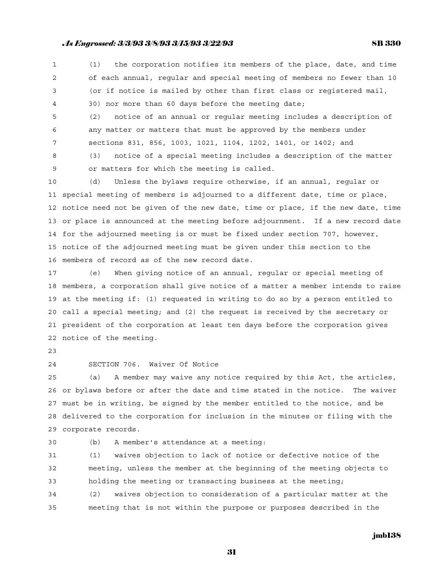1 (1) the corporation notifies its members of the place, date, and time 2 of each annual, regular and special meeting of members no fewer than 10 3 (or if notice is mailed by other than first class or registered mail, 4 30) nor more than 60 days before the meeting date; 5 (2) notice of an annual or regular meeting includes a description of 6 any matter or matters that must be approved by the members under 7 sections 831, 856, 1003, 1021, 1104, 1202, 1401, or 1402; and 8 (3) notice of a special meeting includes a description of the matter 9 or matters for which the meeting is called.

10 (d) Unless the bylaws require otherwise, if an annual, regular or 11 special meeting of members is adjourned to a different date, time or place, 12 notice need not be given of the new date, time or place, if the new date, time 13 or place is announced at the meeting before adjournment. If a new record date 14 for the adjourned meeting is or must be fixed under section 707, however, 15 notice of the adjourned meeting must be given under this section to the 16 members of record as of the new record date.

17 (e) When giving notice of an annual, regular or special meeting of 18 members, a corporation shall give notice of a matter a member intends to raise 19 at the meeting if: (1) requested in writing to do so by a person entitled to 20 call a special meeting; and (2) the request is received by the secretary or 21 president of the corporation at least ten days before the corporation gives 22 notice of the meeting.

23

#### 24 SECTION 706. Waiver Of Notice

25 (a) A member may waive any notice required by this Act, the articles, 26 or bylaws before or after the date and time stated in the notice. The waiver 27 must be in writing, be signed by the member entitled to the notice, and be 28 delivered to the corporation for inclusion in the minutes or filing with the 29 corporate records.

30 (b) A member's attendance at a meeting:

31 (1) waives objection to lack of notice or defective notice of the 32 meeting, unless the member at the beginning of the meeting objects to 33 holding the meeting or transacting business at the meeting;

34 (2) waives objection to consideration of a particular matter at the 35 meeting that is not within the purpose or purposes described in the

## imb138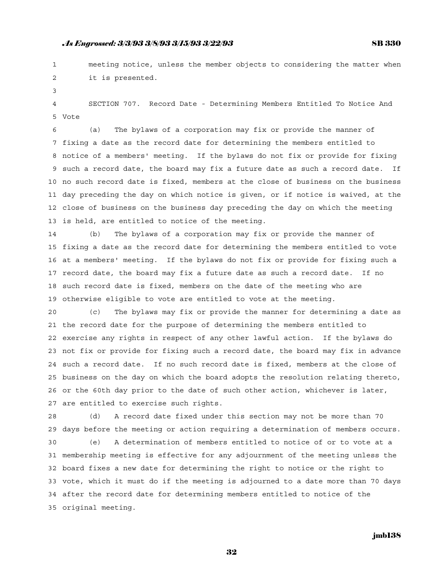1 meeting notice, unless the member objects to considering the matter when 2 it is presented.

3

4 SECTION 707. Record Date - Determining Members Entitled To Notice And 5 Vote

6 (a) The bylaws of a corporation may fix or provide the manner of 7 fixing a date as the record date for determining the members entitled to 8 notice of a members' meeting. If the bylaws do not fix or provide for fixing 9 such a record date, the board may fix a future date as such a record date. If 10 no such record date is fixed, members at the close of business on the business 11 day preceding the day on which notice is given, or if notice is waived, at the 12 close of business on the business day preceding the day on which the meeting 13 is held, are entitled to notice of the meeting.

14 (b) The bylaws of a corporation may fix or provide the manner of 15 fixing a date as the record date for determining the members entitled to vote 16 at a members' meeting. If the bylaws do not fix or provide for fixing such a 17 record date, the board may fix a future date as such a record date. If no 18 such record date is fixed, members on the date of the meeting who are 19 otherwise eligible to vote are entitled to vote at the meeting.

20 (c) The bylaws may fix or provide the manner for determining a date as 21 the record date for the purpose of determining the members entitled to 22 exercise any rights in respect of any other lawful action. If the bylaws do 23 not fix or provide for fixing such a record date, the board may fix in advance 24 such a record date. If no such record date is fixed, members at the close of 25 business on the day on which the board adopts the resolution relating thereto, 26 or the 60th day prior to the date of such other action, whichever is later, 27 are entitled to exercise such rights.

28 (d) A record date fixed under this section may not be more than 70 29 days before the meeting or action requiring a determination of members occurs. 30 (e) A determination of members entitled to notice of or to vote at a 31 membership meeting is effective for any adjournment of the meeting unless the 32 board fixes a new date for determining the right to notice or the right to 33 vote, which it must do if the meeting is adjourned to a date more than 70 days 34 after the record date for determining members entitled to notice of the 35 original meeting.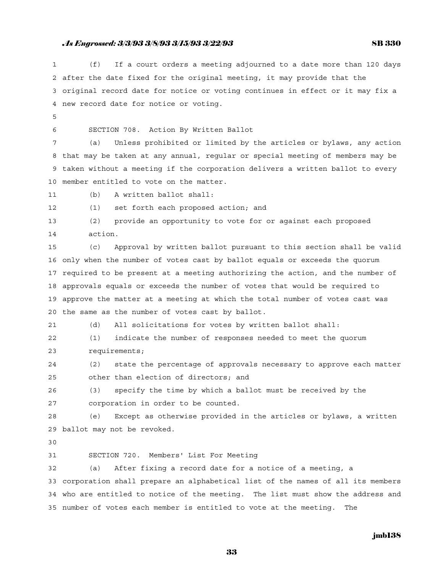1 (f) If a court orders a meeting adjourned to a date more than 120 days 2 after the date fixed for the original meeting, it may provide that the 3 original record date for notice or voting continues in effect or it may fix a 4 new record date for notice or voting.

5

6 SECTION 708. Action By Written Ballot

7 (a) Unless prohibited or limited by the articles or bylaws, any action 8 that may be taken at any annual, regular or special meeting of members may be 9 taken without a meeting if the corporation delivers a written ballot to every 10 member entitled to vote on the matter.

11 (b) A written ballot shall:

12 (1) set forth each proposed action; and

13 (2) provide an opportunity to vote for or against each proposed 14 action.

15 (c) Approval by written ballot pursuant to this section shall be valid 16 only when the number of votes cast by ballot equals or exceeds the quorum 17 required to be present at a meeting authorizing the action, and the number of 18 approvals equals or exceeds the number of votes that would be required to 19 approve the matter at a meeting at which the total number of votes cast was 20 the same as the number of votes cast by ballot.

21 (d) All solicitations for votes by written ballot shall:

22 (1) indicate the number of responses needed to meet the quorum 23 requirements;

24 (2) state the percentage of approvals necessary to approve each matter 25 other than election of directors; and

26 (3) specify the time by which a ballot must be received by the 27 corporation in order to be counted.

28 (e) Except as otherwise provided in the articles or bylaws, a written 29 ballot may not be revoked.

30

31 SECTION 720. Members' List For Meeting

32 (a) After fixing a record date for a notice of a meeting, a 33 corporation shall prepare an alphabetical list of the names of all its members 34 who are entitled to notice of the meeting. The list must show the address and 35 number of votes each member is entitled to vote at the meeting. The

#### imb138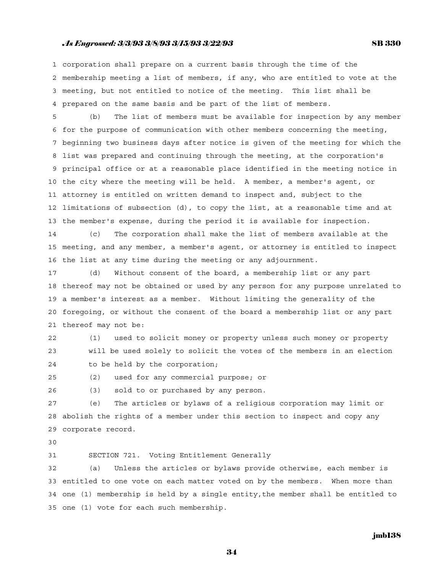1 corporation shall prepare on a current basis through the time of the 2 membership meeting a list of members, if any, who are entitled to vote at the 3 meeting, but not entitled to notice of the meeting. This list shall be 4 prepared on the same basis and be part of the list of members.

5 (b) The list of members must be available for inspection by any member 6 for the purpose of communication with other members concerning the meeting, 7 beginning two business days after notice is given of the meeting for which the 8 list was prepared and continuing through the meeting, at the corporation's 9 principal office or at a reasonable place identified in the meeting notice in 10 the city where the meeting will be held. A member, a member's agent, or 11 attorney is entitled on written demand to inspect and, subject to the 12 limitations of subsection (d), to copy the list, at a reasonable time and at 13 the member's expense, during the period it is available for inspection.

14 (c) The corporation shall make the list of members available at the 15 meeting, and any member, a member's agent, or attorney is entitled to inspect 16 the list at any time during the meeting or any adjournment.

17 (d) Without consent of the board, a membership list or any part 18 thereof may not be obtained or used by any person for any purpose unrelated to 19 a member's interest as a member. Without limiting the generality of the 20 foregoing, or without the consent of the board a membership list or any part 21 thereof may not be:

22 (1) used to solicit money or property unless such money or property 23 will be used solely to solicit the votes of the members in an election 24 to be held by the corporation;

25 (2) used for any commercial purpose; or

26 (3) sold to or purchased by any person.

27 (e) The articles or bylaws of a religious corporation may limit or 28 abolish the rights of a member under this section to inspect and copy any 29 corporate record.

30

31 SECTION 721. Voting Entitlement Generally

32 (a) Unless the articles or bylaws provide otherwise, each member is 33 entitled to one vote on each matter voted on by the members. When more than 34 one (1) membership is held by a single entity,the member shall be entitled to 35 one (1) vote for each such membership.

imb138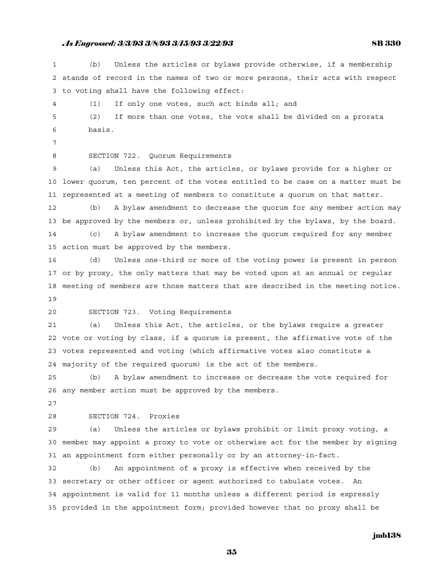1 (b) Unless the articles or bylaws provide otherwise, if a membership 2 stands of record in the names of two or more persons, their acts with respect 3 to voting shall have the following effect:

4 (1) If only one votes, such act binds all; and 5 (2) If more than one votes, the vote shall be divided on a prorata 6 basis.

- 7
- 
- 8 SECTION 722. Quorum Requirements

9 (a) Unless this Act, the articles, or bylaws provide for a higher or 10 lower quorum, ten percent of the votes entitled to be case on a matter must be 11 represented at a meeting of members to constitute a quorum on that matter.

12 (b) A bylaw amendment to decrease the quorum for any member action may 13 be approved by the members or, unless prohibited by the bylaws, by the board. 14 (c) A bylaw amendment to increase the quorum required for any member 15 action must be approved by the members.

16 (d) Unless one-third or more of the voting power is present in person 17 or by proxy, the only matters that may be voted upon at an annual or regular 18 meeting of members are those matters that are described in the meeting notice. 19

#### 20 SECTION 723. Voting Requirements

21 (a) Unless this Act, the articles, or the bylaws require a greater 22 vote or voting by class, if a quorum is present, the affirmative vote of the 23 votes represented and voting (which affirmative votes also constitute a 24 majority of the required quorum) is the act of the members.

25 (b) A bylaw amendment to increase or decrease the vote required for 26 any member action must be approved by the members.

27

### 28 SECTION 724. Proxies

29 (a) Unless the articles or bylaws prohibit or limit proxy voting, a 30 member may appoint a proxy to vote or otherwise act for the member by signing 31 an appointment form either personally or by an attorney-in-fact.

32 (b) An appointment of a proxy is effective when received by the 33 secretary or other officer or agent authorized to tabulate votes. An 34 appointment is valid for 11 months unless a different period is expressly 35 provided in the appointment form; provided however that no proxy shall be

## SB 330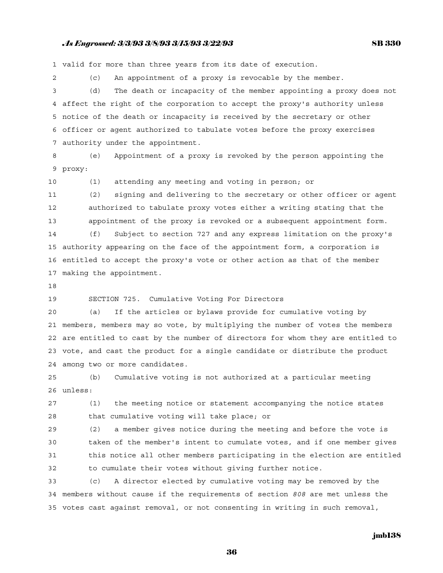1 valid for more than three years from its date of execution.

2 (c) An appointment of a proxy is revocable by the member. 3 (d) The death or incapacity of the member appointing a proxy does not 4 affect the right of the corporation to accept the proxy's authority unless 5 notice of the death or incapacity is received by the secretary or other 6 officer or agent authorized to tabulate votes before the proxy exercises 7 authority under the appointment.

8 (e) Appointment of a proxy is revoked by the person appointing the 9 proxy:

10 (1) attending any meeting and voting in person; or

11 (2) signing and delivering to the secretary or other officer or agent 12 authorized to tabulate proxy votes either a writing stating that the 13 appointment of the proxy is revoked or a subsequent appointment form.

14 (f) Subject to section 727 and any express limitation on the proxy's 15 authority appearing on the face of the appointment form, a corporation is 16 entitled to accept the proxy's vote or other action as that of the member 17 making the appointment.

18

19 SECTION 725. Cumulative Voting For Directors

20 (a) If the articles or bylaws provide for cumulative voting by 21 members, members may so vote, by multiplying the number of votes the members 22 are entitled to cast by the number of directors for whom they are entitled to 23 vote, and cast the product for a single candidate or distribute the product 24 among two or more candidates.

25 (b) Cumulative voting is not authorized at a particular meeting 26 unless:

27 (1) the meeting notice or statement accompanying the notice states 28 that cumulative voting will take place; or

29 (2) a member gives notice during the meeting and before the vote is 30 taken of the member's intent to cumulate votes, and if one member gives 31 this notice all other members participating in the election are entitled 32 to cumulate their votes without giving further notice.

33 (c) A director elected by cumulative voting may be removed by the 34 members without cause if the requirements of section *808* are met unless the 35 votes cast against removal, or not consenting in writing in such removal,

### imb138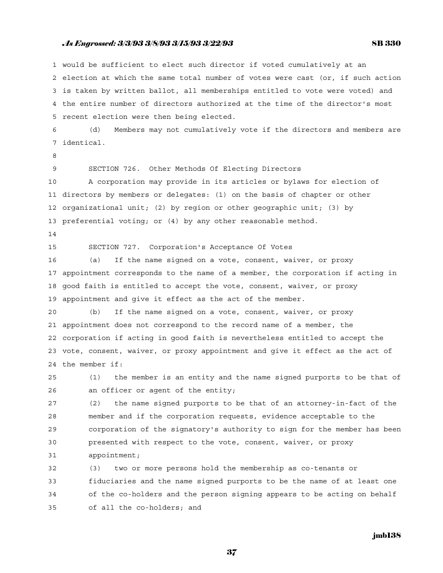1 would be sufficient to elect such director if voted cumulatively at an 2 election at which the same total number of votes were cast (or, if such action 3 is taken by written ballot, all memberships entitled to vote were voted) and 4 the entire number of directors authorized at the time of the director's most 5 recent election were then being elected. 6 (d) Members may not cumulatively vote if the directors and members are 7 identical. **8** 9 SECTION 726. Other Methods Of Electing Directors 10 A corporation may provide in its articles or bylaws for election of 11 directors by members or delegates: (1) on the basis of chapter or other 12 organizational unit; (2) by region or other geographic unit; (3) by 13 preferential voting; or (4) by any other reasonable method. 14 15 SECTION 727. Corporation's Acceptance Of Votes 16 (a) If the name signed on a vote, consent, waiver, or proxy 17 appointment corresponds to the name of a member, the corporation if acting in 18 good faith is entitled to accept the vote, consent, waiver, or proxy 19 appointment and give it effect as the act of the member. 20 (b) If the name signed on a vote, consent, waiver, or proxy 21 appointment does not correspond to the record name of a member, the 22 corporation if acting in good faith is nevertheless entitled to accept the 23 vote, consent, waiver, or proxy appointment and give it effect as the act of 24 the member if: 25 (1) the member is an entity and the name signed purports to be that of 26 an officer or agent of the entity; 27 (2) the name signed purports to be that of an attorney-in-fact of the 28 member and if the corporation requests, evidence acceptable to the 29 corporation of the signatory's authority to sign for the member has been 30 presented with respect to the vote, consent, waiver, or proxy 31 appointment; 32 (3) two or more persons hold the membership as co-tenants or 33 fiduciaries and the name signed purports to be the name of at least one 34 of the co-holders and the person signing appears to be acting on behalf

35 of all the co-holders; and

### imb138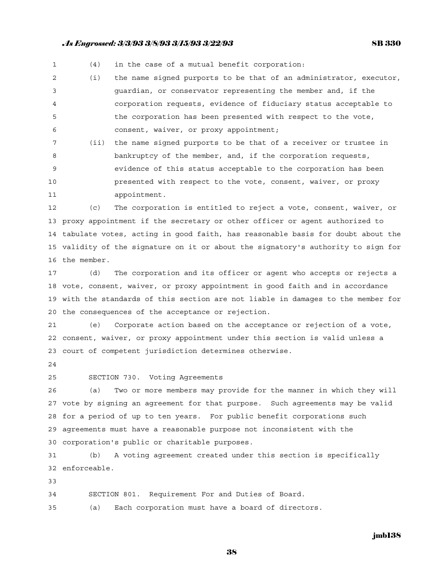1 (4) in the case of a mutual benefit corporation: 2 (i) the name signed purports to be that of an administrator, executor, 3 guardian, or conservator representing the member and, if the 4 corporation requests, evidence of fiduciary status acceptable to 5 the corporation has been presented with respect to the vote, 6 consent, waiver, or proxy appointment; 7 (ii) the name signed purports to be that of a receiver or trustee in 8 bankruptcy of the member, and, if the corporation requests, 9 evidence of this status acceptable to the corporation has been 10 presented with respect to the vote, consent, waiver, or proxy 11 appointment. 12 (c) The corporation is entitled to reject a vote, consent, waiver, or

13 proxy appointment if the secretary or other officer or agent authorized to 14 tabulate votes, acting in good faith, has reasonable basis for doubt about the 15 validity of the signature on it or about the signatory's authority to sign for 16 the member.

17 (d) The corporation and its officer or agent who accepts or rejects a 18 vote, consent, waiver, or proxy appointment in good faith and in accordance 19 with the standards of this section are not liable in damages to the member for 20 the consequences of the acceptance or rejection.

21 (e) Corporate action based on the acceptance or rejection of a vote, 22 consent, waiver, or proxy appointment under this section is valid unless a 23 court of competent jurisdiction determines otherwise.

24

25 SECTION 730. Voting Agreements

26 (a) Two or more members may provide for the manner in which they will 27 vote by signing an agreement for that purpose. Such agreements may be valid 28 for a period of up to ten years. For public benefit corporations such 29 agreements must have a reasonable purpose not inconsistent with the 30 corporation's public or charitable purposes.

31 (b) A voting agreement created under this section is specifically 32 enforceable.

33

34 SECTION 801. Requirement For and Duties of Board.

35 (a) Each corporation must have a board of directors.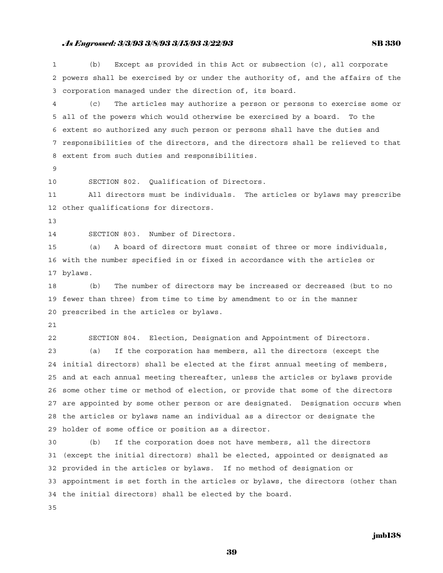1 (b) Except as provided in this Act or subsection (c), all corporate 2 powers shall be exercised by or under the authority of, and the affairs of the 3 corporation managed under the direction of, its board. 4 (c) The articles may authorize a person or persons to exercise some or 5 all of the powers which would otherwise be exercised by a board. To the 6 extent so authorized any such person or persons shall have the duties and 7 responsibilities of the directors, and the directors shall be relieved to that 8 extent from such duties and responsibilities. 9 10 SECTION 802. Qualification of Directors. 11 All directors must be individuals. The articles or bylaws may prescribe 12 other qualifications for directors. 13 14 SECTION 803. Number of Directors. 15 (a) A board of directors must consist of three or more individuals, 16 with the number specified in or fixed in accordance with the articles or 17 bylaws. 18 (b) The number of directors may be increased or decreased (but to no 19 fewer than three) from time to time by amendment to or in the manner 20 prescribed in the articles or bylaws. 21 22 SECTION 804. Election, Designation and Appointment of Directors. 23 (a) If the corporation has members, all the directors (except the 24 initial directors) shall be elected at the first annual meeting of members, 25 and at each annual meeting thereafter, unless the articles or bylaws provide 26 some other time or method of election, or provide that some of the directors 27 are appointed by some other person or are designated. Designation occurs when 28 the articles or bylaws name an individual as a director or designate the 29 holder of some office or position as a director. 30 (b) If the corporation does not have members, all the directors 31 (except the initial directors) shall be elected, appointed or designated as 32 provided in the articles or bylaws. If no method of designation or 33 appointment is set forth in the articles or bylaws, the directors (other than 34 the initial directors) shall be elected by the board.

35

SB 330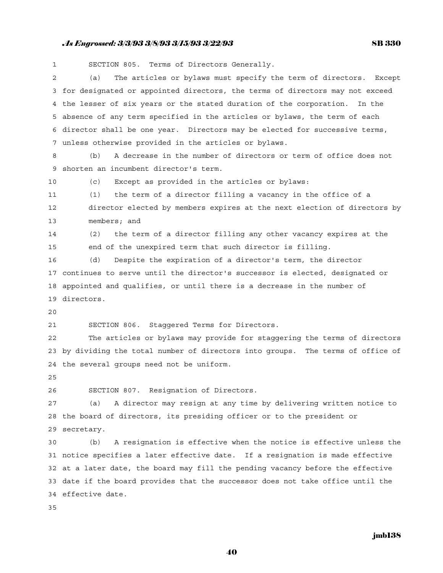| 1  | SECTION 805. Terms of Directors Generally.                                       |
|----|----------------------------------------------------------------------------------|
| 2  | The articles or bylaws must specify the term of directors. Except<br>(a)         |
| 3. | for designated or appointed directors, the terms of directors may not exceed     |
| 4  | the lesser of six years or the stated duration of the corporation. In the        |
| 5. | absence of any term specified in the articles or bylaws, the term of each        |
| 6  | director shall be one year. Directors may be elected for successive terms,       |
| 7  | unless otherwise provided in the articles or bylaws.                             |
| 8  | A decrease in the number of directors or term of office does not<br>(b)          |
| 9  | shorten an incumbent director's term.                                            |
| 10 | Except as provided in the articles or bylaws:<br>(C)                             |
| 11 | (1) the term of a director filling a vacancy in the office of a                  |
| 12 | director elected by members expires at the next election of directors by         |
| 13 | members; and                                                                     |
| 14 | the term of a director filling any other vacancy expires at the<br>(2)           |
| 15 | end of the unexpired term that such director is filling.                         |
| 16 | Despite the expiration of a director's term, the director<br>(d)                 |
| 17 | continues to serve until the director's successor is elected, designated or      |
| 18 | appointed and qualifies, or until there is a decrease in the number of           |
|    | 19 directors.                                                                    |
| 20 |                                                                                  |
| 21 | SECTION 806. Staggered Terms for Directors.                                      |
| 22 | The articles or bylaws may provide for staggering the terms of directors         |
|    | 23 by dividing the total number of directors into groups. The terms of office of |
|    | 24 the several groups need not be uniform.                                       |
| 25 |                                                                                  |
| 26 | SECTION 807. Resignation of Directors.                                           |
| 27 | A director may resign at any time by delivering written notice to<br>(a)         |
| 28 | the board of directors, its presiding officer or to the president or             |
| 29 | secretary.                                                                       |
| 30 | A resignation is effective when the notice is effective unless the<br>(b)        |
|    | 31 notice specifies a later effective date. If a resignation is made effective   |
|    | 32 at a later date, the board may fill the pending vacancy before the effective  |
| 33 | date if the board provides that the successor does not take office until the     |
|    | 34 effective date.                                                               |
| 35 |                                                                                  |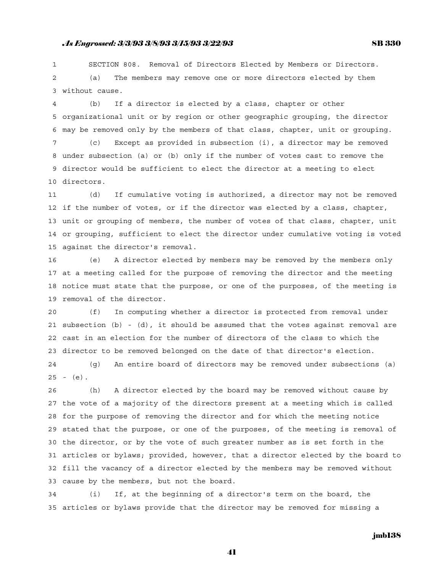SB 330

1 SECTION 808. Removal of Directors Elected by Members or Directors. 2 (a) The members may remove one or more directors elected by them 3 without cause.

4 (b) If a director is elected by a class, chapter or other 5 organizational unit or by region or other geographic grouping, the director 6 may be removed only by the members of that class, chapter, unit or grouping. 7 (c) Except as provided in subsection (i), a director may be removed 8 under subsection (a) or (b) only if the number of votes cast to remove the 9 director would be sufficient to elect the director at a meeting to elect 10 directors.

11 (d) If cumulative voting is authorized, a director may not be removed 12 if the number of votes, or if the director was elected by a class, chapter, 13 unit or grouping of members, the number of votes of that class, chapter, unit 14 or grouping, sufficient to elect the director under cumulative voting is voted 15 against the director's removal.

16 (e) A director elected by members may be removed by the members only 17 at a meeting called for the purpose of removing the director and the meeting 18 notice must state that the purpose, or one of the purposes, of the meeting is 19 removal of the director.

20 (f) In computing whether a director is protected from removal under 21 subsection (b) - (d), it should be assumed that the votes against removal are 22 cast in an election for the number of directors of the class to which the 23 director to be removed belonged on the date of that director's election.

24 (g) An entire board of directors may be removed under subsections (a)  $25 - (e)$ .

26 (h) A director elected by the board may be removed without cause by 27 the vote of a majority of the directors present at a meeting which is called 28 for the purpose of removing the director and for which the meeting notice 29 stated that the purpose, or one of the purposes, of the meeting is removal of 30 the director, or by the vote of such greater number as is set forth in the 31 articles or bylaws; provided, however, that a director elected by the board to 32 fill the vacancy of a director elected by the members may be removed without 33 cause by the members, but not the board.

34 (i) If, at the beginning of a director's term on the board, the 35 articles or bylaws provide that the director may be removed for missing a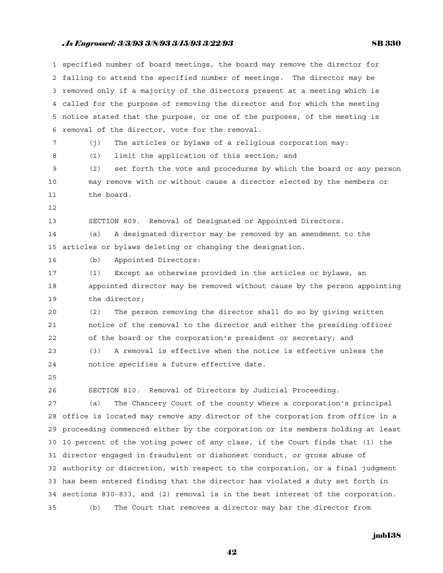|    | 1 specified number of board meetings, the board may remove the director for       |
|----|-----------------------------------------------------------------------------------|
|    | 2 failing to attend the specified number of meetings. The director may be         |
| 3. | removed only if a majority of the directors present at a meeting which is         |
|    | 4 called for the purpose of removing the director and for which the meeting       |
|    | 5 notice stated that the purpose, or one of the purposes, of the meeting is       |
| 6  | removal of the director, vote for the removal.                                    |
| 7  | The articles or bylaws of a religious corporation may:<br>(i)                     |
| 8  | limit the application of this section; and<br>(1)                                 |
| 9  | set forth the vote and procedures by which the board or any person<br>(2)         |
| 10 | may remove with or without cause a director elected by the members or             |
| 11 | the board.                                                                        |
| 12 |                                                                                   |
| 13 | SECTION 809. Removal of Designated or Appointed Directors.                        |
| 14 | A designated director may be removed by an amendment to the<br>(a)                |
| 15 | articles or bylaws deleting or changing the designation.                          |
| 16 | Appointed Directors:<br>(b)                                                       |
| 17 | Except as otherwise provided in the articles or bylaws, an<br>(1)                 |
| 18 | appointed director may be removed without cause by the person appointing          |
| 19 | the director;                                                                     |
| 20 | The person removing the director shall do so by giving written<br>(2)             |
| 21 | notice of the removal to the director and either the presiding officer            |
| 22 | of the board or the corporation's president or secretary; and                     |
| 23 | A removal is effective when the notice is effective unless the<br>(3)             |
| 24 | notice specifies a future effective date.                                         |
| 25 |                                                                                   |
| 26 | SECTION 810. Removal of Directors by Judicial Proceeding.                         |
| 27 | The Chancery Court of the county where a corporation's principal<br>(a)           |
|    | 28 office is located may remove any director of the corporation from office in a  |
|    | 29 proceeding commenced either by the corporation or its members holding at least |
|    | 30 10 percent of the voting power of any class, if the Court finds that (1) the   |
|    | 31 director engaged in fraudulent or dishonest conduct, or gross abuse of         |
|    | 32 authority or discretion, with respect to the corporation, or a final judgment  |
|    | 33 has been entered finding that the director has violated a duty set forth in    |
|    | 34 sections 830-833, and (2) removal is in the best interest of the corporation.  |
| 35 | The Court that removes a director may bar the director from<br>(b)                |

# jmb138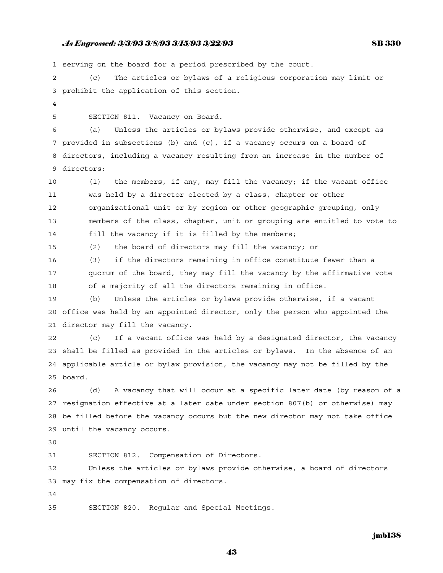1 serving on the board for a period prescribed by the court. 2 (c) The articles or bylaws of a religious corporation may limit or 3 prohibit the application of this section. 4 5 SECTION 811. Vacancy on Board. 6 (a) Unless the articles or bylaws provide otherwise, and except as 7 provided in subsections (b) and (c), if a vacancy occurs on a board of 8 directors, including a vacancy resulting from an increase in the number of 9 directors: 10 (1) the members, if any, may fill the vacancy; if the vacant office 11 was held by a director elected by a class, chapter or other 12 organizational unit or by region or other geographic grouping, only 13 members of the class, chapter, unit or grouping are entitled to vote to 14 fill the vacancy if it is filled by the members; 15 (2) the board of directors may fill the vacancy; or 16 (3) if the directors remaining in office constitute fewer than a 17 quorum of the board, they may fill the vacancy by the affirmative vote 18 of a majority of all the directors remaining in office. 19 (b) Unless the articles or bylaws provide otherwise, if a vacant 20 office was held by an appointed director, only the person who appointed the 21 director may fill the vacancy. 22 (c) If a vacant office was held by a designated director, the vacancy 23 shall be filled as provided in the articles or bylaws. In the absence of an 24 applicable article or bylaw provision, the vacancy may not be filled by the 25 board. 26 (d) A vacancy that will occur at a specific later date (by reason of a 27 resignation effective at a later date under section 807(b) or otherwise) may 28 be filled before the vacancy occurs but the new director may not take office 29 until the vacancy occurs. 30 31 SECTION 812. Compensation of Directors. 32 Unless the articles or bylaws provide otherwise, a board of directors 33 may fix the compensation of directors. 34 35 SECTION 820. Regular and Special Meetings.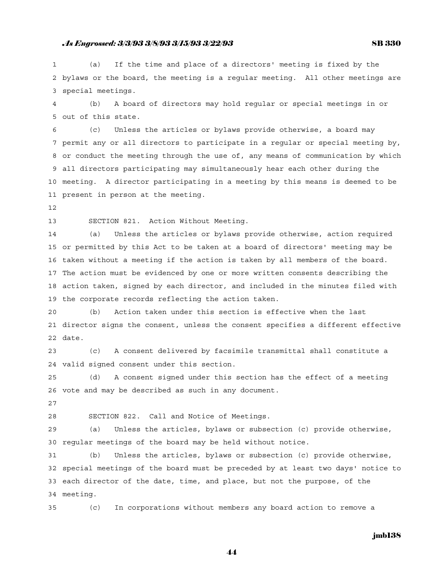1 (a) If the time and place of a directors' meeting is fixed by the 2 bylaws or the board, the meeting is a regular meeting. All other meetings are 3 special meetings.

4 (b) A board of directors may hold regular or special meetings in or 5 out of this state.

6 (c) Unless the articles or bylaws provide otherwise, a board may 7 permit any or all directors to participate in a regular or special meeting by, 8 or conduct the meeting through the use of, any means of communication by which 9 all directors participating may simultaneously hear each other during the 10 meeting. A director participating in a meeting by this means is deemed to be 11 present in person at the meeting.

12

13 SECTION 821. Action Without Meeting.

14 (a) Unless the articles or bylaws provide otherwise, action required 15 or permitted by this Act to be taken at a board of directors' meeting may be 16 taken without a meeting if the action is taken by all members of the board. 17 The action must be evidenced by one or more written consents describing the 18 action taken, signed by each director, and included in the minutes filed with 19 the corporate records reflecting the action taken.

20 (b) Action taken under this section is effective when the last 21 director signs the consent, unless the consent specifies a different effective 22 date.

23 (c) A consent delivered by facsimile transmittal shall constitute a 24 valid signed consent under this section.

25 (d) A consent signed under this section has the effect of a meeting 26 vote and may be described as such in any document.

27

28 SECTION 822. Call and Notice of Meetings.

29 (a) Unless the articles, bylaws or subsection (c) provide otherwise, 30 regular meetings of the board may be held without notice.

31 (b) Unless the articles, bylaws or subsection (c) provide otherwise, 32 special meetings of the board must be preceded by at least two days' notice to 33 each director of the date, time, and place, but not the purpose, of the 34 meeting.

35 (c) In corporations without members any board action to remove a

SB 330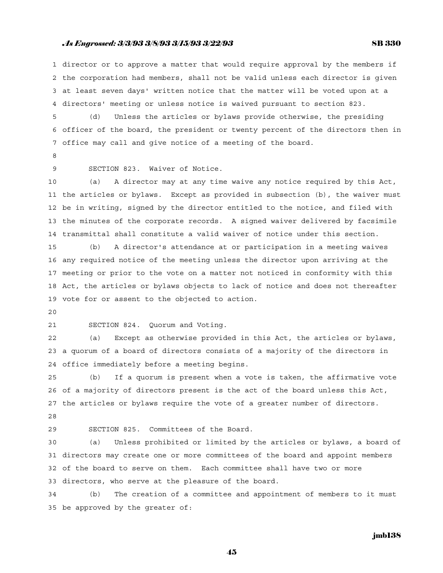1 director or to approve a matter that would require approval by the members if 2 the corporation had members, shall not be valid unless each director is given 3 at least seven days' written notice that the matter will be voted upon at a 4 directors' meeting or unless notice is waived pursuant to section 823.

5 (d) Unless the articles or bylaws provide otherwise, the presiding 6 officer of the board, the president or twenty percent of the directors then in 7 office may call and give notice of a meeting of the board.

**8** 

9 SECTION 823. Waiver of Notice.

10 (a) A director may at any time waive any notice required by this Act, 11 the articles or bylaws. Except as provided in subsection (b), the waiver must 12 be in writing, signed by the director entitled to the notice, and filed with 13 the minutes of the corporate records. A signed waiver delivered by facsimile 14 transmittal shall constitute a valid waiver of notice under this section.

15 (b) A director's attendance at or participation in a meeting waives 16 any required notice of the meeting unless the director upon arriving at the 17 meeting or prior to the vote on a matter not noticed in conformity with this 18 Act, the articles or bylaws objects to lack of notice and does not thereafter 19 vote for or assent to the objected to action.

20

21 SECTION 824. Quorum and Voting.

22 (a) Except as otherwise provided in this Act, the articles or bylaws, 23 a quorum of a board of directors consists of a majority of the directors in 24 office immediately before a meeting begins.

25 (b) If a quorum is present when a vote is taken, the affirmative vote 26 of a majority of directors present is the act of the board unless this Act, 27 the articles or bylaws require the vote of a greater number of directors. 28

29 SECTION 825. Committees of the Board.

30 (a) Unless prohibited or limited by the articles or bylaws, a board of 31 directors may create one or more committees of the board and appoint members 32 of the board to serve on them. Each committee shall have two or more 33 directors, who serve at the pleasure of the board.

34 (b) The creation of a committee and appointment of members to it must 35 be approved by the greater of: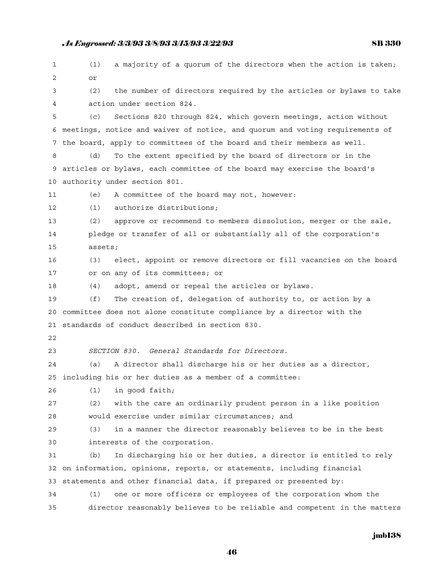2 or

22

3 (2) the number of directors required by the articles or bylaws to take 4 action under section 824. 5 (c) Sections 820 through 824, which govern meetings, action without 6 meetings, notice and waiver of notice, and quorum and voting requirements of 7 the board, apply to committees of the board and their members as well. 8 (d) To the extent specified by the board of directors or in the 9 articles or bylaws, each committee of the board may exercise the board's 10 authority under section 801. 11 (e) A committee of the board may not, however: 12 (1) authorize distributions; 13 (2) approve or recommend to members dissolution, merger or the sale, 14 pledge or transfer of all or substantially all of the corporation's 15 assets; 16 (3) elect, appoint or remove directors or fill vacancies on the board 17 or on any of its committees; or 18 (4) adopt, amend or repeal the articles or bylaws. 19 (f) The creation of, delegation of authority to, or action by a 20 committee does not alone constitute compliance by a director with the 21 standards of conduct described in section 830. 23 *SECTION 830. General Standards for Directors.* 24 (a) A director shall discharge his or her duties as a director, 25 including his or her duties as a member of a committee: 26 (1) in good faith; 27 (2) with the care an ordinarily prudent person in a like position 28 would exercise under similar circumstances; and 29 (3) in a manner the director reasonably believes to be in the best 30 interests of the corporation. 31 (b) In discharging his or her duties, a director is entitled to rely 32 on information, opinions, reports, or statements, including financial 33 statements and other financial data, if prepared or presented by: 34 (1) one or more officers or employees of the corporation whom the

1 (1) a majority of a quorum of the directors when the action is taken;

imb138

46

35 director reasonably believes to be reliable and competent in the matters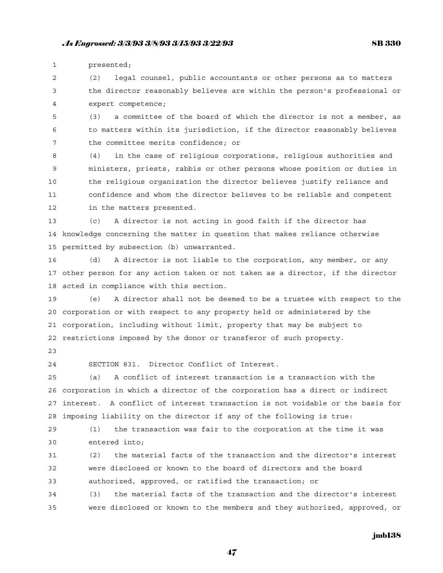SB 330

1 presented; 2 (2) legal counsel, public accountants or other persons as to matters 3 the director reasonably believes are within the person's professional or 4 expert competence; 5 (3) a committee of the board of which the director is not a member, as 6 to matters within its jurisdiction, if the director reasonably believes 7 the committee merits confidence; or 8 (4) in the case of religious corporations, religious authorities and 9 ministers, priests, rabbis or other persons whose position or duties in 10 the religious organization the director believes justify reliance and 11 confidence and whom the director believes to be reliable and competent 12 in the matters presented. 13 (c) A director is not acting in good faith if the director has 14 knowledge concerning the matter in question that makes reliance otherwise 15 permitted by subsection (b) unwarranted. 16 (d) A director is not liable to the corporation, any member, or any 17 other person for any action taken or not taken as a director, if the director 18 acted in compliance with this section. 19 (e) A director shall not be deemed to be a trustee with respect to the 20 corporation or with respect to any property held or administered by the 21 corporation, including without limit, property that may be subject to 22 restrictions imposed by the donor or transferor of such property. 23 24 SECTION 831. Director Conflict of Interest. 25 (a) A conflict of interest transaction is a transaction with the

26 corporation in which a director of the corporation has a direct or indirect 27 interest. A conflict of interest transaction is not voidable or the basis for 28 imposing liability on the director if any of the following is true:

29 (1) the transaction was fair to the corporation at the time it was 30 entered into;

31 (2) the material facts of the transaction and the director's interest 32 were disclosed or known to the board of directors and the board 33 authorized, approved, or ratified the transaction; or

34 (3) the material facts of the transaction and the director's interest 35 were disclosed or known to the members and they authorized, approved, or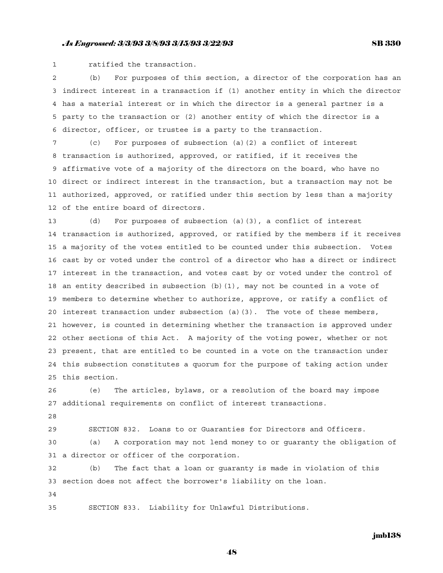SB 330

1 ratified the transaction.

2 (b) For purposes of this section, a director of the corporation has an 3 indirect interest in a transaction if (1) another entity in which the director 4 has a material interest or in which the director is a general partner is a 5 party to the transaction or (2) another entity of which the director is a 6 director, officer, or trustee is a party to the transaction.

7 (c) For purposes of subsection (a)(2) a conflict of interest 8 transaction is authorized, approved, or ratified, if it receives the 9 affirmative vote of a majority of the directors on the board, who have no 10 direct or indirect interest in the transaction, but a transaction may not be 11 authorized, approved, or ratified under this section by less than a majority 12 of the entire board of directors.

13 (d) For purposes of subsection (a)(3), a conflict of interest 14 transaction is authorized, approved, or ratified by the members if it receives 15 a majority of the votes entitled to be counted under this subsection. Votes 16 cast by or voted under the control of a director who has a direct or indirect 17 interest in the transaction, and votes cast by or voted under the control of 18 an entity described in subsection (b)(1), may not be counted in a vote of 19 members to determine whether to authorize, approve, or ratify a conflict of 20 interest transaction under subsection (a)(3). The vote of these members, 21 however, is counted in determining whether the transaction is approved under 22 other sections of this Act. A majority of the voting power, whether or not 23 present, that are entitled to be counted in a vote on the transaction under 24 this subsection constitutes a quorum for the purpose of taking action under 25 this section.

26 (e) The articles, bylaws, or a resolution of the board may impose 27 additional requirements on conflict of interest transactions.

28

29 SECTION 832. Loans to or Guaranties for Directors and Officers.

30 (a) A corporation may not lend money to or guaranty the obligation of 31 a director or officer of the corporation.

32 (b) The fact that a loan or guaranty is made in violation of this 33 section does not affect the borrower's liability on the loan. 34 35 SECTION 833. Liability for Unlawful Distributions.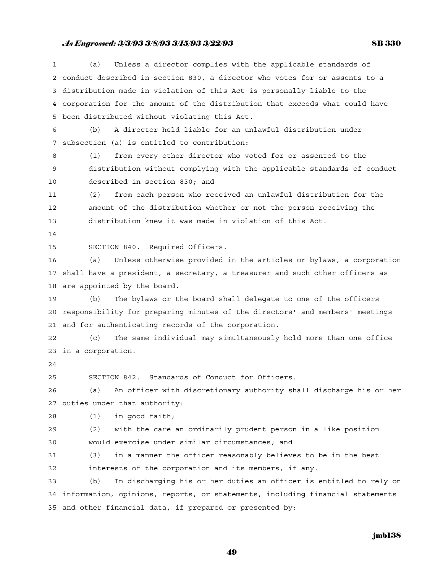| 1  | Unless a director complies with the applicable standards of<br>(a)              |
|----|---------------------------------------------------------------------------------|
|    | 2 conduct described in section 830, a director who votes for or assents to a    |
| 3. | distribution made in violation of this Act is personally liable to the          |
|    | 4 corporation for the amount of the distribution that exceeds what could have   |
| 5  | been distributed without violating this Act.                                    |
| 6  | A director held liable for an unlawful distribution under<br>(b)                |
| 7  | subsection (a) is entitled to contribution:                                     |
| 8  | from every other director who voted for or assented to the<br>(1)               |
| 9  | distribution without complying with the applicable standards of conduct         |
| 10 | described in section 830; and                                                   |
| 11 | (2)<br>from each person who received an unlawful distribution for the           |
| 12 | amount of the distribution whether or not the person receiving the              |
| 13 | distribution knew it was made in violation of this Act.                         |
| 14 |                                                                                 |
| 15 | SECTION 840. Required Officers.                                                 |
| 16 | Unless otherwise provided in the articles or bylaws, a corporation<br>(a)       |
| 17 | shall have a president, a secretary, a treasurer and such other officers as     |
|    | 18 are appointed by the board.                                                  |
| 19 | The bylaws or the board shall delegate to one of the officers<br>(b)            |
|    | 20 responsibility for preparing minutes of the directors' and members' meetings |
|    | 21 and for authenticating records of the corporation.                           |
| 22 | The same individual may simultaneously hold more than one office<br>(c)         |
|    | 23 in a corporation.                                                            |
| 24 |                                                                                 |
| 25 | SECTION 842. Standards of Conduct for Officers.                                 |
| 26 | An officer with discretionary authority shall discharge his or her<br>(a)       |
|    | 27 duties under that authority:                                                 |
| 28 | in good faith;<br>(1)                                                           |
| 29 | with the care an ordinarily prudent person in a like position<br>(2)            |
| 30 | would exercise under similar circumstances; and                                 |
| 31 | in a manner the officer reasonably believes to be in the best<br>(3)            |
| 32 | interests of the corporation and its members, if any.                           |
| 33 | In discharging his or her duties an officer is entitled to rely on<br>(b)       |
| 34 | information, opinions, reports, or statements, including financial statements   |
|    | 35 and other financial data, if prepared or presented by:                       |
|    |                                                                                 |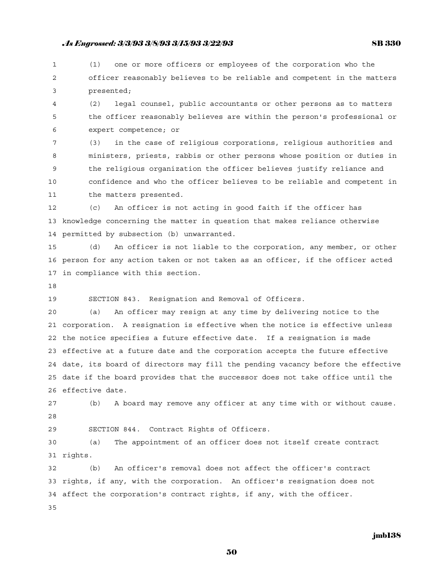SB 330

1 (1) one or more officers or employees of the corporation who the 2 officer reasonably believes to be reliable and competent in the matters 3 presented; 4 (2) legal counsel, public accountants or other persons as to matters 5 the officer reasonably believes are within the person's professional or 6 expert competence; or 7 (3) in the case of religious corporations, religious authorities and 8 ministers, priests, rabbis or other persons whose position or duties in 9 the religious organization the officer believes justify reliance and 10 confidence and who the officer believes to be reliable and competent in 11 the matters presented. 12 (c) An officer is not acting in good faith if the officer has 13 knowledge concerning the matter in question that makes reliance otherwise 14 permitted by subsection (b) unwarranted. 15 (d) An officer is not liable to the corporation, any member, or other 16 person for any action taken or not taken as an officer, if the officer acted 17 in compliance with this section. 18 19 SECTION 843. Resignation and Removal of Officers. 20 (a) An officer may resign at any time by delivering notice to the 21 corporation. A resignation is effective when the notice is effective unless 22 the notice specifies a future effective date. If a resignation is made 23 effective at a future date and the corporation accepts the future effective 24 date, its board of directors may fill the pending vacancy before the effective 25 date if the board provides that the successor does not take office until the 26 effective date. 27 (b) A board may remove any officer at any time with or without cause. 28 29 SECTION 844. Contract Rights of Officers. 30 (a) The appointment of an officer does not itself create contract 31 rights. 32 (b) An officer's removal does not affect the officer's contract 33 rights, if any, with the corporation. An officer's resignation does not 34 affect the corporation's contract rights, if any, with the officer. 35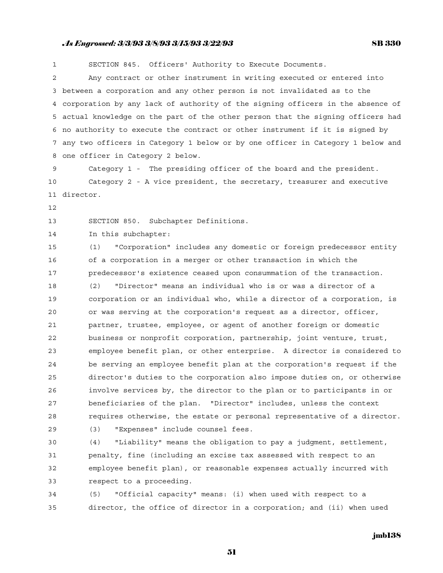SB 330

| 1  | SECTION 845. Officers' Authority to Execute Documents.                           |
|----|----------------------------------------------------------------------------------|
| 2  | Any contract or other instrument in writing executed or entered into             |
| 3  | between a corporation and any other person is not invalidated as to the          |
| 4  | corporation by any lack of authority of the signing officers in the absence of   |
|    | 5 actual knowledge on the part of the other person that the signing officers had |
| 6  | no authority to execute the contract or other instrument if it is signed by      |
|    | 7 any two officers in Category 1 below or by one officer in Category 1 below and |
| 8  | one officer in Category 2 below.                                                 |
| 9  | Category 1 - The presiding officer of the board and the president.               |
| 10 | Category 2 - A vice president, the secretary, treasurer and executive            |
|    | 11 director.                                                                     |
| 12 |                                                                                  |
| 13 | SECTION 850. Subchapter Definitions.                                             |
| 14 | In this subchapter:                                                              |
| 15 | "Corporation" includes any domestic or foreign predecessor entity<br>(1)         |
| 16 | of a corporation in a merger or other transaction in which the                   |
| 17 | predecessor's existence ceased upon consummation of the transaction.             |
| 18 | "Director" means an individual who is or was a director of a<br>(2)              |
| 19 | corporation or an individual who, while a director of a corporation, is          |
| 20 | or was serving at the corporation's request as a director, officer,              |
| 21 | partner, trustee, employee, or agent of another foreign or domestic              |
| 22 | business or nonprofit corporation, partnership, joint venture, trust,            |
| 23 | employee benefit plan, or other enterprise. A director is considered to          |
| 24 | be serving an employee benefit plan at the corporation's request if the          |
| 25 | director's duties to the corporation also impose duties on, or otherwise         |
| 26 | involve services by, the director to the plan or to participants in or           |
| 27 | beneficiaries of the plan. "Director" includes, unless the context               |
| 28 | requires otherwise, the estate or personal representative of a director.         |
| 29 | "Expenses" include counsel fees.<br>(3)                                          |
| 30 | "Liability" means the obligation to pay a judgment, settlement,<br>(4)           |
| 31 | penalty, fine (including an excise tax assessed with respect to an               |
| 32 | employee benefit plan), or reasonable expenses actually incurred with            |
| 33 | respect to a proceeding.                                                         |
| 34 | "Official capacity" means: (i) when used with respect to a<br>(5)                |
| 35 | director, the office of director in a corporation; and (ii) when used            |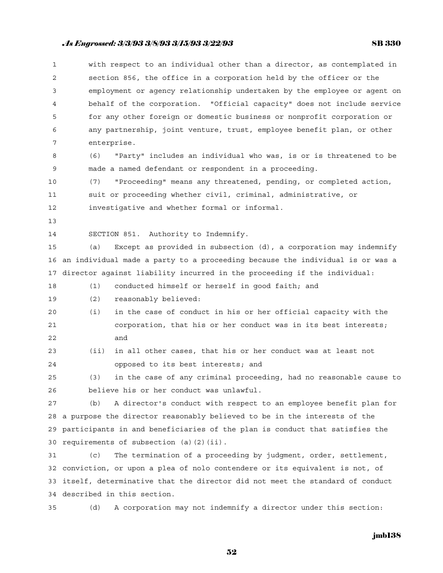| $\mathbf{1}$    | with respect to an individual other than a director, as contemplated in  |
|-----------------|--------------------------------------------------------------------------|
| 2               | section 856, the office in a corporation held by the officer or the      |
| 3               | employment or agency relationship undertaken by the employee or agent on |
| $\overline{4}$  | behalf of the corporation. "Official capacity" does not include service  |
| 5               | for any other foreign or domestic business or nonprofit corporation or   |
| 6               | any partnership, joint venture, trust, employee benefit plan, or other   |
| $7\overline{ }$ | enterprise.                                                              |
| 8               | "Party" includes an individual who was, is or is threatened to be<br>(6) |
| 9               | made a named defendant or respondent in a proceeding.                    |

10 (7) "Proceeding" means any threatened, pending, or completed action, 11 suit or proceeding whether civil, criminal, administrative, or 12 investigative and whether formal or informal.

13

14 SECTION 851. Authority to Indemnify.

15 (a) Except as provided in subsection (d), a corporation may indemnify 16 an individual made a party to a proceeding because the individual is or was a 17 director against liability incurred in the proceeding if the individual:

18 (1) conducted himself or herself in good faith; and

19 (2) reasonably believed:

20 (i) in the case of conduct in his or her official capacity with the 21 corporation, that his or her conduct was in its best interests; 22 and

23 (ii) in all other cases, that his or her conduct was at least not 24 opposed to its best interests; and

25 (3) in the case of any criminal proceeding, had no reasonable cause to 26 believe his or her conduct was unlawful.

27 (b) A director's conduct with respect to an employee benefit plan for 28 a purpose the director reasonably believed to be in the interests of the 29 participants in and beneficiaries of the plan is conduct that satisfies the 30 requirements of subsection (a)(2)(ii).

31 (c) The termination of a proceeding by judgment, order, settlement, 32 conviction, or upon a plea of nolo contendere or its equivalent is not, of 33 itself, determinative that the director did not meet the standard of conduct 34 described in this section.

35 (d) A corporation may not indemnify a director under this section: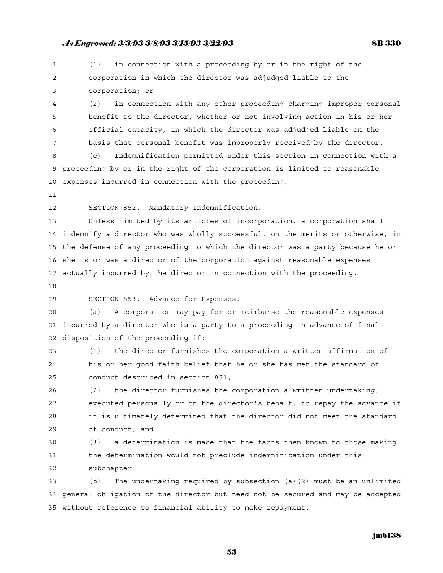SB 330

1 (1) in connection with a proceeding by or in the right of the 2 corporation in which the director was adjudged liable to the 3 corporation; or 4 (2) in connection with any other proceeding charging improper personal 5 benefit to the director, whether or not involving action in his or her 6 official capacity, in which the director was adjudged liable on the 7 basis that personal benefit was improperly received by the director. 8 (e) Indemnification permitted under this section in connection with a 9 proceeding by or in the right of the corporation is limited to reasonable 10 expenses incurred in connection with the proceeding. 11 12 SECTION 852. Mandatory Indemnification. 13 Unless limited by its articles of incorporation, a corporation shall 14 indemnify a director who was wholly successful, on the merits or otherwise, in 15 the defense of any proceeding to which the director was a party because he or 16 she is or was a director of the corporation against reasonable expenses 17 actually incurred by the director in connection with the proceeding. 18 19 SECTION 853. Advance for Expenses. 20 (a) A corporation may pay for or reimburse the reasonable expenses 21 incurred by a director who is a party to a proceeding in advance of final 22 disposition of the proceeding if: 23 (1) the director furnishes the corporation a written affirmation of 24 his or her good faith belief that he or she has met the standard of 25 conduct described in section 851; 26 (2) the director furnishes the corporation a written undertaking, 27 executed personally or on the director's behalf, to repay the advance if 28 it is ultimately determined that the director did not meet the standard 29 of conduct; and 30 (3) a determination is made that the facts then known to those making 31 the determination would not preclude indemnification under this 32 subchapter. 33 (b) The undertaking required by subsection (a)(2) must be an unlimited 34 general obligation of the director but need not be secured and may be accepted 35 without reference to financial ability to make repayment.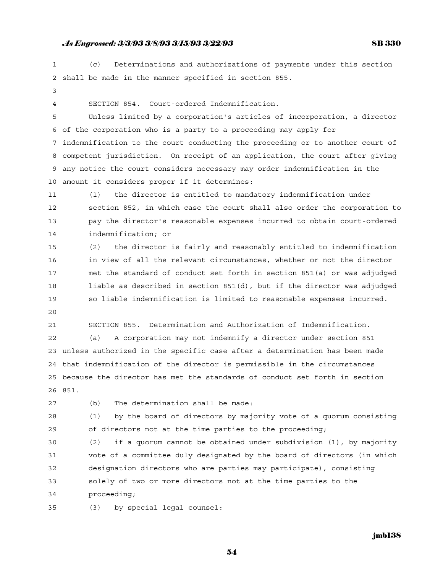SB 330

1 (c) Determinations and authorizations of payments under this section 2 shall be made in the manner specified in section 855. 3 4 SECTION 854. Court-ordered Indemnification. 5 Unless limited by a corporation's articles of incorporation, a director 6 of the corporation who is a party to a proceeding may apply for 7 indemnification to the court conducting the proceeding or to another court of 8 competent jurisdiction. On receipt of an application, the court after giving 9 any notice the court considers necessary may order indemnification in the 10 amount it considers proper if it determines: 11 (1) the director is entitled to mandatory indemnification under 12 section 852, in which case the court shall also order the corporation to 13 pay the director's reasonable expenses incurred to obtain court-ordered 14 indemnification; or 15 (2) the director is fairly and reasonably entitled to indemnification 16 in view of all the relevant circumstances, whether or not the director 17 met the standard of conduct set forth in section 851(a) or was adjudged 18 liable as described in section 851(d), but if the director was adjudged 19 so liable indemnification is limited to reasonable expenses incurred. 20 21 SECTION 855. Determination and Authorization of Indemnification. 22 (a) A corporation may not indemnify a director under section 851 23 unless authorized in the specific case after a determination has been made 24 that indemnification of the director is permissible in the circumstances 25 because the director has met the standards of conduct set forth in section 26 851. 27 (b) The determination shall be made:

28 (1) by the board of directors by majority vote of a quorum consisting 29 of directors not at the time parties to the proceeding;

30 (2) if a quorum cannot be obtained under subdivision (1), by majority 31 vote of a committee duly designated by the board of directors (in which 32 designation directors who are parties may participate), consisting 33 solely of two or more directors not at the time parties to the 34 proceeding;

35 (3) by special legal counsel: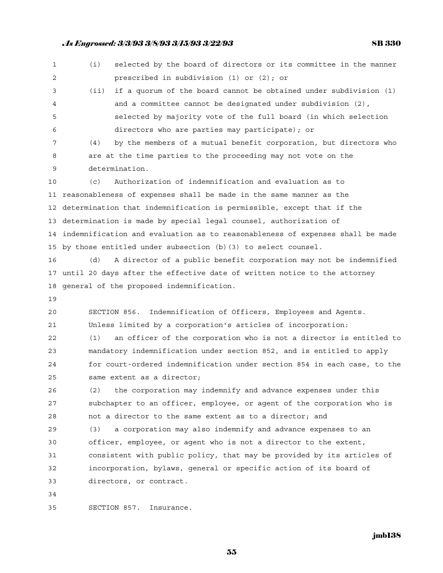```
1 (i) selected by the board of directors or its committee in the manner 
 2 prescribed in subdivision (1) or (2); or 
 3 (ii) if a quorum of the board cannot be obtained under subdivision (1) 
 4 and a committee cannot be designated under subdivision (2), 
 5 selected by majority vote of the full board (in which selection 
 6 directors who are parties may participate); or 
 7 (4) by the members of a mutual benefit corporation, but directors who 
 8 are at the time parties to the proceeding may not vote on the 
 9 determination. 
10 (c) Authorization of indemnification and evaluation as to 
11 reasonableness of expenses shall be made in the same manner as the 
12 determination that indemnification is permissible, except that if the 
13 determination is made by special legal counsel, authorization of 
14 indemnification and evaluation as to reasonableness of expenses shall be made 
15 by those entitled under subsection (b)(3) to select counsel. 
16 (d) A director of a public benefit corporation may not be indemnified 
17 until 20 days after the effective date of written notice to the attorney 
18 general of the proposed indemnification. 
19 
20 SECTION 856. Indemnification of Officers, Employees and Agents. 
21 Unless limited by a corporation's articles of incorporation: 
22 (1) an officer of the corporation who is not a director is entitled to 
23 mandatory indemnification under section 852, and is entitled to apply 
24 for court-ordered indemnification under section 854 in each case, to the 
25 same extent as a director; 
26 (2) the corporation may indemnify and advance expenses under this 
27 subchapter to an officer, employee, or agent of the corporation who is 
28 not a director to the same extent as to a director; and 
29 (3) a corporation may also indemnify and advance expenses to an 
30 officer, employee, or agent who is not a director to the extent, 
31 consistent with public policy, that may be provided by its articles of 
32 incorporation, bylaws, general or specific action of its board of 
33 directors, or contract. 
34 
35 SECTION 857. Insurance.
```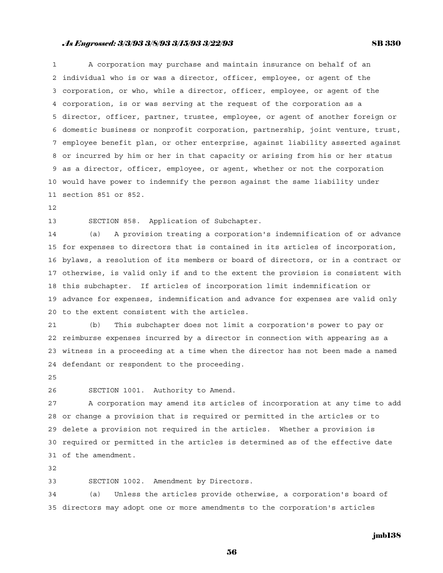1 A corporation may purchase and maintain insurance on behalf of an 2 individual who is or was a director, officer, employee, or agent of the 3 corporation, or who, while a director, officer, employee, or agent of the 4 corporation, is or was serving at the request of the corporation as a 5 director, officer, partner, trustee, employee, or agent of another foreign or 6 domestic business or nonprofit corporation, partnership, joint venture, trust, 7 employee benefit plan, or other enterprise, against liability asserted against 8 or incurred by him or her in that capacity or arising from his or her status 9 as a director, officer, employee, or agent, whether or not the corporation 10 would have power to indemnify the person against the same liability under 11 section 851 or 852.

12

13 SECTION 858. Application of Subchapter.

14 (a) A provision treating a corporation's indemnification of or advance 15 for expenses to directors that is contained in its articles of incorporation, 16 bylaws, a resolution of its members or board of directors, or in a contract or 17 otherwise, is valid only if and to the extent the provision is consistent with 18 this subchapter. If articles of incorporation limit indemnification or 19 advance for expenses, indemnification and advance for expenses are valid only 20 to the extent consistent with the articles.

21 (b) This subchapter does not limit a corporation's power to pay or 22 reimburse expenses incurred by a director in connection with appearing as a 23 witness in a proceeding at a time when the director has not been made a named 24 defendant or respondent to the proceeding.

 $25$ 

26 SECTION 1001. Authority to Amend.

27 A corporation may amend its articles of incorporation at any time to add 28 or change a provision that is required or permitted in the articles or to 29 delete a provision not required in the articles. Whether a provision is 30 required or permitted in the articles is determined as of the effective date 31 of the amendment.

32

33 SECTION 1002. Amendment by Directors.

34 (a) Unless the articles provide otherwise, a corporation's board of 35 directors may adopt one or more amendments to the corporation's articles

SB 330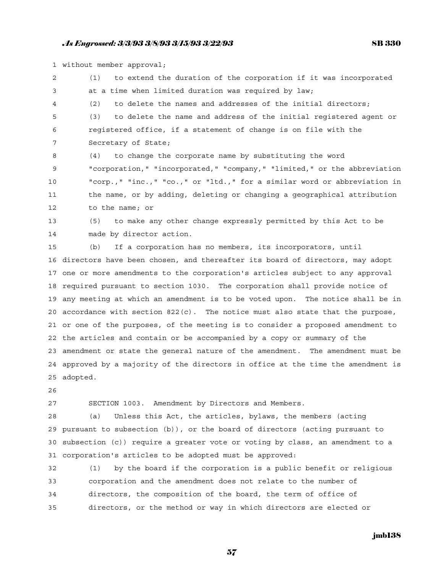SB 330

1 without member approval; 2 (1) to extend the duration of the corporation if it was incorporated 3 at a time when limited duration was required by law; 4 (2) to delete the names and addresses of the initial directors; 5 (3) to delete the name and address of the initial registered agent or 6 registered office, if a statement of change is on file with the 7 Secretary of State; 8 (4) to change the corporate name by substituting the word 9 "corporation," "incorporated," "company," "limited," or the abbreviation 10 "corp.," "inc.," "co.," or "ltd.," for a similar word or abbreviation in 11 the name, or by adding, deleting or changing a geographical attribution 12 to the name; or 13 (5) to make any other change expressly permitted by this Act to be 14 made by director action. 15 (b) If a corporation has no members, its incorporators, until 16 directors have been chosen, and thereafter its board of directors, may adopt 17 one or more amendments to the corporation's articles subject to any approval 18 required pursuant to section 1030. The corporation shall provide notice of 19 any meeting at which an amendment is to be voted upon. The notice shall be in 20 accordance with section  $822(c)$ . The notice must also state that the purpose, 21 or one of the purposes, of the meeting is to consider a proposed amendment to 22 the articles and contain or be accompanied by a copy or summary of the 23 amendment or state the general nature of the amendment. The amendment must be 24 approved by a majority of the directors in office at the time the amendment is 25 adopted.

26

27 SECTION 1003. Amendment by Directors and Members.

28 (a) Unless this Act, the articles, bylaws, the members (acting 29 pursuant to subsection (b)), or the board of directors (acting pursuant to 30 subsection (c)) require a greater vote or voting by class, an amendment to a 31 corporation's articles to be adopted must be approved:

32 (1) by the board if the corporation is a public benefit or religious 33 corporation and the amendment does not relate to the number of 34 directors, the composition of the board, the term of office of 35 directors, or the method or way in which directors are elected or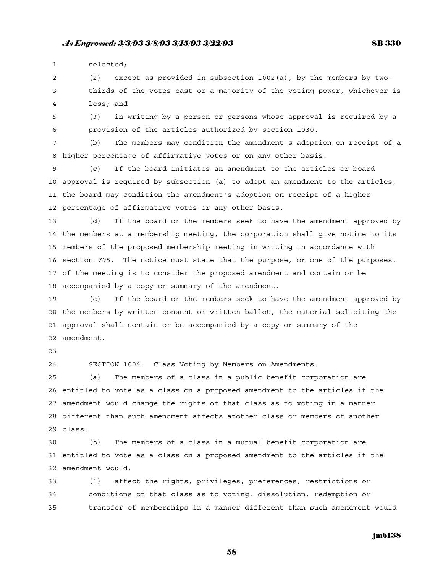1 selected;

SB 330

2 (2) except as provided in subsection 1002(a), by the members by two-3 thirds of the votes cast or a majority of the voting power, whichever is 4 less; and 5 (3) in writing by a person or persons whose approval is required by a 6 provision of the articles authorized by section 1030. 7 (b) The members may condition the amendment's adoption on receipt of a 8 higher percentage of affirmative votes or on any other basis. 9 (c) If the board initiates an amendment to the articles or board 10 approval is required by subsection (a) to adopt an amendment to the articles, 11 the board may condition the amendment's adoption on receipt of a higher 12 percentage of affirmative votes or any other basis. 13 (d) If the board or the members seek to have the amendment approved by 14 the members at a membership meeting, the corporation shall give notice to its 15 members of the proposed membership meeting in writing in accordance with 16 section *705*. The notice must state that the purpose, or one of the purposes, 17 of the meeting is to consider the proposed amendment and contain or be 18 accompanied by a copy or summary of the amendment. 19 (e) If the board or the members seek to have the amendment approved by 20 the members by written consent or written ballot, the material soliciting the 21 approval shall contain or be accompanied by a copy or summary of the 22 amendment. 23 24 SECTION 1004. Class Voting by Members on Amendments. 25 (a) The members of a class in a public benefit corporation are 26 entitled to vote as a class on a proposed amendment to the articles if the 27 amendment would change the rights of that class as to voting in a manner 28 different than such amendment affects another class or members of another 29 class. 30 (b) The members of a class in a mutual benefit corporation are 31 entitled to vote as a class on a proposed amendment to the articles if the 32 amendment would: 33 (1) affect the rights, privileges, preferences, restrictions or 34 conditions of that class as to voting, dissolution, redemption or 35 transfer of memberships in a manner different than such amendment would

imb138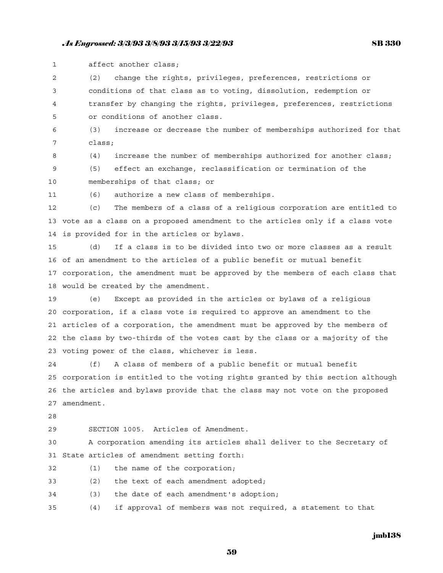1 affect another class;

SB 330

2 (2) change the rights, privileges, preferences, restrictions or 3 conditions of that class as to voting, dissolution, redemption or 4 transfer by changing the rights, privileges, preferences, restrictions 5 or conditions of another class. 6 (3) increase or decrease the number of memberships authorized for that 7 class; 8 (4) increase the number of memberships authorized for another class; 9 (5) effect an exchange, reclassification or termination of the 10 memberships of that class; or 11 (6) authorize a new class of memberships.

12 (c) The members of a class of a religious corporation are entitled to 13 vote as a class on a proposed amendment to the articles only if a class vote 14 is provided for in the articles or bylaws.

15 (d) If a class is to be divided into two or more classes as a result 16 of an amendment to the articles of a public benefit or mutual benefit 17 corporation, the amendment must be approved by the members of each class that 18 would be created by the amendment.

19 (e) Except as provided in the articles or bylaws of a religious 20 corporation, if a class vote is required to approve an amendment to the 21 articles of a corporation, the amendment must be approved by the members of 22 the class by two-thirds of the votes cast by the class or a majority of the 23 voting power of the class, whichever is less.

24 (f) A class of members of a public benefit or mutual benefit 25 corporation is entitled to the voting rights granted by this section although 26 the articles and bylaws provide that the class may not vote on the proposed 27 amendment.

28

29 SECTION 1005. Articles of Amendment.

30 A corporation amending its articles shall deliver to the Secretary of 31 State articles of amendment setting forth:

32 (1) the name of the corporation;

33 (2) the text of each amendment adopted;

34 (3) the date of each amendment's adoption;

35 (4) if approval of members was not required, a statement to that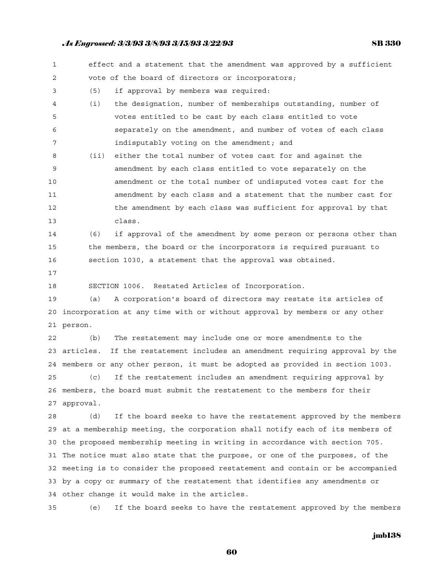1 effect and a statement that the amendment was approved by a sufficient 2 vote of the board of directors or incorporators; 3 (5) if approval by members was required: 4 (i) the designation, number of memberships outstanding, number of 5 votes entitled to be cast by each class entitled to vote 6 separately on the amendment, and number of votes of each class 7 indisputably voting on the amendment; and 8 (ii) either the total number of votes cast for and against the 9 amendment by each class entitled to vote separately on the 10 amendment or the total number of undisputed votes cast for the 11 amendment by each class and a statement that the number cast for 12 the amendment by each class was sufficient for approval by that 13 class. 14 (6) if approval of the amendment by some person or persons other than 15 the members, the board or the incorporators is required pursuant to 16 section 1030, a statement that the approval was obtained. 17 18 SECTION 1006. Restated Articles of Incorporation. 19 (a) A corporation's board of directors may restate its articles of 20 incorporation at any time with or without approval by members or any other 21 person. 22 (b) The restatement may include one or more amendments to the 23 articles. If the restatement includes an amendment requiring approval by the 24 members or any other person, it must be adopted as provided in section 1003. 25 (c) If the restatement includes an amendment requiring approval by 26 members, the board must submit the restatement to the members for their 27 approval. 28 (d) If the board seeks to have the restatement approved by the members 29 at a membership meeting, the corporation shall notify each of its members of 30 the proposed membership meeting in writing in accordance with section 705. 31 The notice must also state that the purpose, or one of the purposes, of the 32 meeting is to consider the proposed restatement and contain or be accompanied 33 by a copy or summary of the restatement that identifies any amendments or 34 other change it would make in the articles.

35 (e) If the board seeks to have the restatement approved by the members

SB 330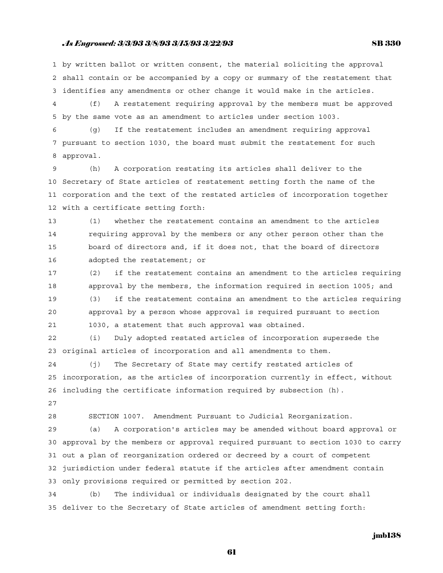1 by written ballot or written consent, the material soliciting the approval 2 shall contain or be accompanied by a copy or summary of the restatement that 3 identifies any amendments or other change it would make in the articles.

4 (f) A restatement requiring approval by the members must be approved 5 by the same vote as an amendment to articles under section 1003.

6 (g) If the restatement includes an amendment requiring approval 7 pursuant to section 1030, the board must submit the restatement for such 8 approval.

9 (h) A corporation restating its articles shall deliver to the 10 Secretary of State articles of restatement setting forth the name of the 11 corporation and the text of the restated articles of incorporation together 12 with a certificate setting forth:

13 (1) whether the restatement contains an amendment to the articles 14 requiring approval by the members or any other person other than the 15 board of directors and, if it does not, that the board of directors 16 adopted the restatement; or

17 (2) if the restatement contains an amendment to the articles requiring 18 approval by the members, the information required in section 1005; and 19 (3) if the restatement contains an amendment to the articles requiring 20 approval by a person whose approval is required pursuant to section 21 1030, a statement that such approval was obtained.

22 (i) Duly adopted restated articles of incorporation supersede the 23 original articles of incorporation and all amendments to them.

24 (j) The Secretary of State may certify restated articles of 25 incorporation, as the articles of incorporation currently in effect, without 26 including the certificate information required by subsection (h). 27

28 SECTION 1007. Amendment Pursuant to Judicial Reorganization.

29 (a) A corporation's articles may be amended without board approval or 30 approval by the members or approval required pursuant to section 1030 to carry 31 out a plan of reorganization ordered or decreed by a court of competent 32 jurisdiction under federal statute if the articles after amendment contain 33 only provisions required or permitted by section 202.

34 (b) The individual or individuals designated by the court shall 35 deliver to the Secretary of State articles of amendment setting forth:

SB 330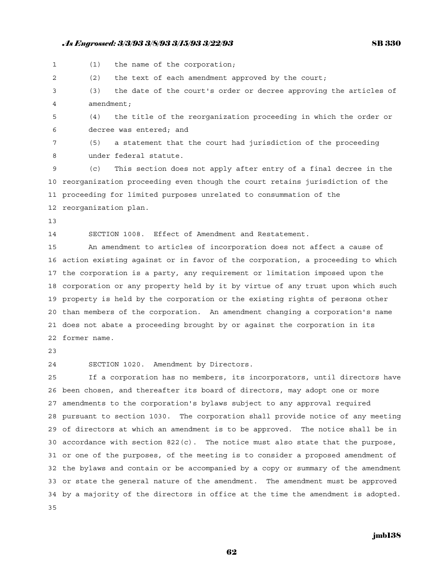1 (1) the name of the corporation; 2 (2) the text of each amendment approved by the court; 3 (3) the date of the court's order or decree approving the articles of 4 amendment; 5 (4) the title of the reorganization proceeding in which the order or 6 decree was entered; and 7 (5) a statement that the court had jurisdiction of the proceeding 8 under federal statute. 9 (c) This section does not apply after entry of a final decree in the 10 reorganization proceeding even though the court retains jurisdiction of the 11 proceeding for limited purposes unrelated to consummation of the 12 reorganization plan. 13 14 SECTION 1008. Effect of Amendment and Restatement. 15 An amendment to articles of incorporation does not affect a cause of 16 action existing against or in favor of the corporation, a proceeding to which 17 the corporation is a party, any requirement or limitation imposed upon the 18 corporation or any property held by it by virtue of any trust upon which such 19 property is held by the corporation or the existing rights of persons other 20 than members of the corporation. An amendment changing a corporation's name 21 does not abate a proceeding brought by or against the corporation in its 22 former name. 23 24 SECTION 1020. Amendment by Directors. 25 If a corporation has no members, its incorporators, until directors have 26 been chosen, and thereafter its board of directors, may adopt one or more 27 amendments to the corporation's bylaws subject to any approval required 28 pursuant to section 1030. The corporation shall provide notice of any meeting 29 of directors at which an amendment is to be approved. The notice shall be in 30 accordance with section 822(c). The notice must also state that the purpose, 31 or one of the purposes, of the meeting is to consider a proposed amendment of

32 the bylaws and contain or be accompanied by a copy or summary of the amendment 33 or state the general nature of the amendment. The amendment must be approved 34 by a majority of the directors in office at the time the amendment is adopted. 35

SB 330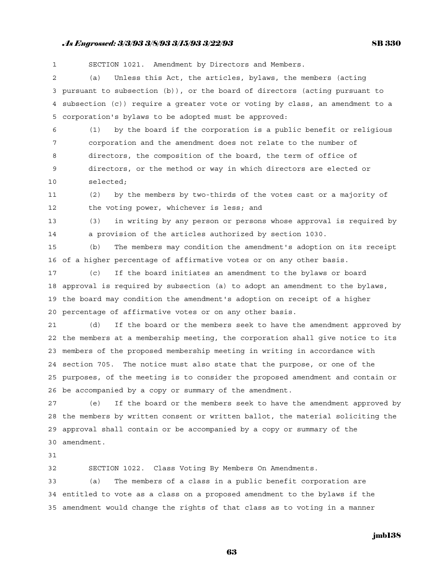1 SECTION 1021. Amendment by Directors and Members. 2 (a) Unless this Act, the articles, bylaws, the members (acting 3 pursuant to subsection (b)), or the board of directors (acting pursuant to 4 subsection (c)) require a greater vote or voting by class, an amendment to a 5 corporation's bylaws to be adopted must be approved: 6 (1) by the board if the corporation is a public benefit or religious 7 corporation and the amendment does not relate to the number of 8 directors, the composition of the board, the term of office of 9 directors, or the method or way in which directors are elected or 10 selected; 11 (2) by the members by two-thirds of the votes cast or a majority of 12 the voting power, whichever is less; and 13 (3) in writing by any person or persons whose approval is required by 14 a provision of the articles authorized by section 1030. 15 (b) The members may condition the amendment's adoption on its receipt 16 of a higher percentage of affirmative votes or on any other basis. 17 (c) If the board initiates an amendment to the bylaws or board 18 approval is required by subsection (a) to adopt an amendment to the bylaws, 19 the board may condition the amendment's adoption on receipt of a higher 20 percentage of affirmative votes or on any other basis. 21 (d) If the board or the members seek to have the amendment approved by 22 the members at a membership meeting, the corporation shall give notice to its 23 members of the proposed membership meeting in writing in accordance with 24 section 705. The notice must also state that the purpose, or one of the 25 purposes, of the meeting is to consider the proposed amendment and contain or 26 be accompanied by a copy or summary of the amendment. 27 (e) If the board or the members seek to have the amendment approved by 28 the members by written consent or written ballot, the material soliciting the 29 approval shall contain or be accompanied by a copy or summary of the 30 amendment. 31 32 SECTION 1022. Class Voting By Members On Amendments. 33 (a) The members of a class in a public benefit corporation are

34 entitled to vote as a class on a proposed amendment to the bylaws if the 35 amendment would change the rights of that class as to voting in a manner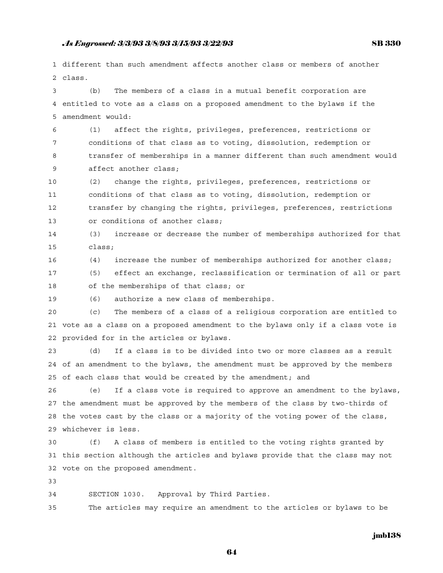1 different than such amendment affects another class or members of another 2 class. 3 (b) The members of a class in a mutual benefit corporation are 4 entitled to vote as a class on a proposed amendment to the bylaws if the 5 amendment would: 6 (1) affect the rights, privileges, preferences, restrictions or 7 conditions of that class as to voting, dissolution, redemption or 8 transfer of memberships in a manner different than such amendment would 9 affect another class; 10 (2) change the rights, privileges, preferences, restrictions or 11 conditions of that class as to voting, dissolution, redemption or 12 transfer by changing the rights, privileges, preferences, restrictions 13 or conditions of another class; 14 (3) increase or decrease the number of memberships authorized for that 15 class; 16 (4) increase the number of memberships authorized for another class; 17 (5) effect an exchange, reclassification or termination of all or part 18 of the memberships of that class; or 19 (6) authorize a new class of memberships. 20 (c) The members of a class of a religious corporation are entitled to 21 vote as a class on a proposed amendment to the bylaws only if a class vote is 22 provided for in the articles or bylaws. 23 (d) If a class is to be divided into two or more classes as a result 24 of an amendment to the bylaws, the amendment must be approved by the members 25 of each class that would be created by the amendment; and 26 (e) If a class vote is required to approve an amendment to the bylaws, 27 the amendment must be approved by the members of the class by two-thirds of 28 the votes cast by the class or a majority of the voting power of the class, 29 whichever is less. 30 (f) A class of members is entitled to the voting rights granted by 31 this section although the articles and bylaws provide that the class may not 32 vote on the proposed amendment. 33 34 SECTION 1030. Approval by Third Parties.

35 The articles may require an amendment to the articles or bylaws to be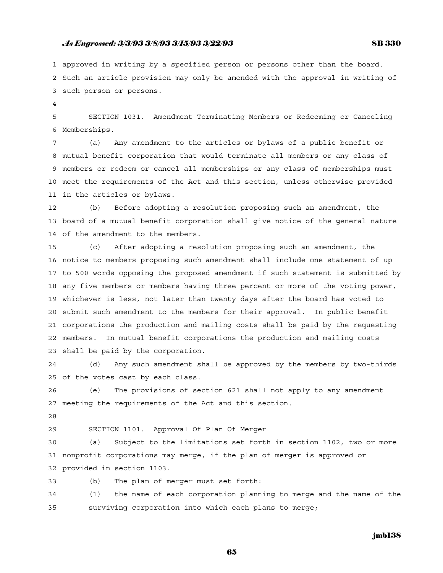1 approved in writing by a specified person or persons other than the board.

2 Such an article provision may only be amended with the approval in writing of 3 such person or persons.

4

5 SECTION 1031. Amendment Terminating Members or Redeeming or Canceling 6 Memberships.

7 (a) Any amendment to the articles or bylaws of a public benefit or 8 mutual benefit corporation that would terminate all members or any class of 9 members or redeem or cancel all memberships or any class of memberships must 10 meet the requirements of the Act and this section, unless otherwise provided 11 in the articles or bylaws.

12 (b) Before adopting a resolution proposing such an amendment, the 13 board of a mutual benefit corporation shall give notice of the general nature 14 of the amendment to the members.

15 (c) After adopting a resolution proposing such an amendment, the 16 notice to members proposing such amendment shall include one statement of up 17 to 500 words opposing the proposed amendment if such statement is submitted by 18 any five members or members having three percent or more of the voting power, 19 whichever is less, not later than twenty days after the board has voted to 20 submit such amendment to the members for their approval. In public benefit 21 corporations the production and mailing costs shall be paid by the requesting 22 members. In mutual benefit corporations the production and mailing costs 23 shall be paid by the corporation.

24 (d) Any such amendment shall be approved by the members by two-thirds 25 of the votes cast by each class.

26 (e) The provisions of section 621 shall not apply to any amendment 27 meeting the requirements of the Act and this section.

28

29 SECTION 1101. Approval Of Plan Of Merger

30 (a) Subject to the limitations set forth in section 1102, two or more 31 nonprofit corporations may merge, if the plan of merger is approved or 32 provided in section 1103.

33 (b) The plan of merger must set forth:

34 (1) the name of each corporation planning to merge and the name of the 35 surviving corporation into which each plans to merge;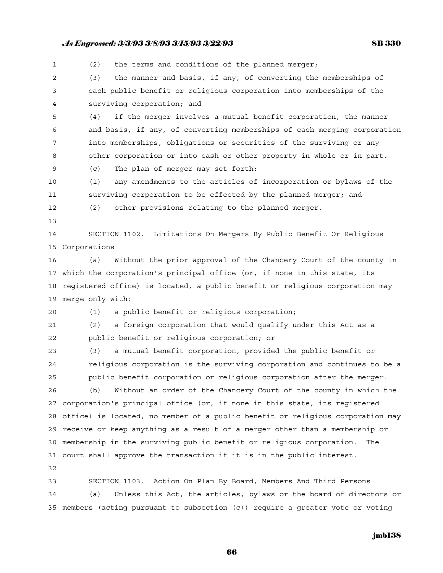1 (2) the terms and conditions of the planned merger; 2 (3) the manner and basis, if any, of converting the memberships of 3 each public benefit or religious corporation into memberships of the 4 surviving corporation; and 5 (4) if the merger involves a mutual benefit corporation, the manner 6 and basis, if any, of converting memberships of each merging corporation 7 into memberships, obligations or securities of the surviving or any 8 other corporation or into cash or other property in whole or in part. 9 (c) The plan of merger may set forth: 10 (1) any amendments to the articles of incorporation or bylaws of the 11 surviving corporation to be effected by the planned merger; and 12 (2) other provisions relating to the planned merger. 13 14 SECTION 1102. Limitations On Mergers By Public Benefit Or Religious 15 Corporations 16 (a) Without the prior approval of the Chancery Court of the county in 17 which the corporation's principal office (or, if none in this state, its 18 registered office) is located, a public benefit or religious corporation may 19 merge only with: 20 (1) a public benefit or religious corporation; 21 (2) a foreign corporation that would qualify under this Act as a 22 public benefit or religious corporation; or 23 (3) a mutual benefit corporation, provided the public benefit or 24 religious corporation is the surviving corporation and continues to be a 25 public benefit corporation or religious corporation after the merger. 26 (b) Without an order of the Chancery Court of the county in which the 27 corporation's principal office (or, if none in this state, its registered 28 office) is located, no member of a public benefit or religious corporation may 29 receive or keep anything as a result of a merger other than a membership or 30 membership in the surviving public benefit or religious corporation. The 31 court shall approve the transaction if it is in the public interest. 32 33 SECTION 1103. Action On Plan By Board, Members And Third Persons 34 (a) Unless this Act, the articles, bylaws or the board of directors or 35 members (acting pursuant to subsection (c)) require a greater vote or voting

SB 330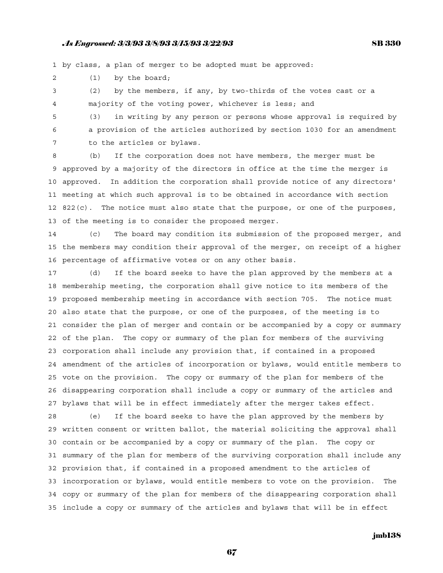SB 330

1 by class, a plan of merger to be adopted must be approved:

2 (1) by the board;

3 (2) by the members, if any, by two-thirds of the votes cast or a 4 majority of the voting power, whichever is less; and

5 (3) in writing by any person or persons whose approval is required by 6 a provision of the articles authorized by section 1030 for an amendment 7 to the articles or bylaws.

8 (b) If the corporation does not have members, the merger must be 9 approved by a majority of the directors in office at the time the merger is 10 approved. In addition the corporation shall provide notice of any directors' 11 meeting at which such approval is to be obtained in accordance with section 12 822(c). The notice must also state that the purpose, or one of the purposes, 13 of the meeting is to consider the proposed merger.

14 (c) The board may condition its submission of the proposed merger, and 15 the members may condition their approval of the merger, on receipt of a higher 16 percentage of affirmative votes or on any other basis.

17 (d) If the board seeks to have the plan approved by the members at a 18 membership meeting, the corporation shall give notice to its members of the 19 proposed membership meeting in accordance with section 705. The notice must 20 also state that the purpose, or one of the purposes, of the meeting is to 21 consider the plan of merger and contain or be accompanied by a copy or summary 22 of the plan. The copy or summary of the plan for members of the surviving 23 corporation shall include any provision that, if contained in a proposed 24 amendment of the articles of incorporation or bylaws, would entitle members to 25 vote on the provision. The copy or summary of the plan for members of the 26 disappearing corporation shall include a copy or summary of the articles and 27 bylaws that will be in effect immediately after the merger takes effect.

28 (e) If the board seeks to have the plan approved by the members by 29 written consent or written ballot, the material soliciting the approval shall 30 contain or be accompanied by a copy or summary of the plan. The copy or 31 summary of the plan for members of the surviving corporation shall include any 32 provision that, if contained in a proposed amendment to the articles of 33 incorporation or bylaws, would entitle members to vote on the provision. The 34 copy or summary of the plan for members of the disappearing corporation shall 35 include a copy or summary of the articles and bylaws that will be in effect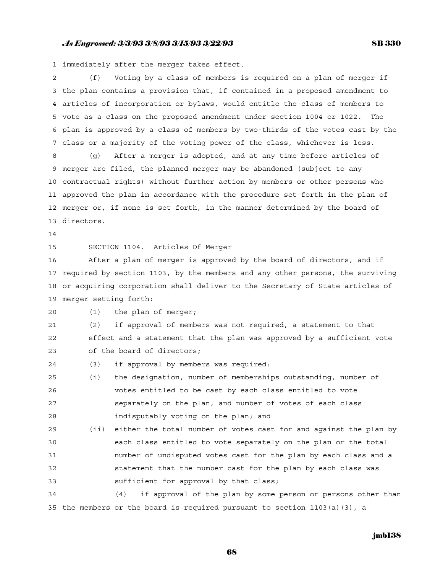1 immediately after the merger takes effect.

2 (f) Voting by a class of members is required on a plan of merger if 3 the plan contains a provision that, if contained in a proposed amendment to 4 articles of incorporation or bylaws, would entitle the class of members to 5 vote as a class on the proposed amendment under section 1004 or 1022. The 6 plan is approved by a class of members by two-thirds of the votes cast by the 7 class or a majority of the voting power of the class, whichever is less. 8 (g) After a merger is adopted, and at any time before articles of 9 merger are filed, the planned merger may be abandoned (subject to any 10 contractual rights) without further action by members or other persons who 11 approved the plan in accordance with the procedure set forth in the plan of 12 merger or, if none is set forth, in the manner determined by the board of 13 directors. 14 15 SECTION 1104. Articles Of Merger 16 After a plan of merger is approved by the board of directors, and if 17 required by section 1103, by the members and any other persons, the surviving 18 or acquiring corporation shall deliver to the Secretary of State articles of 19 merger setting forth: 20 (1) the plan of merger; 21 (2) if approval of members was not required, a statement to that 22 effect and a statement that the plan was approved by a sufficient vote 23 of the board of directors; 24 (3) if approval by members was required: 25 (i) the designation, number of memberships outstanding, number of 26 votes entitled to be cast by each class entitled to vote 27 separately on the plan, and number of votes of each class 28 indisputably voting on the plan; and 29 (ii) either the total number of votes cast for and against the plan by 30 each class entitled to vote separately on the plan or the total 31 number of undisputed votes cast for the plan by each class and a 32 statement that the number cast for the plan by each class was 33 sufficient for approval by that class; 34 (4) if approval of the plan by some person or persons other than 35 the members or the board is required pursuant to section 1103(a)(3), a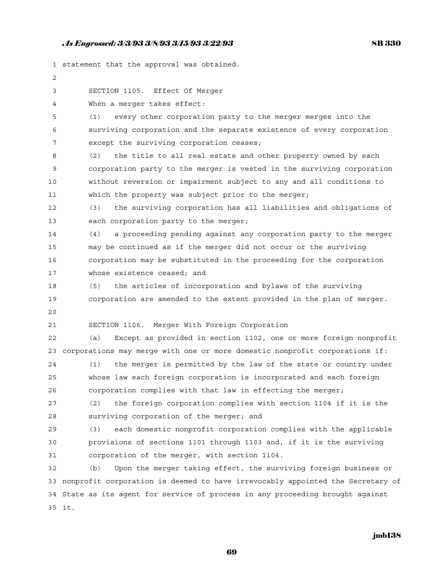1 statement that the approval was obtained. 2 3 SECTION 1105. Effect Of Merger 4 When a merger takes effect: 5 (1) every other corporation party to the merger merges into the 6 surviving corporation and the separate existence of every corporation 7 except the surviving corporation ceases; 8 (2) the title to all real estate and other property owned by each 9 corporation party to the merger is vested in the surviving corporation 10 without reversion or impairment subject to any and all conditions to 11 which the property was subject prior to the merger; 12 (3) the surviving corporation has all liabilities and obligations of 13 each corporation party to the merger; 14 (4) a proceeding pending against any corporation party to the merger 15 may be continued as if the merger did not occur or the surviving 16 corporation may be substituted in the proceeding for the corporation 17 whose existence ceased; and 18 (5) the articles of incorporation and bylaws of the surviving 19 corporation are amended to the extent provided in the plan of merger. 20 21 SECTION 1106. Merger With Foreign Corporation 22 (a) Except as provided in section 1102, one or more foreign nonprofit 23 corporations may merge with one or more domestic nonprofit corporations if: 24 (1) the merger is permitted by the law of the state or country under 25 whose law each foreign corporation is incorporated and each foreign 26 corporation complies with that law in effecting the merger; 27 (2) the foreign corporation complies with section 1104 if it is the 28 surviving corporation of the merger; and 29 (3) each domestic nonprofit corporation complies with the applicable 30 provisions of sections 1101 through 1103 and, if it is the surviving 31 corporation of the merger, with section 1104. 32 (b) Upon the merger taking effect, the surviving foreign business or 33 nonprofit corporation is deemed to have irrevocably appointed the Secretary of 34 State as its agent for service of process in any proceeding brought against 35 it.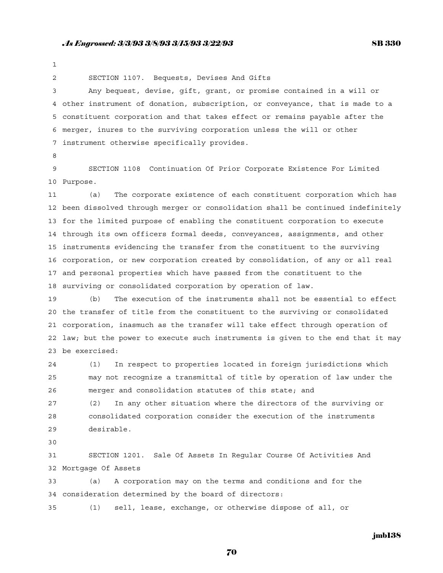1

2 SECTION 1107. Bequests, Devises And Gifts

3 Any bequest, devise, gift, grant, or promise contained in a will or 4 other instrument of donation, subscription, or conveyance, that is made to a 5 constituent corporation and that takes effect or remains payable after the 6 merger, inures to the surviving corporation unless the will or other 7 instrument otherwise specifically provides.

**8** 

9 SECTION 1108 Continuation Of Prior Corporate Existence For Limited 10 Purpose.

11 (a) The corporate existence of each constituent corporation which has 12 been dissolved through merger or consolidation shall be continued indefinitely 13 for the limited purpose of enabling the constituent corporation to execute 14 through its own officers formal deeds, conveyances, assignments, and other 15 instruments evidencing the transfer from the constituent to the surviving 16 corporation, or new corporation created by consolidation, of any or all real 17 and personal properties which have passed from the constituent to the 18 surviving or consolidated corporation by operation of law.

19 (b) The execution of the instruments shall not be essential to effect 20 the transfer of title from the constituent to the surviving or consolidated 21 corporation, inasmuch as the transfer will take effect through operation of 22 law; but the power to execute such instruments is given to the end that it may 23 be exercised:

24 (1) In respect to properties located in foreign jurisdictions which 25 may not recognize a transmittal of title by operation of law under the 26 merger and consolidation statutes of this state; and

27 (2) In any other situation where the directors of the surviving or 28 consolidated corporation consider the execution of the instruments 29 desirable.

30

31 SECTION 1201. Sale Of Assets In Regular Course Of Activities And 32 Mortgage Of Assets

33 (a) A corporation may on the terms and conditions and for the 34 consideration determined by the board of directors:

35 (1) sell, lease, exchange, or otherwise dispose of all, or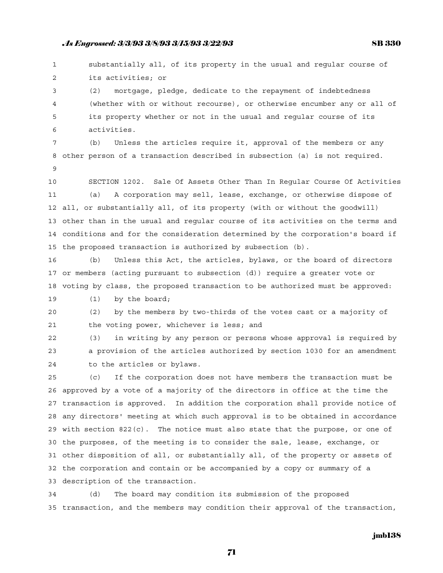1 substantially all, of its property in the usual and regular course of 2 its activities; or 3 (2) mortgage, pledge, dedicate to the repayment of indebtedness 4 (whether with or without recourse), or otherwise encumber any or all of 5 its property whether or not in the usual and regular course of its 6 activities. 7 (b) Unless the articles require it, approval of the members or any 8 other person of a transaction described in subsection (a) is not required. 9 10 SECTION 1202. Sale Of Assets Other Than In Regular Course Of Activities 11 (a) A corporation may sell, lease, exchange, or otherwise dispose of 12 all, or substantially all, of its property (with or without the goodwill) 13 other than in the usual and regular course of its activities on the terms and 14 conditions and for the consideration determined by the corporation's board if 15 the proposed transaction is authorized by subsection (b). 16 (b) Unless this Act, the articles, bylaws, or the board of directors 17 or members (acting pursuant to subsection (d)) require a greater vote or 18 voting by class, the proposed transaction to be authorized must be approved: 19 (1) by the board; 20 (2) by the members by two-thirds of the votes cast or a majority of 21 the voting power, whichever is less; and 22 (3) in writing by any person or persons whose approval is required by 23 a provision of the articles authorized by section 1030 for an amendment 24 to the articles or bylaws. 25 (c) If the corporation does not have members the transaction must be 26 approved by a vote of a majority of the directors in office at the time the 27 transaction is approved. In addition the corporation shall provide notice of 28 any directors' meeting at which such approval is to be obtained in accordance 29 with section 822(c). The notice must also state that the purpose, or one of 30 the purposes, of the meeting is to consider the sale, lease, exchange, or 31 other disposition of all, or substantially all, of the property or assets of 32 the corporation and contain or be accompanied by a copy or summary of a 33 description of the transaction. 34 (d) The board may condition its submission of the proposed

35 transaction, and the members may condition their approval of the transaction,

SB 330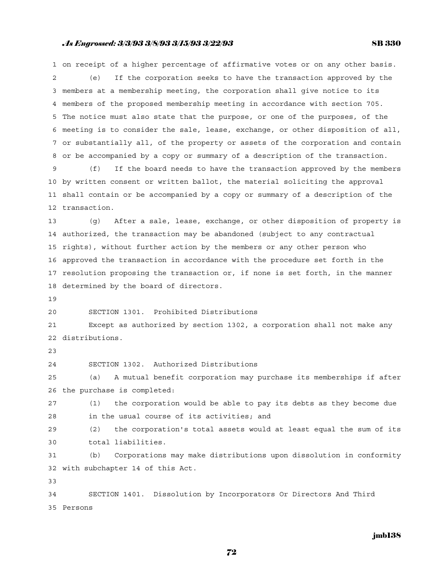1 on receipt of a higher percentage of affirmative votes or on any other basis. 2 (e) If the corporation seeks to have the transaction approved by the 3 members at a membership meeting, the corporation shall give notice to its 4 members of the proposed membership meeting in accordance with section 705. 5 The notice must also state that the purpose, or one of the purposes, of the 6 meeting is to consider the sale, lease, exchange, or other disposition of all, 7 or substantially all, of the property or assets of the corporation and contain 8 or be accompanied by a copy or summary of a description of the transaction.

9 (f) If the board needs to have the transaction approved by the members 10 by written consent or written ballot, the material soliciting the approval 11 shall contain or be accompanied by a copy or summary of a description of the 12 transaction.

13 (g) After a sale, lease, exchange, or other disposition of property is 14 authorized, the transaction may be abandoned (subject to any contractual 15 rights), without further action by the members or any other person who 16 approved the transaction in accordance with the procedure set forth in the 17 resolution proposing the transaction or, if none is set forth, in the manner 18 determined by the board of directors.

19

20 SECTION 1301. Prohibited Distributions

21 Except as authorized by section 1302, a corporation shall not make any 22 distributions.

23

24 SECTION 1302. Authorized Distributions

25 (a) A mutual benefit corporation may purchase its memberships if after 26 the purchase is completed:

27 (1) the corporation would be able to pay its debts as they become due 28 in the usual course of its activities; and

29 (2) the corporation's total assets would at least equal the sum of its 30 total liabilities.

31 (b) Corporations may make distributions upon dissolution in conformity 32 with subchapter 14 of this Act.

33

34 SECTION 1401. Dissolution by Incorporators Or Directors And Third 35 Persons

imb138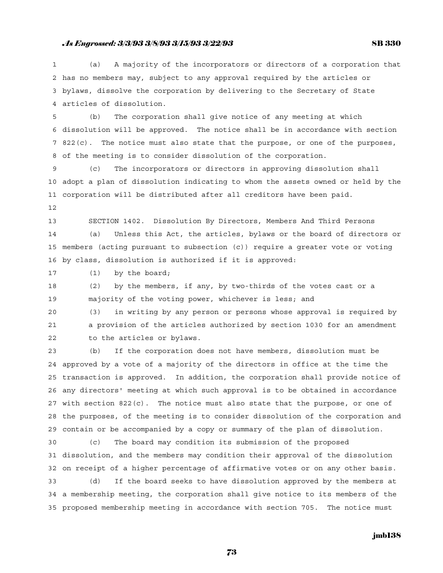SB 330

1 (a) A majority of the incorporators or directors of a corporation that 2 has no members may, subject to any approval required by the articles or 3 bylaws, dissolve the corporation by delivering to the Secretary of State 4 articles of dissolution.

5 (b) The corporation shall give notice of any meeting at which 6 dissolution will be approved. The notice shall be in accordance with section 7 822(c). The notice must also state that the purpose, or one of the purposes, 8 of the meeting is to consider dissolution of the corporation.

9 (c) The incorporators or directors in approving dissolution shall 10 adopt a plan of dissolution indicating to whom the assets owned or held by the 11 corporation will be distributed after all creditors have been paid. 12

13 SECTION 1402. Dissolution By Directors, Members And Third Persons 14 (a) Unless this Act, the articles, bylaws or the board of directors or 15 members (acting pursuant to subsection (c)) require a greater vote or voting 16 by class, dissolution is authorized if it is approved:

17 (1) by the board;

18 (2) by the members, if any, by two-thirds of the votes cast or a 19 majority of the voting power, whichever is less; and

20 (3) in writing by any person or persons whose approval is required by 21 a provision of the articles authorized by section 1030 for an amendment 22 to the articles or bylaws.

23 (b) If the corporation does not have members, dissolution must be 24 approved by a vote of a majority of the directors in office at the time the 25 transaction is approved. In addition, the corporation shall provide notice of 26 any directors' meeting at which such approval is to be obtained in accordance 27 with section 822(c). The notice must also state that the purpose, or one of 28 the purposes, of the meeting is to consider dissolution of the corporation and 29 contain or be accompanied by a copy or summary of the plan of dissolution. 30 (c) The board may condition its submission of the proposed 31 dissolution, and the members may condition their approval of the dissolution 32 on receipt of a higher percentage of affirmative votes or on any other basis. 33 (d) If the board seeks to have dissolution approved by the members at 34 a membership meeting, the corporation shall give notice to its members of the

35 proposed membership meeting in accordance with section 705. The notice must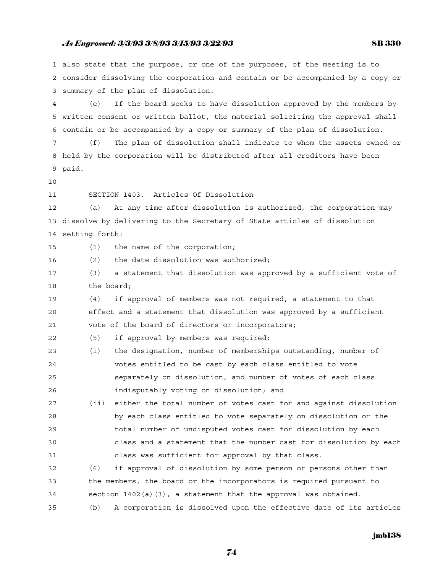1 also state that the purpose, or one of the purposes, of the meeting is to 2 consider dissolving the corporation and contain or be accompanied by a copy or 3 summary of the plan of dissolution.

4 (e) If the board seeks to have dissolution approved by the members by 5 written consent or written ballot, the material soliciting the approval shall 6 contain or be accompanied by a copy or summary of the plan of dissolution.

7 (f) The plan of dissolution shall indicate to whom the assets owned or 8 held by the corporation will be distributed after all creditors have been 9 paid.

10

11 SECTION 1403. Articles Of Dissolution

12 (a) At any time after dissolution is authorized, the corporation may 13 dissolve by delivering to the Secretary of State articles of dissolution 14 setting forth:

```
15 (1) the name of the corporation;
```
16 (2) the date dissolution was authorized;

17 (3) a statement that dissolution was approved by a sufficient vote of 18 the board;

19 (4) if approval of members was not required, a statement to that 20 effect and a statement that dissolution was approved by a sufficient 21 vote of the board of directors or incorporators;

- 22 (5) if approval by members was required:
- 23 (i) the designation, number of memberships outstanding, number of 24 votes entitled to be cast by each class entitled to vote 25 separately on dissolution, and number of votes of each class 26 indisputably voting on dissolution; and

27 (ii) either the total number of votes cast for and against dissolution 28 by each class entitled to vote separately on dissolution or the 29 total number of undisputed votes cast for dissolution by each 30 class and a statement that the number cast for dissolution by each 31 class was sufficient for approval by that class.

32 (6) if approval of dissolution by some person or persons other than 33 the members, the board or the incorporators is required pursuant to 34 section 1402(a)(3), a statement that the approval was obtained. 35 (b) A corporation is dissolved upon the effective date of its articles

### imb138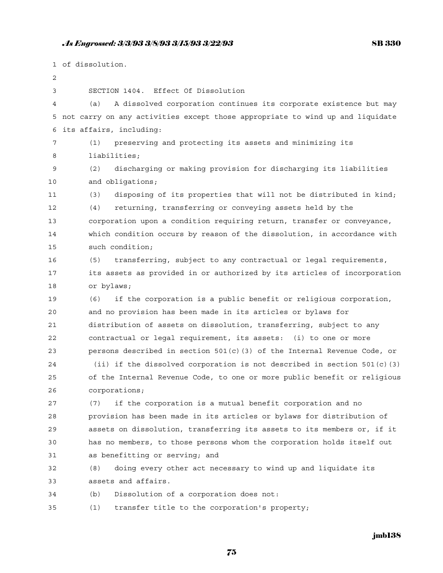1 of dissolution. 2 3 SECTION 1404. Effect Of Dissolution 4 (a) A dissolved corporation continues its corporate existence but may 5 not carry on any activities except those appropriate to wind up and liquidate 6 its affairs, including: 7 (1) preserving and protecting its assets and minimizing its 8 liabilities; 9 (2) discharging or making provision for discharging its liabilities 10 and obligations; 11 (3) disposing of its properties that will not be distributed in kind; 12 (4) returning, transferring or conveying assets held by the 13 corporation upon a condition requiring return, transfer or conveyance, 14 which condition occurs by reason of the dissolution, in accordance with 15 such condition; 16 (5) transferring, subject to any contractual or legal requirements, 17 its assets as provided in or authorized by its articles of incorporation 18 or bylaws; 19 (6) if the corporation is a public benefit or religious corporation, 20 and no provision has been made in its articles or bylaws for 21 distribution of assets on dissolution, transferring, subject to any 22 contractual or legal requirement, its assets: (i) to one or more 23 persons described in section 501(c)(3) of the Internal Revenue Code, or 24 (ii) if the dissolved corporation is not described in section 501(c)(3) 25 of the Internal Revenue Code, to one or more public benefit or religious 26 corporations; 27 (7) if the corporation is a mutual benefit corporation and no 28 provision has been made in its articles or bylaws for distribution of 29 assets on dissolution, transferring its assets to its members or, if it 30 has no members, to those persons whom the corporation holds itself out 31 as benefitting or serving; and 32 (8) doing every other act necessary to wind up and liquidate its 33 assets and affairs. 34 (b) Dissolution of a corporation does not: 35 (1) transfer title to the corporation's property;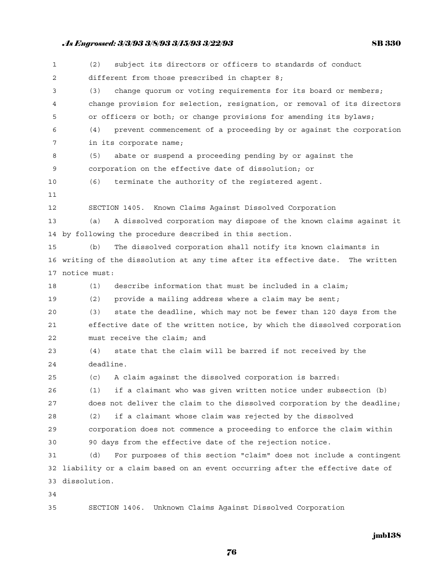1 (2) subject its directors or officers to standards of conduct 2 different from those prescribed in chapter 8; 3 (3) change quorum or voting requirements for its board or members; 4 change provision for selection, resignation, or removal of its directors 5 or officers or both; or change provisions for amending its bylaws; 6 (4) prevent commencement of a proceeding by or against the corporation 7 in its corporate name; 8 (5) abate or suspend a proceeding pending by or against the 9 corporation on the effective date of dissolution; or 10 (6) terminate the authority of the registered agent. 11 12 SECTION 1405. Known Claims Against Dissolved Corporation 13 (a) A dissolved corporation may dispose of the known claims against it 14 by following the procedure described in this section. 15 (b) The dissolved corporation shall notify its known claimants in 16 writing of the dissolution at any time after its effective date. The written 17 notice must: 18 (1) describe information that must be included in a claim; 19 (2) provide a mailing address where a claim may be sent; 20 (3) state the deadline, which may not be fewer than 120 days from the 21 effective date of the written notice, by which the dissolved corporation 22 must receive the claim; and 23 (4) state that the claim will be barred if not received by the 24 deadline. 25 (c) A claim against the dissolved corporation is barred: 26 (1) if a claimant who was given written notice under subsection (b) 27 does not deliver the claim to the dissolved corporation by the deadline; 28 (2) if a claimant whose claim was rejected by the dissolved 29 corporation does not commence a proceeding to enforce the claim within 30 90 days from the effective date of the rejection notice. 31 (d) For purposes of this section "claim" does not include a contingent 32 liability or a claim based on an event occurring after the effective date of 33 dissolution. 34 35 SECTION 1406. Unknown Claims Against Dissolved Corporation

SB 330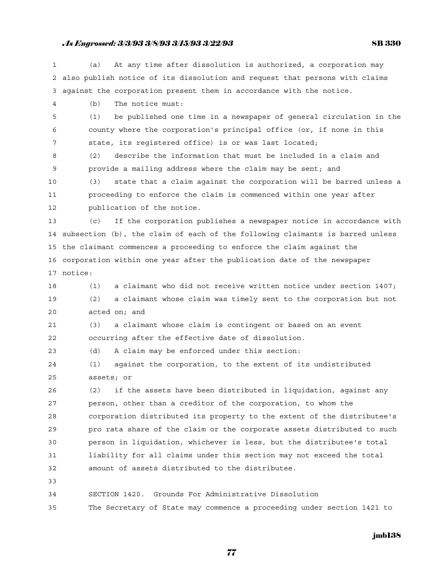1 (a) At any time after dissolution is authorized, a corporation may 2 also publish notice of its dissolution and request that persons with claims 3 against the corporation present them in accordance with the notice. 4 (b) The notice must: 5 (1) be published one time in a newspaper of general circulation in the 6 county where the corporation's principal office (or, if none in this 7 state, its registered office) is or was last located; 8 (2) describe the information that must be included in a claim and 9 provide a mailing address where the claim may be sent; and 10 (3) state that a claim against the corporation will be barred unless a 11 proceeding to enforce the claim is commenced within one year after 12 publication of the notice. 13 (c) If the corporation publishes a newspaper notice in accordance with 14 subsection (b), the claim of each of the following claimants is barred unless 15 the claimant commences a proceeding to enforce the claim against the 16 corporation within one year after the publication date of the newspaper 17 notice: 18 (1) a claimant who did not receive written notice under section 1407; 19 (2) a claimant whose claim was timely sent to the corporation but not 20 acted on; and 21 (3) a claimant whose claim is contingent or based on an event 22 occurring after the effective date of dissolution. 23 (d) A claim may be enforced under this section: 24 (1) against the corporation, to the extent of its undistributed 25 assets; or 26 (2) if the assets have been distributed in liquidation, against any 27 person, other than a creditor of the corporation, to whom the 28 corporation distributed its property to the extent of the distributee's 29 pro rata share of the claim or the corporate assets distributed to such 30 person in liquidation, whichever is less, but the distributee's total 31 liability for all claims under this section may not exceed the total 32 amount of assets distributed to the distributee. 33 34 SECTION 1420. Grounds For Administrative Dissolution 35 The Secretary of State may commence a proceeding under section 1421 to

imb138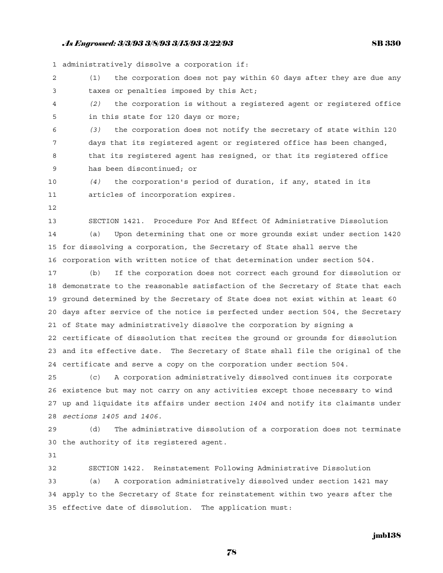1 administratively dissolve a corporation if: 2 (1) the corporation does not pay within 60 days after they are due any 3 taxes or penalties imposed by this Act; 4 *(2)* the corporation is without a registered agent or registered office 5 in this state for 120 days or more; 6 *(3)* the corporation does not notify the secretary of state within 120 7 days that its registered agent or registered office has been changed, 8 that its registered agent has resigned, or that its registered office 9 has been discontinued; or 10 *(4)* the corporation's period of duration, if any, stated in its 11 articles of incorporation expires. 12 13 SECTION 1421. Procedure For And Effect Of Administrative Dissolution 14 (a) Upon determining that one or more grounds exist under section 1420 15 for dissolving a corporation, the Secretary of State shall serve the 16 corporation with written notice of that determination under section 504. 17 (b) If the corporation does not correct each ground for dissolution or 18 demonstrate to the reasonable satisfaction of the Secretary of State that each 19 ground determined by the Secretary of State does not exist within at least 60 20 days after service of the notice is perfected under section 504, the Secretary 21 of State may administratively dissolve the corporation by signing a 22 certificate of dissolution that recites the ground or grounds for dissolution 23 and its effective date. The Secretary of State shall file the original of the 24 certificate and serve a copy on the corporation under section 504. 25 (c) A corporation administratively dissolved continues its corporate 26 existence but may not carry on any activities except those necessary to wind 27 up and liquidate its affairs under section *1404* and notify its claimants under 28 *sections 1405 and 1406.* 29 (d) The administrative dissolution of a corporation does not terminate 30 the authority of its registered agent. 31 32 SECTION 1422. Reinstatement Following Administrative Dissolution 33 (a) A corporation administratively dissolved under section 1421 may

34 apply to the Secretary of State for reinstatement within two years after the 35 effective date of dissolution. The application must:

78

### SB 330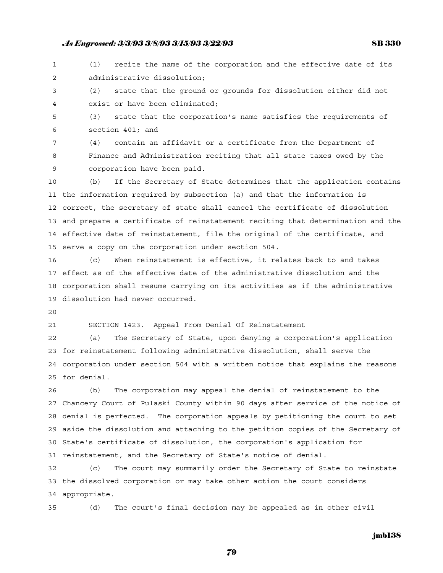1 (1) recite the name of the corporation and the effective date of its 2 administrative dissolution;

3 (2) state that the ground or grounds for dissolution either did not 4 exist or have been eliminated;

5 (3) state that the corporation's name satisfies the requirements of 6 section 401; and

7 (4) contain an affidavit or a certificate from the Department of 8 Finance and Administration reciting that all state taxes owed by the 9 corporation have been paid.

10 (b) If the Secretary of State determines that the application contains 11 the information required by subsection (a) and that the information is 12 correct, the secretary of state shall cancel the certificate of dissolution 13 and prepare a certificate of reinstatement reciting that determination and the 14 effective date of reinstatement, file the original of the certificate, and 15 serve a copy on the corporation under section 504.

16 (c) When reinstatement is effective, it relates back to and takes 17 effect as of the effective date of the administrative dissolution and the 18 corporation shall resume carrying on its activities as if the administrative 19 dissolution had never occurred.

20

21 SECTION 1423. Appeal From Denial Of Reinstatement

22 (a) The Secretary of State, upon denying a corporation's application 23 for reinstatement following administrative dissolution, shall serve the 24 corporation under section 504 with a written notice that explains the reasons 25 for denial.

26 (b) The corporation may appeal the denial of reinstatement to the 27 Chancery Court of Pulaski County within 90 days after service of the notice of 28 denial is perfected. The corporation appeals by petitioning the court to set 29 aside the dissolution and attaching to the petition copies of the Secretary of 30 State's certificate of dissolution, the corporation's application for 31 reinstatement, and the Secretary of State's notice of denial.

32 (c) The court may summarily order the Secretary of State to reinstate 33 the dissolved corporation or may take other action the court considers 34 appropriate.

35 (d) The court's final decision may be appealed as in other civil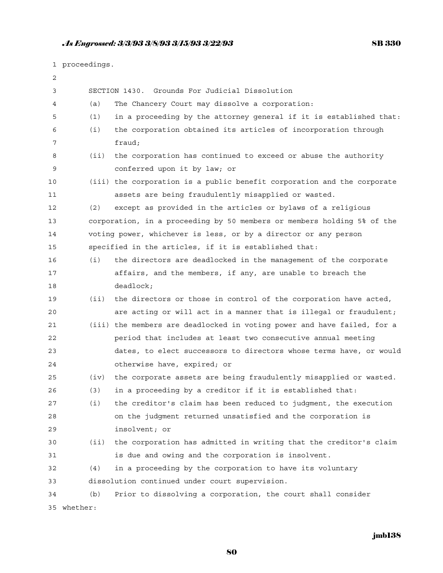|    | 1 proceedings.                                                          |                                                                         |  |
|----|-------------------------------------------------------------------------|-------------------------------------------------------------------------|--|
| 2  |                                                                         |                                                                         |  |
| 3  |                                                                         | SECTION 1430. Grounds For Judicial Dissolution                          |  |
| 4  | (a)                                                                     | The Chancery Court may dissolve a corporation:                          |  |
| 5  | (1)                                                                     | in a proceeding by the attorney general if it is established that:      |  |
| 6  | (i)                                                                     | the corporation obtained its articles of incorporation through          |  |
| 7  |                                                                         | fraud;                                                                  |  |
| 8  | (iii)                                                                   | the corporation has continued to exceed or abuse the authority          |  |
| 9  |                                                                         | conferred upon it by law; or                                            |  |
| 10 |                                                                         | (iii) the corporation is a public benefit corporation and the corporate |  |
| 11 |                                                                         | assets are being fraudulently misapplied or wasted.                     |  |
| 12 | (2)                                                                     | except as provided in the articles or bylaws of a religious             |  |
| 13 | corporation, in a proceeding by 50 members or members holding 5% of the |                                                                         |  |
| 14 | voting power, whichever is less, or by a director or any person         |                                                                         |  |
| 15 | specified in the articles, if it is established that:                   |                                                                         |  |
| 16 | (i)                                                                     | the directors are deadlocked in the management of the corporate         |  |
| 17 |                                                                         | affairs, and the members, if any, are unable to breach the              |  |
| 18 |                                                                         | deadlock;                                                               |  |
| 19 | (iii)                                                                   | the directors or those in control of the corporation have acted,        |  |
| 20 |                                                                         | are acting or will act in a manner that is illegal or fraudulent;       |  |
| 21 |                                                                         | (iii) the members are deadlocked in voting power and have failed, for a |  |
| 22 |                                                                         | period that includes at least two consecutive annual meeting            |  |
| 23 |                                                                         | dates, to elect successors to directors whose terms have, or would      |  |
| 24 |                                                                         | otherwise have, expired; or                                             |  |
| 25 | (iv)                                                                    | the corporate assets are being fraudulently misapplied or wasted.       |  |
| 26 | (3)                                                                     | in a proceeding by a creditor if it is established that:                |  |
| 27 | (i)                                                                     | the creditor's claim has been reduced to judgment, the execution        |  |
| 28 |                                                                         | on the judgment returned unsatisfied and the corporation is             |  |
| 29 |                                                                         | insolvent; or                                                           |  |
| 30 | $(i$ i)                                                                 | the corporation has admitted in writing that the creditor's claim       |  |
| 31 |                                                                         | is due and owing and the corporation is insolvent.                      |  |
| 32 | (4)                                                                     | in a proceeding by the corporation to have its voluntary                |  |
| 33 | dissolution continued under court supervision.                          |                                                                         |  |
| 34 | (b)                                                                     | Prior to dissolving a corporation, the court shall consider             |  |
|    | 35 whether:                                                             |                                                                         |  |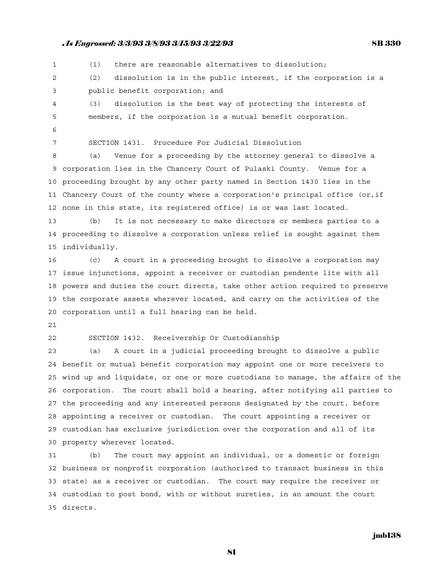1 (1) there are reasonable alternatives to dissolution; 2 (2) dissolution is in the public interest, if the corporation is a 3 public benefit corporation; and 4 (3) dissolution is the best way of protecting the interests of 5 members, if the corporation is a mutual benefit corporation. 6 7 SECTION 1431. Procedure For Judicial Dissolution 8 (a) Venue for a proceeding by the attorney general to dissolve a 9 corporation lies in the Chancery Court of Pulaski County. Venue for a 10 proceeding brought by any other party named in Section 1430 lies in the 11 Chancery Court of the county where a corporation's principal office (or,if 12 none in this state, its registered office) is or was last located. 13 (b) It is not necessary to make directors or members parties to a 14 proceeding to dissolve a corporation unless relief is sought against them 15 individually. 16 (c) A court in a proceeding brought to dissolve a corporation may 17 issue injunctions, appoint a receiver or custodian pendente lite with all 18 powers and duties the court directs, take other action required to preserve 19 the corporate assets wherever located, and carry on the activities of the 20 corporation until a full hearing can be held. 21 22 SECTION 1432. Receivership Or Custodianship 23 (a) A court in a judicial proceeding brought to dissolve a public

24 benefit or mutual benefit corporation may appoint one or more receivers to 25 wind up and liquidate, or one or more custodians to manage, the affairs of the 26 corporation. The court shall hold a hearing, after notifying all parties to 27 the proceeding and any interested persons designated by the court, before 28 appointing a receiver or custodian. The court appointing a receiver or 29 custodian has exclusive jurisdiction over the corporation and all of its 30 property wherever located.

31 (b) The court may appoint an individual, or a domestic or foreign 32 business or nonprofit corporation (authorized to transact business in this 33 state) as a receiver or custodian. The court may require the receiver or 34 custodian to post bond, with or without sureties, in an amount the court 35 directs.

SB 330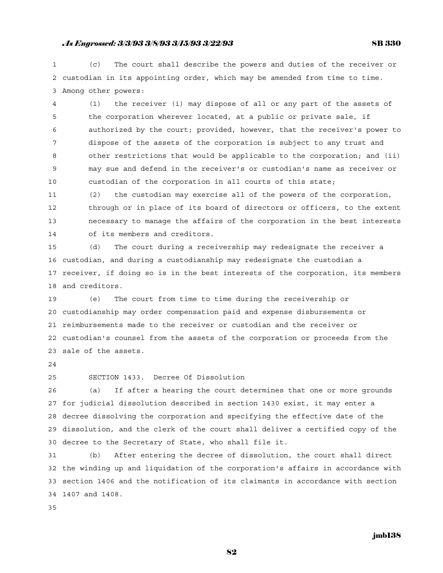1 (c) The court shall describe the powers and duties of the receiver or 2 custodian in its appointing order, which may be amended from time to time. 3 Among other powers:

4 (1) the receiver (i) may dispose of all or any part of the assets of 5 the corporation wherever located, at a public or private sale, if 6 authorized by the court; provided, however, that the receiver's power to 7 dispose of the assets of the corporation is subject to any trust and 8 other restrictions that would be applicable to the corporation; and (ii) 9 may sue and defend in the receiver's or custodian's name as receiver or 10 custodian of the corporation in all courts of this state;

11 (2) the custodian may exercise all of the powers of the corporation, 12 through or in place of its board of directors or officers, to the extent 13 necessary to manage the affairs of the corporation in the best interests 14 of its members and creditors.

15 (d) The court during a receivership may redesignate the receiver a 16 custodian, and during a custodianship may redesignate the custodian a 17 receiver, if doing so is in the best interests of the corporation, its members 18 and creditors.

19 (e) The court from time to time during the receivership or 20 custodianship may order compensation paid and expense disbursements or 21 reimbursements made to the receiver or custodian and the receiver or 22 custodian's counsel from the assets of the corporation or proceeds from the 23 sale of the assets.

24

25 SECTION 1433. Decree Of Dissolution

26 (a) If after a hearing the court determines that one or more grounds 27 for judicial dissolution described in section 1430 exist, it may enter a 28 decree dissolving the corporation and specifying the effective date of the 29 dissolution, and the clerk of the court shall deliver a certified copy of the 30 decree to the Secretary of State, who shall file it.

31 (b) After entering the decree of dissolution, the court shall direct 32 the winding up and liquidation of the corporation's affairs in accordance with 33 section 1406 and the notification of its claimants in accordance with section 34 1407 and 1408.

35

SB 330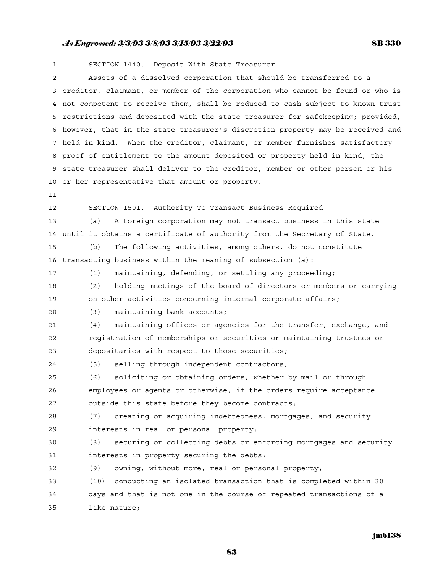| 1  | SECTION 1440. Deposit With State Treasurer                                       |  |  |
|----|----------------------------------------------------------------------------------|--|--|
| 2  | Assets of a dissolved corporation that should be transferred to a                |  |  |
| 3  | creditor, claimant, or member of the corporation who cannot be found or who is   |  |  |
| 4  | not competent to receive them, shall be reduced to cash subject to known trust   |  |  |
|    | 5 restrictions and deposited with the state treasurer for safekeeping; provided, |  |  |
|    | 6 however, that in the state treasurer's discretion property may be received and |  |  |
|    | 7 held in kind. When the creditor, claimant, or member furnishes satisfactory    |  |  |
| 8  | proof of entitlement to the amount deposited or property held in kind, the       |  |  |
|    | 9 state treasurer shall deliver to the creditor, member or other person or his   |  |  |
|    | 10 or her representative that amount or property.                                |  |  |
| 11 |                                                                                  |  |  |
| 12 | SECTION 1501. Authority To Transact Business Required                            |  |  |
| 13 | A foreign corporation may not transact business in this state<br>(a)             |  |  |
| 14 | until it obtains a certificate of authority from the Secretary of State.         |  |  |
| 15 | The following activities, among others, do not constitute<br>(b)                 |  |  |
| 16 | transacting business within the meaning of subsection (a):                       |  |  |
| 17 | (1)<br>maintaining, defending, or settling any proceeding;                       |  |  |
| 18 | holding meetings of the board of directors or members or carrying<br>(2)         |  |  |
| 19 | on other activities concerning internal corporate affairs;                       |  |  |
| 20 | (3)<br>maintaining bank accounts;                                                |  |  |
| 21 | (4)<br>maintaining offices or agencies for the transfer, exchange, and           |  |  |
| 22 | registration of memberships or securities or maintaining trustees or             |  |  |
| 23 | depositaries with respect to those securities;                                   |  |  |
| 24 | (5)<br>selling through independent contractors;                                  |  |  |
| 25 | soliciting or obtaining orders, whether by mail or through<br>(6)                |  |  |
| 26 | employees or agents or otherwise, if the orders require acceptance               |  |  |
| 27 | outside this state before they become contracts;                                 |  |  |
| 28 | creating or acquiring indebtedness, mortgages, and security<br>(7)               |  |  |
| 29 | interests in real or personal property;                                          |  |  |
| 30 | securing or collecting debts or enforcing mortgages and security<br>(8)          |  |  |
| 31 | interests in property securing the debts;                                        |  |  |
| 32 | owning, without more, real or personal property;<br>(9)                          |  |  |
| 33 | (10) conducting an isolated transaction that is completed within 30              |  |  |
| 34 | days and that is not one in the course of repeated transactions of a             |  |  |
| 35 | like nature;                                                                     |  |  |

SB 330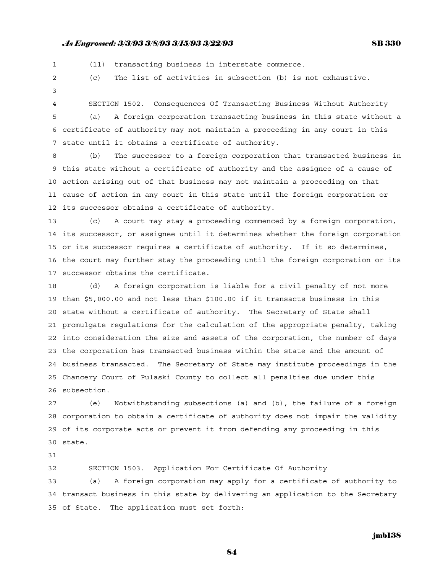SB 330

1 (11) transacting business in interstate commerce.

2 (c) The list of activities in subsection (b) is not exhaustive.

3

4 SECTION 1502. Consequences Of Transacting Business Without Authority 5 (a) A foreign corporation transacting business in this state without a 6 certificate of authority may not maintain a proceeding in any court in this 7 state until it obtains a certificate of authority.

8 (b) The successor to a foreign corporation that transacted business in 9 this state without a certificate of authority and the assignee of a cause of 10 action arising out of that business may not maintain a proceeding on that 11 cause of action in any court in this state until the foreign corporation or 12 its successor obtains a certificate of authority.

13 (c) A court may stay a proceeding commenced by a foreign corporation, 14 its successor, or assignee until it determines whether the foreign corporation 15 or its successor requires a certificate of authority. If it so determines, 16 the court may further stay the proceeding until the foreign corporation or its 17 successor obtains the certificate.

18 (d) A foreign corporation is liable for a civil penalty of not more 19 than \$5,000.00 and not less than \$100.00 if it transacts business in this 20 state without a certificate of authority. The Secretary of State shall 21 promulgate regulations for the calculation of the appropriate penalty, taking 22 into consideration the size and assets of the corporation, the number of days 23 the corporation has transacted business within the state and the amount of 24 business transacted. The Secretary of State may institute proceedings in the 25 Chancery Court of Pulaski County to collect all penalties due under this 26 subsection.

27 (e) Notwithstanding subsections (a) and (b), the failure of a foreign 28 corporation to obtain a certificate of authority does not impair the validity 29 of its corporate acts or prevent it from defending any proceeding in this 30 state.

31

32 SECTION 1503. Application For Certificate Of Authority

33 (a) A foreign corporation may apply for a certificate of authority to 34 transact business in this state by delivering an application to the Secretary 35 of State. The application must set forth: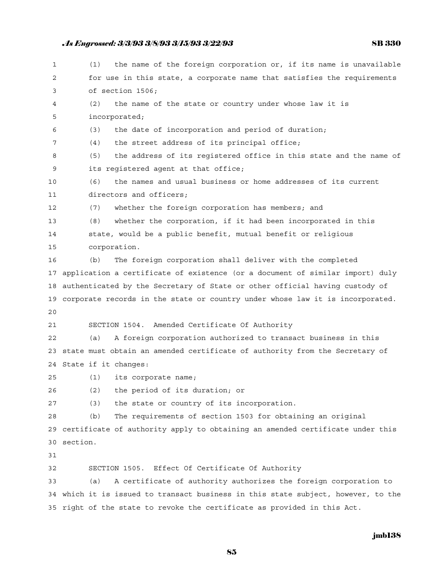1 (1) the name of the foreign corporation or, if its name is unavailable 2 for use in this state, a corporate name that satisfies the requirements 3 of section 1506; 4 (2) the name of the state or country under whose law it is 5 incorporated; 6 (3) the date of incorporation and period of duration; 7 (4) the street address of its principal office; 8 (5) the address of its registered office in this state and the name of 9 its registered agent at that office; 10 (6) the names and usual business or home addresses of its current 11 directors and officers; 12 (7) whether the foreign corporation has members; and 13 (8) whether the corporation, if it had been incorporated in this 14 state, would be a public benefit, mutual benefit or religious 15 corporation. 16 (b) The foreign corporation shall deliver with the completed 17 application a certificate of existence (or a document of similar import) duly 18 authenticated by the Secretary of State or other official having custody of 19 corporate records in the state or country under whose law it is incorporated. 20 21 SECTION 1504. Amended Certificate Of Authority 22 (a) A foreign corporation authorized to transact business in this 23 state must obtain an amended certificate of authority from the Secretary of 24 State if it changes: 25 (1) its corporate name; 26 (2) the period of its duration; or 27 (3) the state or country of its incorporation. 28 (b) The requirements of section 1503 for obtaining an original 29 certificate of authority apply to obtaining an amended certificate under this 30 section. 31 32 SECTION 1505. Effect Of Certificate Of Authority 33 (a) A certificate of authority authorizes the foreign corporation to 34 which it is issued to transact business in this state subject, however, to the 35 right of the state to revoke the certificate as provided in this Act.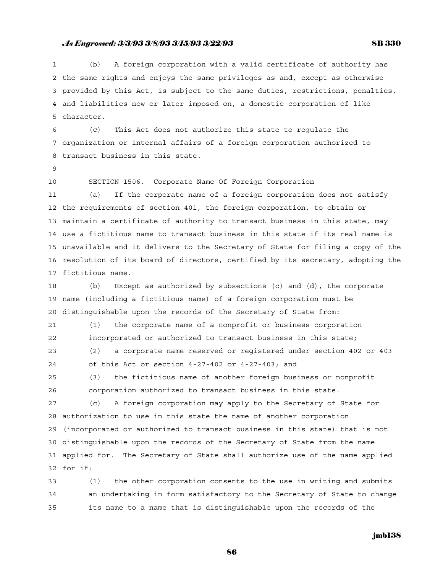1 (b) A foreign corporation with a valid certificate of authority has 2 the same rights and enjoys the same privileges as and, except as otherwise 3 provided by this Act, is subject to the same duties, restrictions, penalties, 4 and liabilities now or later imposed on, a domestic corporation of like 5 character.

6 (c) This Act does not authorize this state to regulate the 7 organization or internal affairs of a foreign corporation authorized to 8 transact business in this state.

9

10 SECTION 1506. Corporate Name Of Foreign Corporation

11 (a) If the corporate name of a foreign corporation does not satisfy 12 the requirements of section 401, the foreign corporation, to obtain or 13 maintain a certificate of authority to transact business in this state, may 14 use a fictitious name to transact business in this state if its real name is 15 unavailable and it delivers to the Secretary of State for filing a copy of the 16 resolution of its board of directors, certified by its secretary, adopting the 17 fictitious name.

18 (b) Except as authorized by subsections (c) and (d), the corporate 19 name (including a fictitious name) of a foreign corporation must be 20 distinguishable upon the records of the Secretary of State from:

21 (1) the corporate name of a nonprofit or business corporation 22 incorporated or authorized to transact business in this state; 23 (2) a corporate name reserved or registered under section 402 or 403 24 of this Act or section 4-27-402 or 4-27-403; and

25 (3) the fictitious name of another foreign business or nonprofit 26 corporation authorized to transact business in this state.

27 (c) A foreign corporation may apply to the Secretary of State for 28 authorization to use in this state the name of another corporation 29 (incorporated or authorized to transact business in this state) that is not 30 distinguishable upon the records of the Secretary of State from the name 31 applied for. The Secretary of State shall authorize use of the name applied 32 for if:

33 (1) the other corporation consents to the use in writing and submits 34 an undertaking in form satisfactory to the Secretary of State to change 35 its name to a name that is distinguishable upon the records of the

## SB 330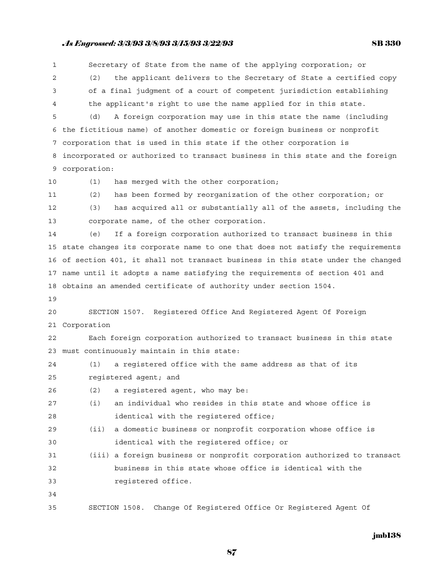1 Secretary of State from the name of the applying corporation; or 2 (2) the applicant delivers to the Secretary of State a certified copy 3 of a final judgment of a court of competent jurisdiction establishing 4 the applicant's right to use the name applied for in this state. 5 (d) A foreign corporation may use in this state the name (including 6 the fictitious name) of another domestic or foreign business or nonprofit 7 corporation that is used in this state if the other corporation is 8 incorporated or authorized to transact business in this state and the foreign 9 corporation: 10 (1) has merged with the other corporation; 11 (2) has been formed by reorganization of the other corporation; or 12 (3) has acquired all or substantially all of the assets, including the 13 corporate name, of the other corporation. 14 (e) If a foreign corporation authorized to transact business in this 15 state changes its corporate name to one that does not satisfy the requirements 16 of section 401, it shall not transact business in this state under the changed 17 name until it adopts a name satisfying the requirements of section 401 and 18 obtains an amended certificate of authority under section 1504. 19 20 SECTION 1507. Registered Office And Registered Agent Of Foreign 21 Corporation 22 Each foreign corporation authorized to transact business in this state 23 must continuously maintain in this state: 24 (1) a registered office with the same address as that of its 25 registered agent; and 26 (2) a registered agent, who may be: 27 (i) an individual who resides in this state and whose office is 28 identical with the registered office; 29 (ii) a domestic business or nonprofit corporation whose office is 30 identical with the registered office; or 31 (iii) a foreign business or nonprofit corporation authorized to transact 32 business in this state whose office is identical with the 33 registered office. 34 35 SECTION 1508. Change Of Registered Office Or Registered Agent Of

imb138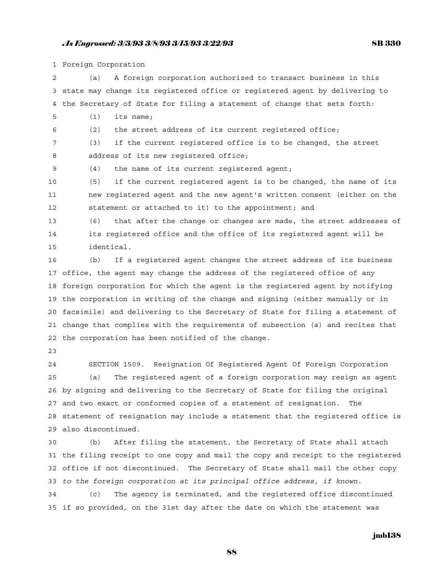SB 330

1 Foreign Corporation

2 (a) A foreign corporation authorized to transact business in this 3 state may change its registered office or registered agent by delivering to 4 the Secretary of State for filing a statement of change that sets forth: 5 (1) its name;

6 (2) the street address of its current registered office;

7 (3) if the current registered office is to be changed, the street 8 address of its new registered office;

9 (4) the name of its current registered agent;

10 (5) if the current registered agent is to be changed, the name of its 11 new registered agent and the new agent's written consent (either on the 12 statement or attached to it) to the appointment; and

13 (6) that after the change or changes are made, the street addresses of 14 its registered office and the office of its registered agent will be 15 identical.

16 (b) If a registered agent changes the street address of its business 17 office, the agent may change the address of the registered office of any 18 foreign corporation for which the agent is the registered agent by notifying 19 the corporation in writing of the change and signing (either manually or in 20 facsimile) and delivering to the Secretary of State for filing a statement of 21 change that complies with the requirements of subsection (a) and recites that 22 the corporation has been notified of the change.

23

24 SECTION 1509. Resignation Of Registered Agent Of Foreign Corporation 25 (a) The registered agent of a foreign corporation may resign as agent 26 by signing and delivering to the Secretary of State for filing the original 27 and two exact or conformed copies of a statement of resignation. The 28 statement of resignation may include a statement that the registered office is 29 also discontinued.

30 (b) After filing the statement, the Secretary of State shall attach 31 the filing receipt to one copy and mail the copy and receipt to the registered 32 office if not discontinued. The Secretary of State shall mail the other copy 33 *to the foreign corporation at its principal office address, if known.*

34 (c) The agency is terminated, and the registered office discontinued 35 if so provided, on the 31st day after the date on which the statement was

### imb138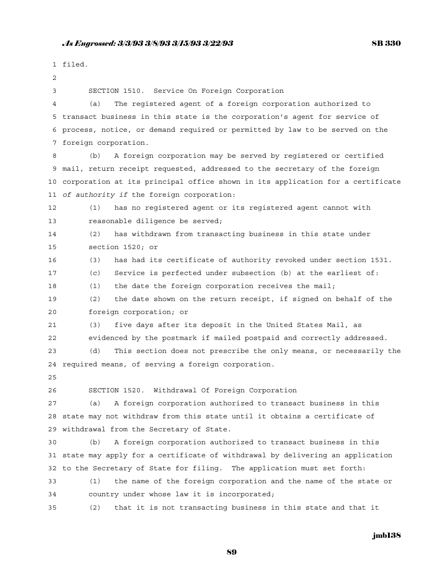1 filed. 2 3 SECTION 1510. Service On Foreign Corporation 4 (a) The registered agent of a foreign corporation authorized to 5 transact business in this state is the corporation's agent for service of 6 process, notice, or demand required or permitted by law to be served on the 7 foreign corporation. 8 (b) A foreign corporation may be served by registered or certified 9 mail, return receipt requested, addressed to the secretary of the foreign 10 corporation at its principal office shown in its application for a certificate 11 *of authority if* the foreign corporation: 12 (1) has no registered agent or its registered agent cannot with 13 reasonable diligence be served; 14 (2) has withdrawn from transacting business in this state under 15 section 1520; or 16 (3) has had its certificate of authority revoked under section 1531. 17 (c) Service is perfected under subsection (b) at the earliest of: 18 (1) the date the foreign corporation receives the mail; 19 (2) the date shown on the return receipt, if signed on behalf of the 20 foreign corporation; or 21 (3) five days after its deposit in the United States Mail, as 22 evidenced by the postmark if mailed postpaid and correctly addressed. 23 (d) This section does not prescribe the only means, or necessarily the 24 required means, of serving a foreign corporation.  $25$ 26 SECTION 1520. Withdrawal Of Foreign Corporation 27 (a) A foreign corporation authorized to transact business in this 28 state may not withdraw from this state until it obtains a certificate of 29 withdrawal from the Secretary of State. 30 (b) A foreign corporation authorized to transact business in this 31 state may apply for a certificate of withdrawal by delivering an application 32 to the Secretary of State for filing. The application must set forth: 33 (1) the name of the foreign corporation and the name of the state or 34 country under whose law it is incorporated;

35 (2) that it is not transacting business in this state and that it

## imb138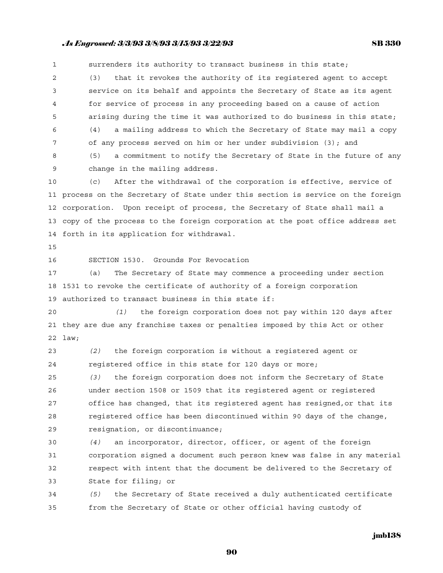1 surrenders its authority to transact business in this state; 2 (3) that it revokes the authority of its registered agent to accept 3 service on its behalf and appoints the Secretary of State as its agent 4 for service of process in any proceeding based on a cause of action 5 arising during the time it was authorized to do business in this state; 6 (4) a mailing address to which the Secretary of State may mail a copy 7 of any process served on him or her under subdivision (3); and 8 (5) a commitment to notify the Secretary of State in the future of any

10 (c) After the withdrawal of the corporation is effective, service of 11 process on the Secretary of State under this section is service on the foreign 12 corporation. Upon receipt of process, the Secretary of State shall mail a 13 copy of the process to the foreign corporation at the post office address set 14 forth in its application for withdrawal.

15

16 SECTION 1530. Grounds For Revocation

33 State for filing; or

9 change in the mailing address.

17 (a) The Secretary of State may commence a proceeding under section 18 1531 to revoke the certificate of authority of a foreign corporation 19 authorized to transact business in this state if:

20 *(1)* the foreign corporation does not pay within 120 days after 21 they are due any franchise taxes or penalties imposed by this Act or other 22 law;

23 *(2)* the foreign corporation is without a registered agent or 24 registered office in this state for 120 days or more; 25 *(3)* the foreign corporation does not inform the Secretary of State 26 under section 1508 or 1509 that its registered agent or registered 27 office has changed, that its registered agent has resigned,or that its 28 registered office has been discontinued within 90 days of the change, 29 resignation, or discontinuance; 30 *(4)* an incorporator, director, officer, or agent of the foreign 31 corporation signed a document such person knew was false in any material 32 respect with intent that the document be delivered to the Secretary of

34 *(5)* the Secretary of State received a duly authenticated certificate 35 from the Secretary of State or other official having custody of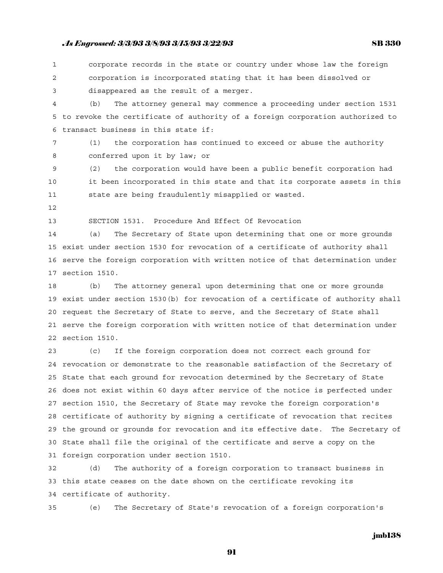1 corporate records in the state or country under whose law the foreign 2 corporation is incorporated stating that it has been dissolved or 3 disappeared as the result of a merger.

4 (b) The attorney general may commence a proceeding under section 1531 5 to revoke the certificate of authority of a foreign corporation authorized to 6 transact business in this state if:

7 (1) the corporation has continued to exceed or abuse the authority 8 conferred upon it by law; or

9 (2) the corporation would have been a public benefit corporation had 10 it been incorporated in this state and that its corporate assets in this 11 state are being fraudulently misapplied or wasted.

12

13 SECTION 1531. Procedure And Effect Of Revocation

14 (a) The Secretary of State upon determining that one or more grounds 15 exist under section 1530 for revocation of a certificate of authority shall 16 serve the foreign corporation with written notice of that determination under 17 section 1510.

18 (b) The attorney general upon determining that one or more grounds 19 exist under section 1530(b) for revocation of a certificate of authority shall 20 request the Secretary of State to serve, and the Secretary of State shall 21 serve the foreign corporation with written notice of that determination under 22 section 1510.

23 (c) If the foreign corporation does not correct each ground for 24 revocation or demonstrate to the reasonable satisfaction of the Secretary of 25 State that each ground for revocation determined by the Secretary of State 26 does not exist within 60 days after service of the notice is perfected under 27 section 1510, the Secretary of State may revoke the foreign corporation's 28 certificate of authority by signing a certificate of revocation that recites 29 the ground or grounds for revocation and its effective date. The Secretary of 30 State shall file the original of the certificate and serve a copy on the 31 foreign corporation under section 1510.

32 (d) The authority of a foreign corporation to transact business in 33 this state ceases on the date shown on the certificate revoking its 34 certificate of authority.

35 (e) The Secretary of State's revocation of a foreign corporation's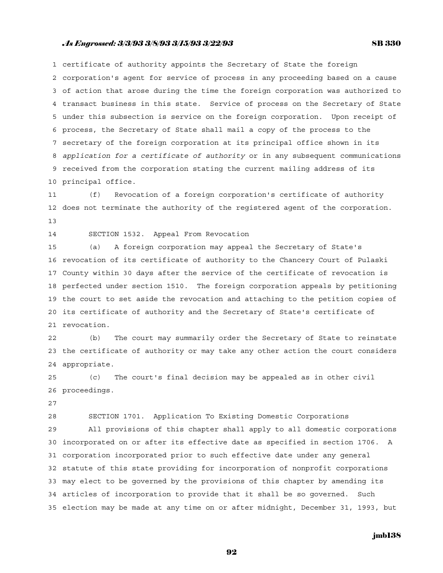1 certificate of authority appoints the Secretary of State the foreign 2 corporation's agent for service of process in any proceeding based on a cause 3 of action that arose during the time the foreign corporation was authorized to 4 transact business in this state. Service of process on the Secretary of State 5 under this subsection is service on the foreign corporation. Upon receipt of 6 process, the Secretary of State shall mail a copy of the process to the 7 secretary of the foreign corporation at its principal office shown in its 8 *application for a certificate of authority* or in any subsequent communications 9 received from the corporation stating the current mailing address of its 10 principal office.

11 (f) Revocation of a foreign corporation's certificate of authority 12 does not terminate the authority of the registered agent of the corporation. 13

14 SECTION 1532. Appeal From Revocation

15 (a) A foreign corporation may appeal the Secretary of State's 16 revocation of its certificate of authority to the Chancery Court of Pulaski 17 County within 30 days after the service of the certificate of revocation is 18 perfected under section 1510. The foreign corporation appeals by petitioning 19 the court to set aside the revocation and attaching to the petition copies of 20 its certificate of authority and the Secretary of State's certificate of 21 revocation.

22 (b) The court may summarily order the Secretary of State to reinstate 23 the certificate of authority or may take any other action the court considers 24 appropriate.

25 (c) The court's final decision may be appealed as in other civil 26 proceedings.

27

28 SECTION 1701. Application To Existing Domestic Corporations

29 All provisions of this chapter shall apply to all domestic corporations 30 incorporated on or after its effective date as specified in section 1706. A 31 corporation incorporated prior to such effective date under any general 32 statute of this state providing for incorporation of nonprofit corporations 33 may elect to be governed by the provisions of this chapter by amending its 34 articles of incorporation to provide that it shall be so governed. Such 35 election may be made at any time on or after midnight, December 31, 1993, but

## SB 330

imb138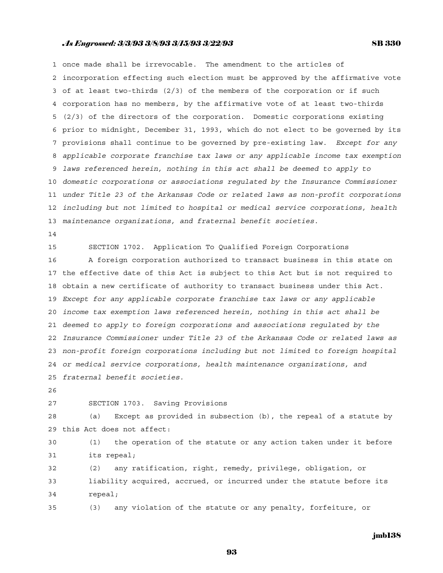1 once made shall be irrevocable. The amendment to the articles of 2 incorporation effecting such election must be approved by the affirmative vote 3 of at least two-thirds (2/3) of the members of the corporation or if such 4 corporation has no members, by the affirmative vote of at least two-thirds 5 (2/3) of the directors of the corporation. Domestic corporations existing 6 prior to midnight, December 31, 1993, which do not elect to be governed by its 7 provisions shall continue to be governed by pre-existing law. *Except for any*  8 *applicable corporate franchise tax laws or any applicable income tax exemption*  9 *laws referenced herein, nothing in this act shall be deemed to apply to*  10 *domestic corporations or associations regulated by the Insurance Commissioner*  11 *under Title 23 of the Arkansas Code or related laws as non-profit corporations*  12 *including but not limited to hospital or medical service corporations, health*  13 *maintenance organizations, and fraternal benefit societies.*

14

15 SECTION 1702. Application To Qualified Foreign Corporations 16 A foreign corporation authorized to transact business in this state on 17 the effective date of this Act is subject to this Act but is not required to 18 obtain a new certificate of authority to transact business under this Act. *Except for any applicable corporate franchise tax laws or any applicable income tax exemption laws referenced herein, nothing in this act shall be deemed to apply to foreign corporations and associations regulated by the Insurance Commissioner under Title 23 of the Arkansas Code or related laws as non-profit foreign corporations including but not limited to foreign hospital or medical service corporations, health maintenance organizations, and fraternal benefit societies.*

26

27 SECTION 1703. Saving Provisions

28 (a) Except as provided in subsection (b), the repeal of a statute by 29 this Act does not affect:

30 (1) the operation of the statute or any action taken under it before 31 its repeal;

32 (2) any ratification, right, remedy, privilege, obligation, or 33 liability acquired, accrued, or incurred under the statute before its 34 repeal;

35 (3) any violation of the statute or any penalty, forfeiture, or

jmb138

SB 330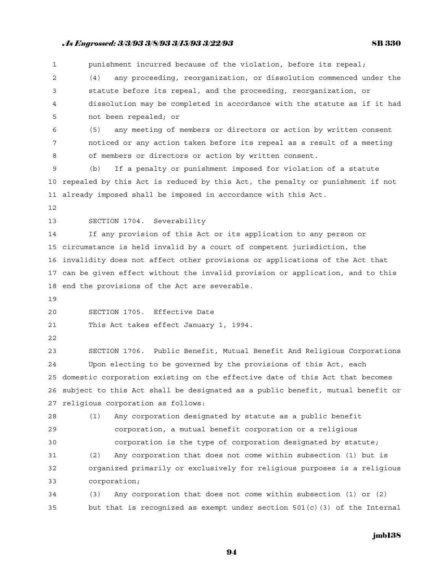SB 330

```
1 punishment incurred because of the violation, before its repeal; 
2 (4) any proceeding, reorganization, or dissolution commenced under the 
 3 statute before its repeal, and the proceeding, reorganization, or 
 4 dissolution may be completed in accordance with the statute as if it had 
 5 not been repealed; or 
 6 (5) any meeting of members or directors or action by written consent 
 7 noticed or any action taken before its repeal as a result of a meeting 
 8 of members or directors or action by written consent. 
9 (b) If a penalty or punishment imposed for violation of a statute 
10 repealed by this Act is reduced by this Act, the penalty or punishment if not 
11 already imposed shall be imposed in accordance with this Act. 
12 
13 SECTION 1704. Severability 
14 If any provision of this Act or its application to any person or 
15 circumstance is held invalid by a court of competent jurisdiction, the 
16 invalidity does not affect other provisions or applications of the Act that 
17 can be given effect without the invalid provision or application, and to this 
18 end the provisions of the Act are severable. 
19 
20 SECTION 1705. Effective Date 
21 This Act takes effect January 1, 1994. 
22 
23 SECTION 1706. Public Benefit, Mutual Benefit And Religious Corporations 
24 Upon electing to be governed by the provisions of this Act, each 
25 domestic corporation existing on the effective date of this Act that becomes 
26 subject to this Act shall be designated as a public benefit, mutual benefit or 
27 religious corporation as follows: 
28 (1) Any corporation designated by statute as a public benefit 
29 corporation, a mutual benefit corporation or a religious 
30 corporation is the type of corporation designated by statute; 
31 (2) Any corporation that does not come within subsection (1) but is 
32 organized primarily or exclusively for religious purposes is a religious 
33 corporation; 
34 (3) Any corporation that does not come within subsection (1) or (2) 
35 but that is recognized as exempt under section 501(c)(3) of the Internal
```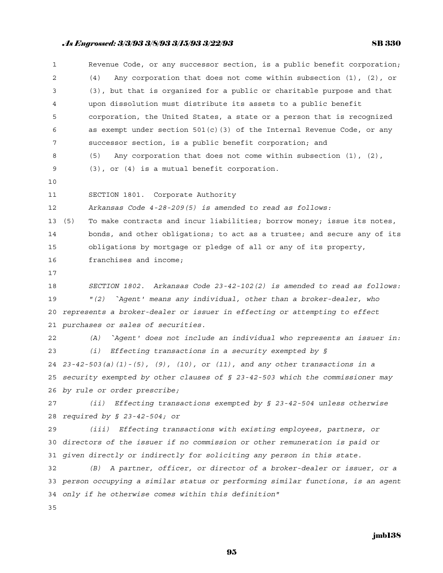| 1  | Revenue Code, or any successor section, is a public benefit corporation;                               |  |
|----|--------------------------------------------------------------------------------------------------------|--|
| 2  | Any corporation that does not come within subsection $(1)$ , $(2)$ , or<br>(4)                         |  |
| 3  | (3), but that is organized for a public or charitable purpose and that                                 |  |
| 4  | upon dissolution must distribute its assets to a public benefit                                        |  |
| 5  | corporation, the United States, a state or a person that is recognized                                 |  |
| 6  | as exempt under section $501(c)$ (3) of the Internal Revenue Code, or any                              |  |
| 7  | successor section, is a public benefit corporation; and                                                |  |
| 8  | Any corporation that does not come within subsection $(1)$ , $(2)$ ,<br>(5)                            |  |
| 9  | $(3)$ , or $(4)$ is a mutual benefit corporation.                                                      |  |
| 10 |                                                                                                        |  |
| 11 | SECTION 1801. Corporate Authority                                                                      |  |
| 12 | Arkansas Code 4-28-209(5) is amended to read as follows:                                               |  |
| 13 | To make contracts and incur liabilities; borrow money; issue its notes,<br>(5)                         |  |
| 14 | bonds, and other obligations; to act as a trustee; and secure any of its                               |  |
| 15 | obligations by mortgage or pledge of all or any of its property,                                       |  |
| 16 | franchises and income;                                                                                 |  |
| 17 |                                                                                                        |  |
| 18 | SECTION 1802. Arkansas Code $23 - 42 - 102(2)$ is amended to read as follows:                          |  |
| 19 | "(2) `Agent' means any individual, other than a broker-dealer, who                                     |  |
| 20 | represents a broker-dealer or issuer in effecting or attempting to effect                              |  |
|    | 21 purchases or sales of securities.                                                                   |  |
| 22 | $(A)$ $\lambda$ $\lambda$ $\lambda$ agent' does not include an individual who represents an issuer in: |  |
| 23 | $(i)$ Effecting transactions in a security exempted by $S$                                             |  |
|    | 24 23-42-503(a)(1)-(5), (9), (10), or (11), and any other transactions in a                            |  |
|    | 25 security exempted by other clauses of $S$ 23-42-503 which the commissioner may                      |  |
|    | 26 by rule or order prescribe;                                                                         |  |
| 27 | Effecting transactions exempted by $\S$ 23-42-504 unless otherwise<br>(iii)                            |  |
|    | 28 required by § 23-42-504; or                                                                         |  |
| 29 | (iii) Effecting transactions with existing employees, partners, or                                     |  |
|    | 30 directors of the issuer if no commission or other remuneration is paid or                           |  |
|    | 31 given directly or indirectly for soliciting any person in this state.                               |  |
| 32 | (B) A partner, officer, or director of a broker-dealer or issuer, or a                                 |  |
|    | 33 person occupying a similar status or performing similar functions, is an agent                      |  |
|    | 34 only if he otherwise comes within this definition"                                                  |  |
| 35 |                                                                                                        |  |

jmb138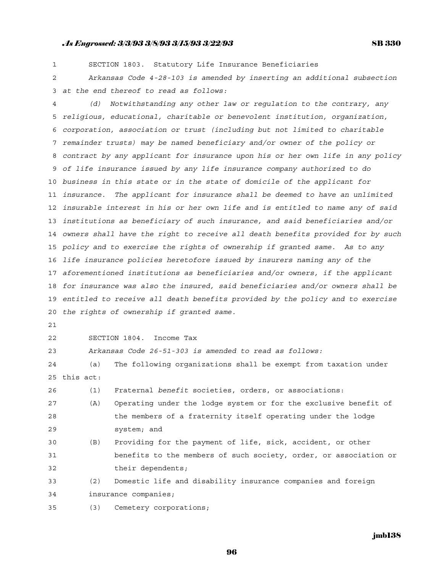SB 330

1 SECTION 1803. Statutory Life Insurance Beneficiaries

2 *Arkansas Code 4-28-103 is amended by inserting an additional subsection*  3 *at the end thereof to read as follows:* 

*(d) Notwithstanding any other law or regulation to the contrary, any religious, educational, charitable or benevolent institution, organization, corporation, association or trust (including but not limited to charitable remainder trusts) may be named beneficiary and/or owner of the policy or contract by any applicant for insurance upon his or her own life in any policy of life insurance issued by any life insurance company authorized to do business in this state or in the state of domicile of the applicant for insurance. The applicant for insurance shall be deemed to have an unlimited insurable interest in his or her own life and is entitled to name any of said institutions as beneficiary of such insurance, and said beneficiaries and/or owners shall have the right to receive all death benefits provided for by such policy and to exercise the rights of ownership if granted same. As to any life insurance policies heretofore issued by insurers naming any of the aforementioned institutions as beneficiaries and/or owners, if the applicant for insurance was also the insured, said beneficiaries and/or owners shall be entitled to receive all death benefits provided by the policy and to exercise the rights of ownership if granted same.* 

21

22 SECTION 1804. Income Tax

23 *Arkansas Code 26-51-303 is amended to read as follows:*

24 (a) The following organizations shall be exempt from taxation under 25 this act:

26 (1) Fraternal *benefit* societies, orders, or associations:

- 27 (A) Operating under the lodge system or for the exclusive benefit of 28 the members of a fraternity itself operating under the lodge 29 system; and
- 30 (B) Providing for the payment of life, sick, accident, or other 31 benefits to the members of such society, order, or association or 32 their dependents;
- 33 (2) Domestic life and disability insurance companies and foreign 34 insurance companies;

35 (3) Cemetery corporations;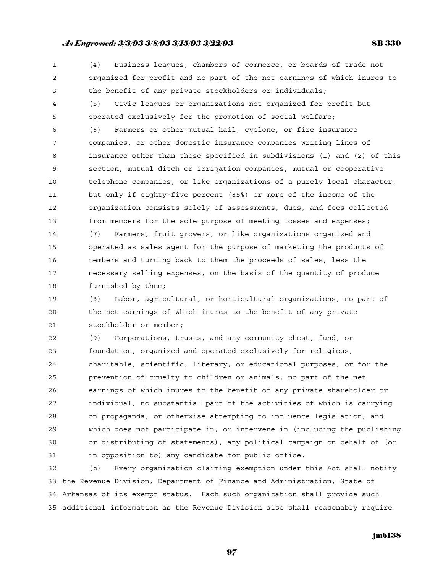SB 330

1 (4) Business leagues, chambers of commerce, or boards of trade not 2 organized for profit and no part of the net earnings of which inures to 3 the benefit of any private stockholders or individuals; 4 (5) Civic leagues or organizations not organized for profit but 5 operated exclusively for the promotion of social welfare; 6 (6) Farmers or other mutual hail, cyclone, or fire insurance 7 companies, or other domestic insurance companies writing lines of 8 insurance other than those specified in subdivisions (1) and (2) of this 9 section, mutual ditch or irrigation companies, mutual or cooperative 10 telephone companies, or like organizations of a purely local character, 11 but only if eighty-five percent (85%) or more of the income of the 12 organization consists solely of assessments, dues, and fees collected 13 from members for the sole purpose of meeting losses and expenses; 14 (7) Farmers, fruit growers, or like organizations organized and 15 operated as sales agent for the purpose of marketing the products of 16 members and turning back to them the proceeds of sales, less the 17 necessary selling expenses, on the basis of the quantity of produce 18 furnished by them; 19 (8) Labor, agricultural, or horticultural organizations, no part of 20 the net earnings of which inures to the benefit of any private 21 stockholder or member; 22 (9) Corporations, trusts, and any community chest, fund, or 23 foundation, organized and operated exclusively for religious, 24 charitable, scientific, literary, or educational purposes, or for the 25 prevention of cruelty to children or animals, no part of the net 26 earnings of which inures to the benefit of any private shareholder or 27 individual, no substantial part of the activities of which is carrying 28 on propaganda, or otherwise attempting to influence legislation, and 29 which does not participate in, or intervene in (including the publishing 30 or distributing of statements), any political campaign on behalf of (or 31 in opposition to) any candidate for public office. 32 (b) Every organization claiming exemption under this Act shall notify 33 the Revenue Division, Department of Finance and Administration, State of

34 Arkansas of its exempt status. Each such organization shall provide such 35 additional information as the Revenue Division also shall reasonably require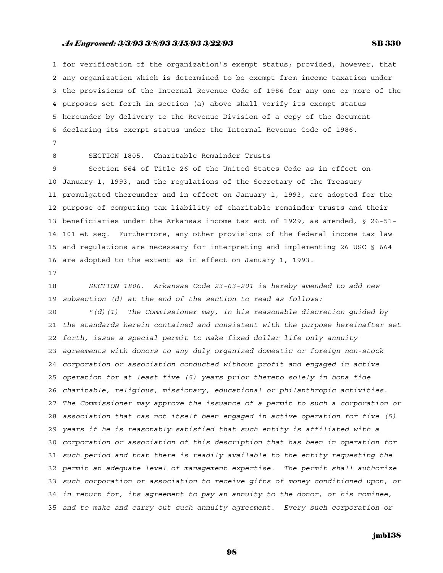1 for verification of the organization's exempt status; provided, however, that 2 any organization which is determined to be exempt from income taxation under 3 the provisions of the Internal Revenue Code of 1986 for any one or more of the 4 purposes set forth in section (a) above shall verify its exempt status 5 hereunder by delivery to the Revenue Division of a copy of the document 6 declaring its exempt status under the Internal Revenue Code of 1986.

7

#### 8 SECTION 1805. Charitable Remainder Trusts

9 Section 664 of Title 26 of the United States Code as in effect on 10 January 1, 1993, and the regulations of the Secretary of the Treasury 11 promulgated thereunder and in effect on January 1, 1993, are adopted for the 12 purpose of computing tax liability of charitable remainder trusts and their 13 beneficiaries under the Arkansas income tax act of 1929, as amended, § 26-51- 14 101 et seq. Furthermore, any other provisions of the federal income tax law 15 and regulations are necessary for interpreting and implementing 26 USC § 664 16 are adopted to the extent as in effect on January 1, 1993.

17

18 *SECTION 1806. Arkansas Code 23-63-201 is hereby amended to add new*  19 *subsection (d) at the end of the section to read as follows:* 

*"(d)(1) The Commissioner may, in his reasonable discretion guided by the standards herein contained and consistent with the purpose hereinafter set forth, issue a special permit to make fixed dollar life only annuity agreements with donors to any duly organized domestic or foreign non-stock corporation or association conducted without profit and engaged in active operation for at least five (5) years prior thereto solely in bona fide charitable, religious, missionary, educational or philanthropic activities. The Commissioner may approve the issuance of a permit to such a corporation or association that has not itself been engaged in active operation for five (5) years if he is reasonably satisfied that such entity is affiliated with a corporation or association of this description that has been in operation for such period and that there is readily available to the entity requesting the permit an adequate level of management expertise. The permit shall authorize such corporation or association to receive gifts of money conditioned upon, or in return for, its agreement to pay an annuity to the donor, or his nominee, and to make and carry out such annuity agreement. Every such corporation or*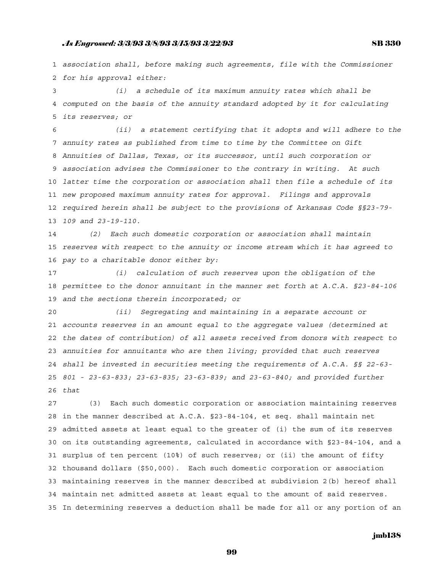*association shall, before making such agreements, file with the Commissioner for his approval either:* 

*(i) a schedule of its maximum annuity rates which shall be computed on the basis of the annuity standard adopted by it for calculating its reserves; or* 

*(ii) a statement certifying that it adopts and will adhere to the annuity rates as published from time to time by the Committee on Gift Annuities of Dallas, Texas, or its successor, until such corporation or association advises the Commissioner to the contrary in writing. At such latter time the corporation or association shall then file a schedule of its new proposed maximum annuity rates for approval. Filings and approvals required herein shall be subject to the provisions of Arkansas Code §§23-79- 109 and 23-19-110.* 

*(2) Each such domestic corporation or association shall maintain reserves with respect to the annuity or income stream which it has agreed to pay to a charitable donor either by:* 

*(i) calculation of such reserves upon the obligation of the permittee to the donor annuitant in the manner set forth at A.C.A. §23-84-106 and the sections therein incorporated; or* 

*(ii) Segregating and maintaining in a separate account or accounts reserves in an amount equal to the aggregate values (determined at the dates of contribution) of all assets received from donors with respect to annuities for annuitants who are then living; provided that such reserves shall be invested in securities meeting the requirements of A.C.A. §§ 22-63- 801 - 23-63-833; 23-63-835; 23-63-839; and 23-63-840; and provided further that*

27 (3) Each such domestic corporation or association maintaining reserves 28 in the manner described at A.C.A. §23-84-104, et seq. shall maintain net 29 admitted assets at least equal to the greater of (i) the sum of its reserves 30 on its outstanding agreements, calculated in accordance with §23-84-104, and a 31 surplus of ten percent (10%) of such reserves; or (ii) the amount of fifty 32 thousand dollars (\$50,000). Each such domestic corporation or association 33 maintaining reserves in the manner described at subdivision 2(b) hereof shall 34 maintain net admitted assets at least equal to the amount of said reserves. 35 In determining reserves a deduction shall be made for all or any portion of an

#### SB 330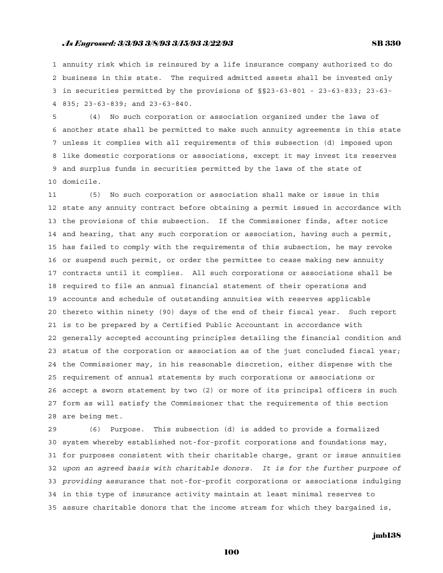1 annuity risk which is reinsured by a life insurance company authorized to do 2 business in this state. The required admitted assets shall be invested only 3 in securities permitted by the provisions of §§23-63-801 - 23-63-833; 23-63- 4 835; 23-63-839; and 23-63-840.

5 (4) No such corporation or association organized under the laws of 6 another state shall be permitted to make such annuity agreements in this state 7 unless it complies with all requirements of this subsection (d) imposed upon 8 like domestic corporations or associations, except it may invest its reserves 9 and surplus funds in securities permitted by the laws of the state of 10 domicile.

11 (5) No such corporation or association shall make or issue in this 12 state any annuity contract before obtaining a permit issued in accordance with 13 the provisions of this subsection. If the Commissioner finds, after notice 14 and hearing, that any such corporation or association, having such a permit, 15 has failed to comply with the requirements of this subsection, he may revoke 16 or suspend such permit, or order the permittee to cease making new annuity 17 contracts until it complies. All such corporations or associations shall be 18 required to file an annual financial statement of their operations and 19 accounts and schedule of outstanding annuities with reserves applicable 20 thereto within ninety (90) days of the end of their fiscal year. Such report 21 is to be prepared by a Certified Public Accountant in accordance with 22 generally accepted accounting principles detailing the financial condition and 23 status of the corporation or association as of the just concluded fiscal year; 24 the Commissioner may, in his reasonable discretion, either dispense with the 25 requirement of annual statements by such corporations or associations or 26 accept a sworn statement by two (2) or more of its principal officers in such 27 form as will satisfy the Commissioner that the requirements of this section 28 are being met.

29 (6) Purpose. This subsection (d) is added to provide a formalized 30 system whereby established not-for-profit corporations and foundations may, 31 for purposes consistent with their charitable charge, grant or issue annuities 32 *upon an agreed basis with charitable donors. It is for the further purpose of*  33 *providing* assurance that not-for-profit corporations or associations indulging 34 in this type of insurance activity maintain at least minimal reserves to 35 assure charitable donors that the income stream for which they bargained is,

imb138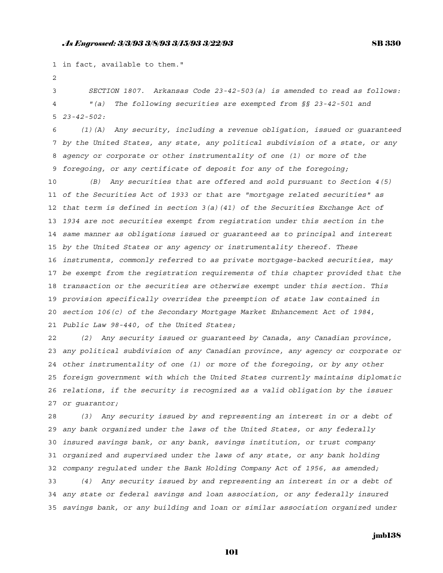1 in fact, available to them."

*SECTION 1807. Arkansas Code 23-42-503(a) is amended to read as follows: "(a) The following securities are exempted from §§ 23-42-501 and 23-42-502:* 

*(1)(A) Any security, including a revenue obligation, issued or guaranteed by the United States, any state, any political subdivision of a state, or any agency or corporate or other instrumentality of one (1) or more of the foregoing, or any certificate of deposit for any of the foregoing;* 

*(B) Any securities that are offered and sold pursuant to Section 4(5) of the Securities Act of 1933 or that are "mortgage related securities" as that term is defined in section 3(a)(41) of the Securities Exchange Act of 1934 are not securities exempt from registration under this section in the same manner as obligations issued or guaranteed as to principal and interest by the United States or any agency or instrumentality thereof. These instruments, commonly referred to as private mortgage-backed securities, may be exempt from the registration requirements of this chapter provided that the transaction or the securities are otherwise exempt under this section. This provision specifically overrides the preemption of state law contained in section 106(c) of the Secondary Mortgage Market Enhancement Act of 1984, Public Law 98-440, of the United States;* 

*(2) Any security issued or guaranteed by Canada, any Canadian province, any political subdivision of any Canadian province, any agency or corporate or other instrumentality of one (1) or more of the foregoing, or by any other foreign government with which the United States currently maintains diplomatic relations, if the security is recognized as a valid obligation by the issuer or guarantor;* 

*(3) Any security issued by and representing an interest in or a debt of any bank organized under the laws of the United States, or any federally insured savings bank, or any bank, savings institution, or trust company organized and supervised under the laws of any state, or any bank holding company regulated under the Bank Holding Company Act of 1956, as amended;* 

*(4) Any security issued by and representing an interest in or a debt of any state or federal savings and loan association, or any federally insured savings bank, or any building and loan or similar association organized under* 

imb138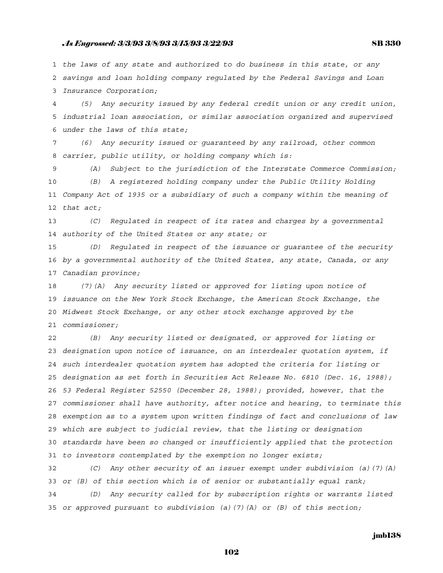*the laws of any state and authorized to do business in this state, or any savings and loan holding company regulated by the Federal Savings and Loan Insurance Corporation;* 

*(5) Any security issued by any federal credit union or any credit union, industrial loan association, or similar association organized and supervised under the laws of this state;* 

*(6) Any security issued or guaranteed by any railroad, other common carrier, public utility, or holding company which is:* 

*(A) Subject to the jurisdiction of the Interstate Commerce Commission; (B) A registered holding company under the Public Utility Holding Company Act of 1935 or a subsidiary of such a company within the meaning of that act;* 

*(C) Regulated in respect of its rates and charges by a governmental authority of the United States or any state; or* 

*(D) Regulated in respect of the issuance or guarantee of the security by a governmental authority of the United States, any state, Canada, or any Canadian province;* 

*(7)(A) Any security listed or approved for listing upon notice of issuance on the New York Stock Exchange, the American Stock Exchange, the Midwest Stock Exchange, or any other stock exchange approved by the commissioner;* 

*(B) Any security listed or designated, or approved for listing or designation upon notice of issuance, on an interdealer quotation system, if such interdealer quotation system has adopted the criteria for listing or designation as set forth in Securities Act Release No. 6810 (Dec. 16, 1988); 53 Federal Register 52550 (December 28, 1988); provided, however, that the commissioner shall have authority, after notice and hearing, to terminate this exemption as to a system upon written findings of fact and conclusions of law which are subject to judicial review, that the listing or designation standards have been so changed or insufficiently applied that the protection to investors contemplated by the exemption no longer exists;* 

*(C) Any other security of an issuer exempt under subdivision (a)(7)(A) or (B) of this section which is of senior or substantially equal rank; (D) Any security called for by subscription rights or warrants listed or approved pursuant to subdivision (a)(7)(A) or (B) of this section;* 

# SB 330